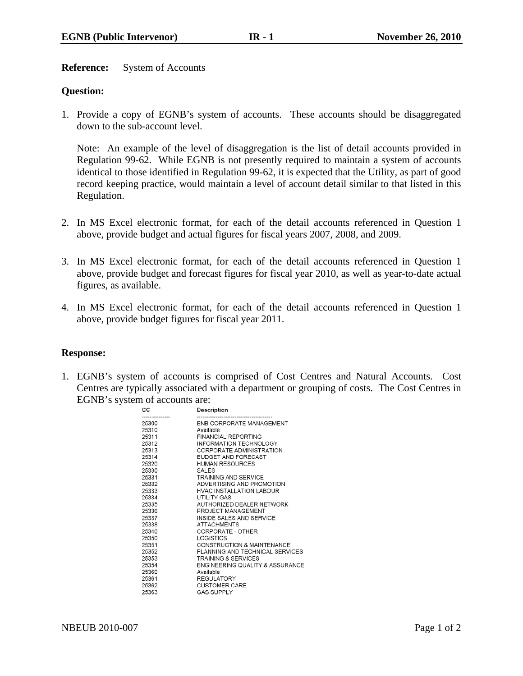**Reference:** System of Accounts

## **Question:**

1. Provide a copy of EGNB's system of accounts. These accounts should be disaggregated down to the sub-account level.

Note: An example of the level of disaggregation is the list of detail accounts provided in Regulation 99-62. While EGNB is not presently required to maintain a system of accounts identical to those identified in Regulation 99-62, it is expected that the Utility, as part of good record keeping practice, would maintain a level of account detail similar to that listed in this Regulation.

- 2. In MS Excel electronic format, for each of the detail accounts referenced in Question 1 above, provide budget and actual figures for fiscal years 2007, 2008, and 2009.
- 3. In MS Excel electronic format, for each of the detail accounts referenced in Question 1 above, provide budget and forecast figures for fiscal year 2010, as well as year-to-date actual figures, as available.
- 4. In MS Excel electronic format, for each of the detail accounts referenced in Question 1 above, provide budget figures for fiscal year 2011.

#### **Response:**

1. EGNB's system of accounts is comprised of Cost Centres and Natural Accounts. Cost Centres are typically associated with a department or grouping of costs. The Cost Centres in EGNB's system of accounts are:

| C.    | <b>Description</b>              |
|-------|---------------------------------|
| '5300 | ENB CORPORATE MANAGEMENT        |
| 5310  | Available                       |
| 5311  | <b>FINANCIAL REPORTING</b>      |
| '5312 | INFORMATION TECHNOLOGY          |
| :5313 | CORPORATE ADMINISTRATION        |
| 5314  | <b>BUDGET AND FORECAST</b>      |
| 5320  | <b>HUMAN RESOURCES</b>          |
| :5330 | SALES                           |
| '5331 | <b>TRAINING AND SERVICE</b>     |
| '5332 | ADVERTISING AND PROMOTION       |
| 5333  | <b>HVAC INSTALLATION LABOUR</b> |
| '5334 | UTILITY GAS                     |
| '5335 | AUTHORIZED DEALER NETWORK       |
| 5336  | PROJECT MANAGEMENT              |
| 5337  | INSIDE SALES AND SERVICE        |
| :5338 | <b>ATTACHMENTS</b>              |
| '5340 | CORPORATE - OTHER               |
| '5350 | LOGISTICS                       |
| 5351  | CONSTRUCTION & MAINTENANCE      |
| 5352  | PLANNING AND TECHNICAL SERVICES |
| :5353 | <b>TRAINING &amp; SERVICES</b>  |
| 5354  | ENGINEERING QUALITY & ASSURANCE |
| '5360 | Available                       |
| :5361 | <b>REGULATORY</b>               |
| 5362  | <b>CUSTOMER CARE</b>            |
| !5363 | <b>GAS SUPPLY</b>               |
|       |                                 |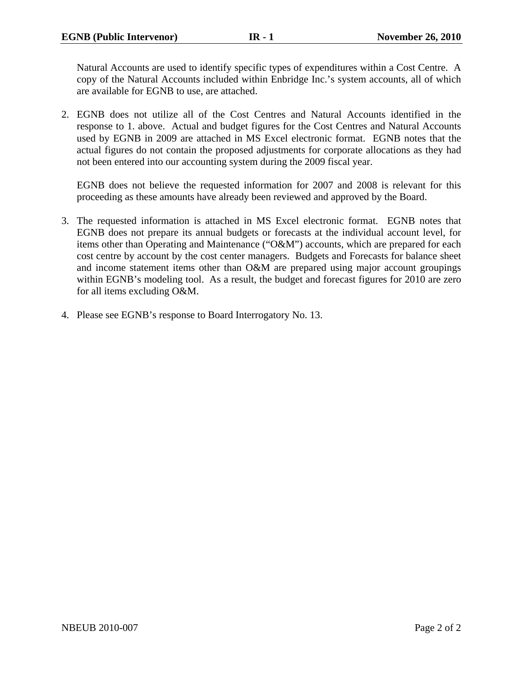Natural Accounts are used to identify specific types of expenditures within a Cost Centre. A copy of the Natural Accounts included within Enbridge Inc.'s system accounts, all of which are available for EGNB to use, are attached.

2. EGNB does not utilize all of the Cost Centres and Natural Accounts identified in the response to 1. above. Actual and budget figures for the Cost Centres and Natural Accounts used by EGNB in 2009 are attached in MS Excel electronic format. EGNB notes that the actual figures do not contain the proposed adjustments for corporate allocations as they had not been entered into our accounting system during the 2009 fiscal year.

EGNB does not believe the requested information for 2007 and 2008 is relevant for this proceeding as these amounts have already been reviewed and approved by the Board.

- 3. The requested information is attached in MS Excel electronic format. EGNB notes that EGNB does not prepare its annual budgets or forecasts at the individual account level, for items other than Operating and Maintenance ("O&M") accounts, which are prepared for each cost centre by account by the cost center managers. Budgets and Forecasts for balance sheet and income statement items other than O&M are prepared using major account groupings within EGNB's modeling tool. As a result, the budget and forecast figures for 2010 are zero for all items excluding O&M.
- 4. Please see EGNB's response to Board Interrogatory No. 13.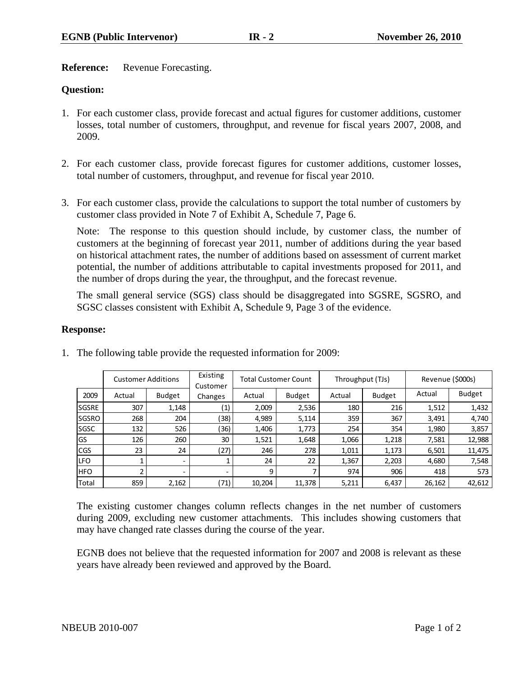**Reference:** Revenue Forecasting.

## **Question:**

- 1. For each customer class, provide forecast and actual figures for customer additions, customer losses, total number of customers, throughput, and revenue for fiscal years 2007, 2008, and 2009.
- 2. For each customer class, provide forecast figures for customer additions, customer losses, total number of customers, throughput, and revenue for fiscal year 2010.
- 3. For each customer class, provide the calculations to support the total number of customers by customer class provided in Note 7 of Exhibit A, Schedule 7, Page 6.

Note: The response to this question should include, by customer class, the number of customers at the beginning of forecast year 2011, number of additions during the year based on historical attachment rates, the number of additions based on assessment of current market potential, the number of additions attributable to capital investments proposed for 2011, and the number of drops during the year, the throughput, and the forecast revenue.

The small general service (SGS) class should be disaggregated into SGSRE, SGSRO, and SGSC classes consistent with Exhibit A, Schedule 9, Page 3 of the evidence.

## **Response:**

|              | <b>Customer Additions</b> |               | Existing<br>Customer |        | <b>Total Customer Count</b> | Throughput (TJs) |               | Revenue (\$000s) |               |
|--------------|---------------------------|---------------|----------------------|--------|-----------------------------|------------------|---------------|------------------|---------------|
| 2009         | Actual                    | <b>Budget</b> | Changes              | Actual | <b>Budget</b>               | Actual           | <b>Budget</b> | Actual           | <b>Budget</b> |
| <b>SGSRE</b> | 307                       | 1,148         | (1)                  | 2,009  | 2,536                       | 180              | 216           | 1,512            | 1,432         |
| <b>SGSRO</b> | 268                       | 204           | (38)                 | 4,989  | 5,114                       | 359              | 367           | 3,491            | 4,740         |
| <b>SGSC</b>  | 132                       | 526           | (36)                 | 1,406  | 1,773                       | 254              | 354           | 1,980            | 3,857         |
| GS           | 126                       | 260           | 30                   | 1,521  | 1,648                       | 1,066            | 1,218         | 7,581            | 12,988        |
| <b>I</b> CGS | 23                        | 24            | (27)                 | 246    | 278                         | 1,011            | 1,173         | 6,501            | 11,475        |
| <b>LFO</b>   |                           | ۰             |                      | 24     | 22                          | 1,367            | 2,203         | 4,680            | 7,548         |
| <b>HFO</b>   | h                         |               |                      | 9      |                             | 974              | 906           | 418              | 573           |
| Total        | 859                       | 2,162         | (71)                 | 10,204 | 11,378                      | 5,211            | 6,437         | 26,162           | 42,612        |

1. The following table provide the requested information for 2009:

The existing customer changes column reflects changes in the net number of customers during 2009, excluding new customer attachments. This includes showing customers that may have changed rate classes during the course of the year.

EGNB does not believe that the requested information for 2007 and 2008 is relevant as these years have already been reviewed and approved by the Board.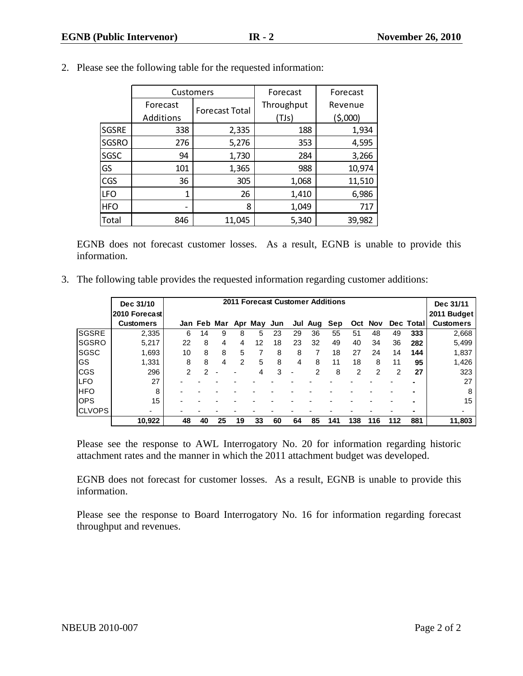|              | Customers |                       | Forecast   | Forecast |
|--------------|-----------|-----------------------|------------|----------|
|              | Forecast  | <b>Forecast Total</b> | Throughput | Revenue  |
|              | Additions |                       | (TJs)      | (5,000)  |
| <b>SGSRE</b> | 338       | 2,335                 | 188        | 1,934    |
| <b>SGSRO</b> | 276       | 5,276                 | 353        | 4,595    |
| SGSC         | 94        | 1,730                 | 284        | 3,266    |
| GS           | 101       | 1,365                 | 988        | 10,974   |
| <b>CGS</b>   | 36        | 305                   | 1,068      | 11,510   |
| <b>LFO</b>   | 1         | 26                    | 1,410      | 6,986    |
| <b>HFO</b>   | -         | 8                     | 1,049      | 717      |
| Total        | 846       | 11,045                | 5,340      | 39,982   |

2. Please see the following table for the requested information:

EGNB does not forecast customer losses. As a result, EGNB is unable to provide this information.

3. The following table provides the requested information regarding customer additions:

|               | Dec 31/10        |    |    |    |               |                         |    |     |     | <b>2011 Forecast Customer Additions</b> |     |     |     |           | Dec 31/11        |
|---------------|------------------|----|----|----|---------------|-------------------------|----|-----|-----|-----------------------------------------|-----|-----|-----|-----------|------------------|
|               | 2010 Forecast    |    |    |    |               |                         |    |     |     |                                         |     |     |     |           | 2011 Budget      |
|               | <b>Customers</b> |    |    |    |               | Jan Feb Mar Apr May Jun |    | Jul | Aug | Sep                                     | Oct | Nov |     | Dec Total | <b>Customers</b> |
| <b>SGSRE</b>  | 2,335            | 6  | 14 | 9  | 8             | 5                       | 23 | 29  | 36  | 55                                      | 51  | 48  | 49  | 333       | 2,668            |
| <b>SGSRO</b>  | 5,217            | 22 | 8  | 4  | 4             | 12                      | 18 | 23  | 32  | 49                                      | 40  | 34  | 36  | 282       | 5,499            |
| SGSC          | 1,693            | 10 | 8  | 8  | 5             | 7                       | 8  | 8   |     | 18                                      | 27  | 24  | 14  | 144       | 1,837            |
| IGS           | 1,331            | 8  | 8  | 4  | $\mathcal{P}$ | 5                       | 8  | 4   | 8   | 11                                      | 18  | 8   | 11  | 95        | 1,426            |
| ICGS          | 296              | 2  | 2  |    |               | 4                       | 3  |     | 2   | 8                                       | 2   | 2   | 2   | 27        | 323              |
| ILFO          | 27               |    |    |    |               |                         |    |     |     |                                         |     |     |     |           | 27               |
| <b>IHFO</b>   | 8                |    |    |    |               |                         |    |     |     |                                         |     |     |     |           | 8                |
| <b>OPS</b>    | 15               |    |    |    |               |                         |    |     |     |                                         |     |     |     |           | 15               |
| <b>CLVOPS</b> |                  |    |    |    |               |                         |    |     |     |                                         |     |     |     | ۰         | ٠                |
|               | 10,922           | 48 | 40 | 25 | 19            | 33                      | 60 | 64  | 85  | 141                                     | 138 | 116 | 112 | 881       | 11,803           |

Please see the response to AWL Interrogatory No. 20 for information regarding historic attachment rates and the manner in which the 2011 attachment budget was developed.

EGNB does not forecast for customer losses. As a result, EGNB is unable to provide this information.

Please see the response to Board Interrogatory No. 16 for information regarding forecast throughput and revenues.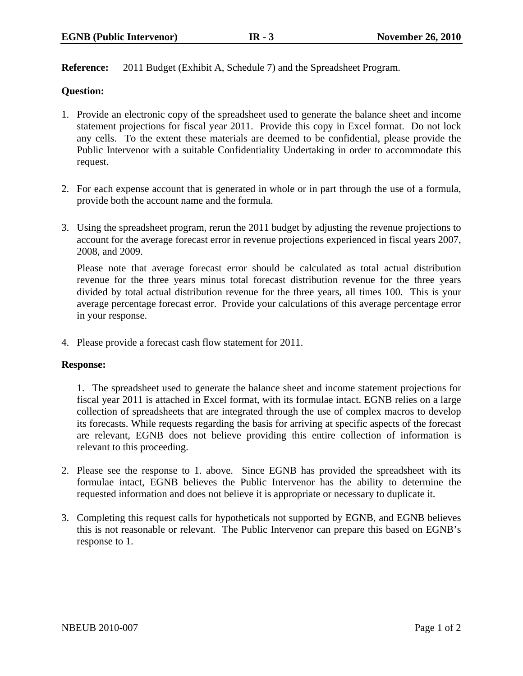**Reference:** 2011 Budget (Exhibit A, Schedule 7) and the Spreadsheet Program.

## **Question:**

- 1. Provide an electronic copy of the spreadsheet used to generate the balance sheet and income statement projections for fiscal year 2011. Provide this copy in Excel format. Do not lock any cells. To the extent these materials are deemed to be confidential, please provide the Public Intervenor with a suitable Confidentiality Undertaking in order to accommodate this request.
- 2. For each expense account that is generated in whole or in part through the use of a formula, provide both the account name and the formula.
- 3. Using the spreadsheet program, rerun the 2011 budget by adjusting the revenue projections to account for the average forecast error in revenue projections experienced in fiscal years 2007, 2008, and 2009.

Please note that average forecast error should be calculated as total actual distribution revenue for the three years minus total forecast distribution revenue for the three years divided by total actual distribution revenue for the three years, all times 100. This is your average percentage forecast error. Provide your calculations of this average percentage error in your response.

4. Please provide a forecast cash flow statement for 2011.

#### **Response:**

1. The spreadsheet used to generate the balance sheet and income statement projections for fiscal year 2011 is attached in Excel format, with its formulae intact. EGNB relies on a large collection of spreadsheets that are integrated through the use of complex macros to develop its forecasts. While requests regarding the basis for arriving at specific aspects of the forecast are relevant, EGNB does not believe providing this entire collection of information is relevant to this proceeding.

- 2. Please see the response to 1. above. Since EGNB has provided the spreadsheet with its formulae intact, EGNB believes the Public Intervenor has the ability to determine the requested information and does not believe it is appropriate or necessary to duplicate it.
- 3. Completing this request calls for hypotheticals not supported by EGNB, and EGNB believes this is not reasonable or relevant. The Public Intervenor can prepare this based on EGNB's response to 1.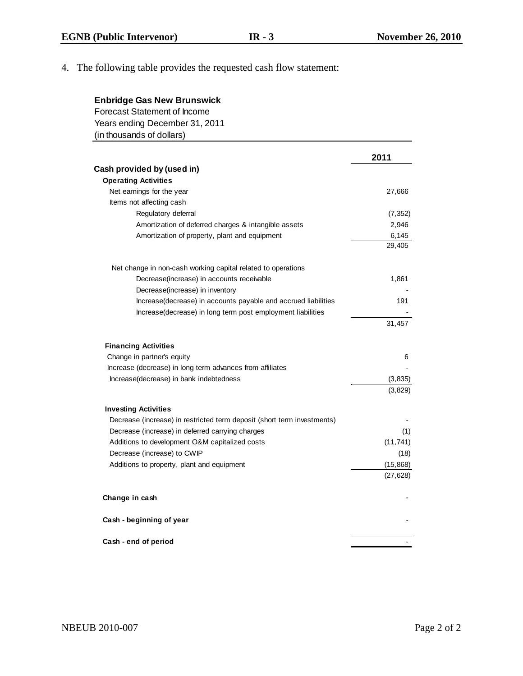# 4. The following table provides the requested cash flow statement:

| <b>Enbridge Gas New Brunswick</b><br><b>Forecast Statement of Income</b><br>Years ending December 31, 2011 |           |
|------------------------------------------------------------------------------------------------------------|-----------|
| (in thousands of dollars)                                                                                  |           |
|                                                                                                            | 2011      |
| Cash provided by (used in)                                                                                 |           |
| <b>Operating Activities</b>                                                                                |           |
| Net earnings for the year                                                                                  | 27,666    |
| Items not affecting cash                                                                                   |           |
| Regulatory deferral                                                                                        | (7, 352)  |
| Amortization of deferred charges & intangible assets                                                       | 2,946     |
| Amortization of property, plant and equipment                                                              | 6,145     |
|                                                                                                            | 29,405    |
| Net change in non-cash working capital related to operations                                               |           |
| Decrease(increase) in accounts receivable                                                                  | 1,861     |
| Decrease(increase) in inventory                                                                            |           |
| Increase(decrease) in accounts payable and accrued liabilities                                             | 191       |
| Increase(decrease) in long term post employment liabilities                                                |           |
|                                                                                                            | 31,457    |
| <b>Financing Activities</b>                                                                                |           |
| Change in partner's equity                                                                                 | 6         |
| Increase (decrease) in long term advances from affiliates                                                  |           |
| Increase(decrease) in bank indebtedness                                                                    | (3, 835)  |
|                                                                                                            | (3,829)   |
| <b>Investing Activities</b>                                                                                |           |
| Decrease (increase) in restricted term deposit (short term investments)                                    |           |
| Decrease (increase) in deferred carrying charges                                                           | (1)       |
| Additions to development O&M capitalized costs                                                             | (11, 741) |
| Decrease (increase) to CWIP                                                                                | (18)      |
| Additions to property, plant and equipment                                                                 | (15, 868) |
|                                                                                                            | (27, 628) |
| Change in cash                                                                                             |           |
| Cash - beginning of year                                                                                   |           |
| Cash - end of period                                                                                       |           |
|                                                                                                            |           |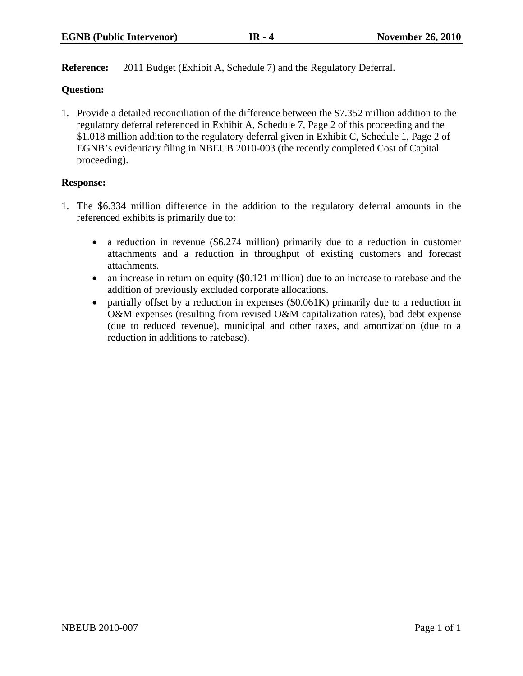**Reference:** 2011 Budget (Exhibit A, Schedule 7) and the Regulatory Deferral.

## **Question:**

1. Provide a detailed reconciliation of the difference between the \$7.352 million addition to the regulatory deferral referenced in Exhibit A, Schedule 7, Page 2 of this proceeding and the \$1.018 million addition to the regulatory deferral given in Exhibit C, Schedule 1, Page 2 of EGNB's evidentiary filing in NBEUB 2010-003 (the recently completed Cost of Capital proceeding).

## **Response:**

- 1. The \$6.334 million difference in the addition to the regulatory deferral amounts in the referenced exhibits is primarily due to:
	- a reduction in revenue (\$6.274 million) primarily due to a reduction in customer attachments and a reduction in throughput of existing customers and forecast attachments.
	- an increase in return on equity (\$0.121 million) due to an increase to ratebase and the addition of previously excluded corporate allocations.
	- partially offset by a reduction in expenses (\$0.061K) primarily due to a reduction in O&M expenses (resulting from revised O&M capitalization rates), bad debt expense (due to reduced revenue), municipal and other taxes, and amortization (due to a reduction in additions to ratebase).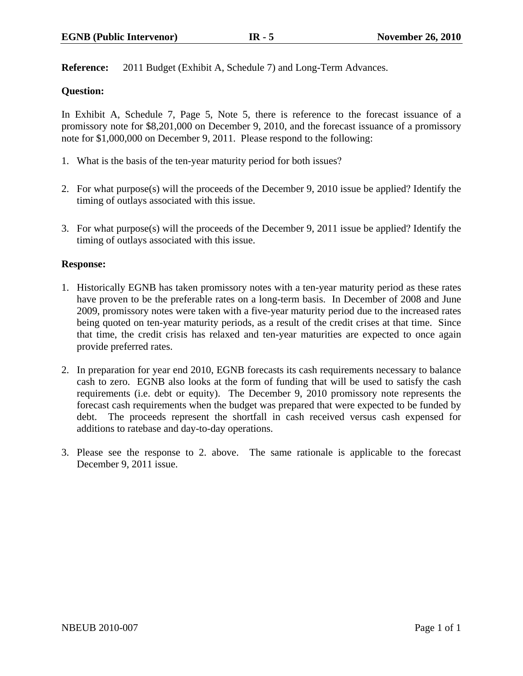**Reference:** 2011 Budget (Exhibit A, Schedule 7) and Long-Term Advances.

## **Question:**

In Exhibit A, Schedule 7, Page 5, Note 5, there is reference to the forecast issuance of a promissory note for \$8,201,000 on December 9, 2010, and the forecast issuance of a promissory note for \$1,000,000 on December 9, 2011. Please respond to the following:

- 1. What is the basis of the ten-year maturity period for both issues?
- 2. For what purpose(s) will the proceeds of the December 9, 2010 issue be applied? Identify the timing of outlays associated with this issue.
- 3. For what purpose(s) will the proceeds of the December 9, 2011 issue be applied? Identify the timing of outlays associated with this issue.

#### **Response:**

- 1. Historically EGNB has taken promissory notes with a ten-year maturity period as these rates have proven to be the preferable rates on a long-term basis. In December of 2008 and June 2009, promissory notes were taken with a five-year maturity period due to the increased rates being quoted on ten-year maturity periods, as a result of the credit crises at that time. Since that time, the credit crisis has relaxed and ten-year maturities are expected to once again provide preferred rates.
- 2. In preparation for year end 2010, EGNB forecasts its cash requirements necessary to balance cash to zero. EGNB also looks at the form of funding that will be used to satisfy the cash requirements (i.e. debt or equity). The December 9, 2010 promissory note represents the forecast cash requirements when the budget was prepared that were expected to be funded by debt. The proceeds represent the shortfall in cash received versus cash expensed for additions to ratebase and day-to-day operations.
- 3. Please see the response to 2. above. The same rationale is applicable to the forecast December 9, 2011 issue.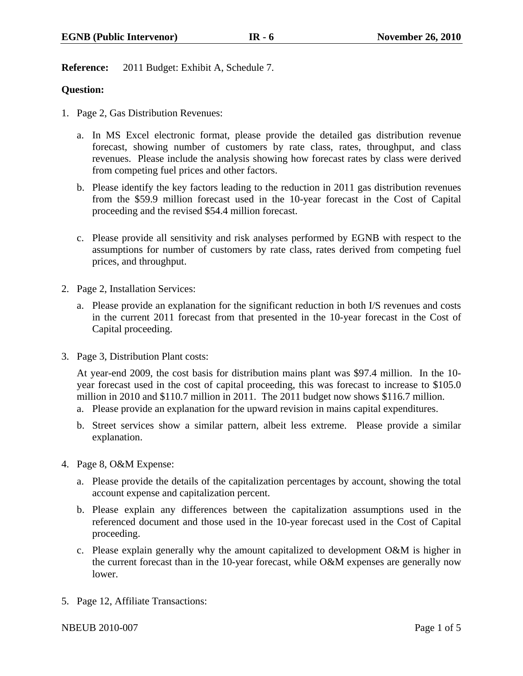**Reference:** 2011 Budget: Exhibit A, Schedule 7.

## **Question:**

- 1. Page 2, Gas Distribution Revenues:
	- a. In MS Excel electronic format, please provide the detailed gas distribution revenue forecast, showing number of customers by rate class, rates, throughput, and class revenues. Please include the analysis showing how forecast rates by class were derived from competing fuel prices and other factors.
	- b. Please identify the key factors leading to the reduction in 2011 gas distribution revenues from the \$59.9 million forecast used in the 10-year forecast in the Cost of Capital proceeding and the revised \$54.4 million forecast.
	- c. Please provide all sensitivity and risk analyses performed by EGNB with respect to the assumptions for number of customers by rate class, rates derived from competing fuel prices, and throughput.
- 2. Page 2, Installation Services:
	- a. Please provide an explanation for the significant reduction in both I/S revenues and costs in the current 2011 forecast from that presented in the 10-year forecast in the Cost of Capital proceeding.
- 3. Page 3, Distribution Plant costs:

At year-end 2009, the cost basis for distribution mains plant was \$97.4 million. In the 10 year forecast used in the cost of capital proceeding, this was forecast to increase to \$105.0 million in 2010 and \$110.7 million in 2011. The 2011 budget now shows \$116.7 million.

- a. Please provide an explanation for the upward revision in mains capital expenditures.
- b. Street services show a similar pattern, albeit less extreme. Please provide a similar explanation.
- 4. Page 8, O&M Expense:
	- a. Please provide the details of the capitalization percentages by account, showing the total account expense and capitalization percent.
	- b. Please explain any differences between the capitalization assumptions used in the referenced document and those used in the 10-year forecast used in the Cost of Capital proceeding.
	- c. Please explain generally why the amount capitalized to development O&M is higher in the current forecast than in the 10-year forecast, while O&M expenses are generally now lower.
- 5. Page 12, Affiliate Transactions:

NBEUB 2010-007 Page 1 of 5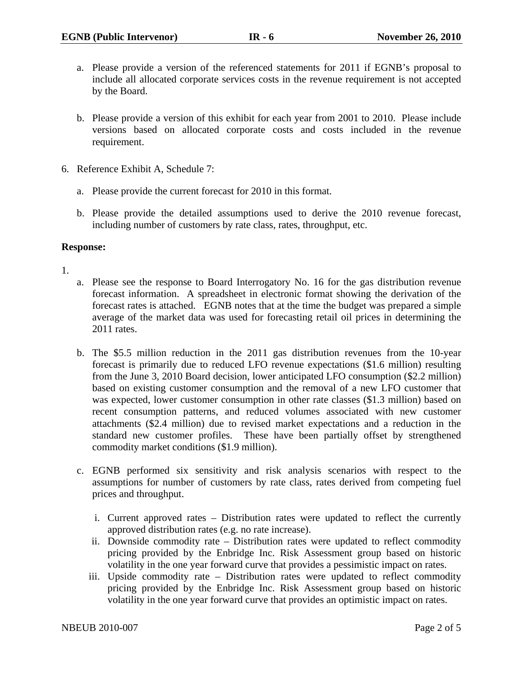- a. Please provide a version of the referenced statements for 2011 if EGNB's proposal to include all allocated corporate services costs in the revenue requirement is not accepted by the Board.
- b. Please provide a version of this exhibit for each year from 2001 to 2010. Please include versions based on allocated corporate costs and costs included in the revenue requirement.
- 6. Reference Exhibit A, Schedule 7:
	- a. Please provide the current forecast for 2010 in this format.
	- b. Please provide the detailed assumptions used to derive the 2010 revenue forecast, including number of customers by rate class, rates, throughput, etc.

#### **Response:**

#### 1.

- a. Please see the response to Board Interrogatory No. 16 for the gas distribution revenue forecast information. A spreadsheet in electronic format showing the derivation of the forecast rates is attached. EGNB notes that at the time the budget was prepared a simple average of the market data was used for forecasting retail oil prices in determining the 2011 rates.
- b. The \$5.5 million reduction in the 2011 gas distribution revenues from the 10-year forecast is primarily due to reduced LFO revenue expectations (\$1.6 million) resulting from the June 3, 2010 Board decision, lower anticipated LFO consumption (\$2.2 million) based on existing customer consumption and the removal of a new LFO customer that was expected, lower customer consumption in other rate classes (\$1.3 million) based on recent consumption patterns, and reduced volumes associated with new customer attachments (\$2.4 million) due to revised market expectations and a reduction in the standard new customer profiles. These have been partially offset by strengthened commodity market conditions (\$1.9 million).
- c. EGNB performed six sensitivity and risk analysis scenarios with respect to the assumptions for number of customers by rate class, rates derived from competing fuel prices and throughput.
	- i. Current approved rates Distribution rates were updated to reflect the currently approved distribution rates (e.g. no rate increase).
	- ii. Downside commodity rate Distribution rates were updated to reflect commodity pricing provided by the Enbridge Inc. Risk Assessment group based on historic volatility in the one year forward curve that provides a pessimistic impact on rates.
	- iii. Upside commodity rate Distribution rates were updated to reflect commodity pricing provided by the Enbridge Inc. Risk Assessment group based on historic volatility in the one year forward curve that provides an optimistic impact on rates.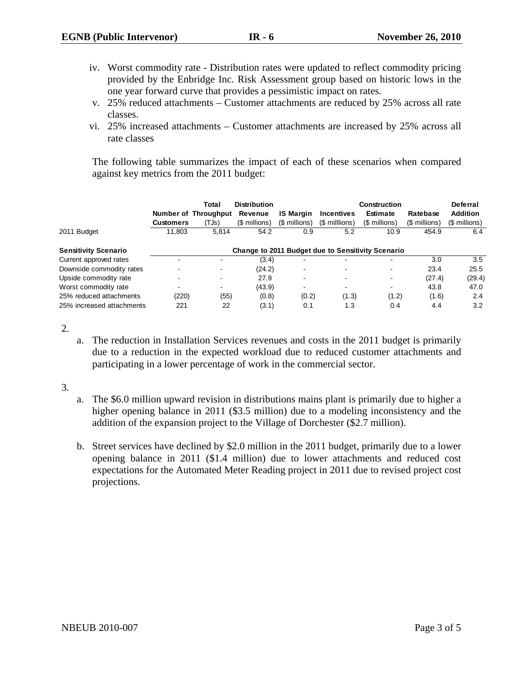- iv. Worst commodity rate Distribution rates were updated to reflect commodity pricing provided by the Enbridge Inc. Risk Assessment group based on historic lows in the one year forward curve that provides a pessimistic impact on rates.
- v. 25% reduced attachments Customer attachments are reduced by 25% across all rate classes.
- vi. 25% increased attachments Customer attachments are increased by 25% across all rate classes

The following table summarizes the impact of each of these scenarios when compared against key metrics from the 2011 budget:

|                             |                                                   | Total                | <b>Distribution</b> |                  |                   | <b>Construction</b>      |               | Deferral        |
|-----------------------------|---------------------------------------------------|----------------------|---------------------|------------------|-------------------|--------------------------|---------------|-----------------|
|                             |                                                   | Number of Throughput | Revenue             | <b>IS Margin</b> | <b>Incentives</b> | <b>Estimate</b>          | Ratebase      | <b>Addition</b> |
|                             | <b>Customers</b>                                  | (TJs)                | (\$ millions)       | (\$ millions)    | (\$ millions)     | (\$ millions)            | (\$ millions) | (\$ millions)   |
| 2011 Budget                 | 11,803                                            | 5.814                | 54.2                | 0.9              | 5.2               | 10.9                     | 454.9         | 6.4             |
| <b>Sensitivity Scenario</b> | Change to 2011 Budget due to Sensitivity Scenario |                      |                     |                  |                   |                          |               |                 |
| Current approved rates      |                                                   | ۰                    | (3.4)               |                  |                   | $\overline{\phantom{0}}$ | 3.0           | 3.5             |
| Downside commodity rates    |                                                   | $\blacksquare$       | (24.2)              | -                | $\blacksquare$    | $\blacksquare$           | 23.4          | 25.5            |
| Upside commodity rate       |                                                   | $\blacksquare$       | 27.9                | ۰                | $\blacksquare$    | $\blacksquare$           | (27.4)        | (29.4)          |
| Worst commodity rate        |                                                   | $\blacksquare$       | (43.9)              | ۰                | $\sim$            | $\blacksquare$           | 43.8          | 47.0            |
| 25% reduced attachments     | (220)                                             | (55)                 | (0.8)               | (0.2)            | (1.3)             | (1.2)                    | (1.6)         | 2.4             |
| 25% increased attachments   | 221                                               | 22                   | (3.1)               | 0.1              | 1.3               | 0.4                      | 4.4           | 3.2             |

2.

a. The reduction in Installation Services revenues and costs in the 2011 budget is primarily due to a reduction in the expected workload due to reduced customer attachments and participating in a lower percentage of work in the commercial sector.

3.

- a. The \$6.0 million upward revision in distributions mains plant is primarily due to higher a higher opening balance in 2011 (\$3.5 million) due to a modeling inconsistency and the addition of the expansion project to the Village of Dorchester (\$2.7 million).
- b. Street services have declined by \$2.0 million in the 2011 budget, primarily due to a lower opening balance in 2011 (\$1.4 million) due to lower attachments and reduced cost expectations for the Automated Meter Reading project in 2011 due to revised project cost projections.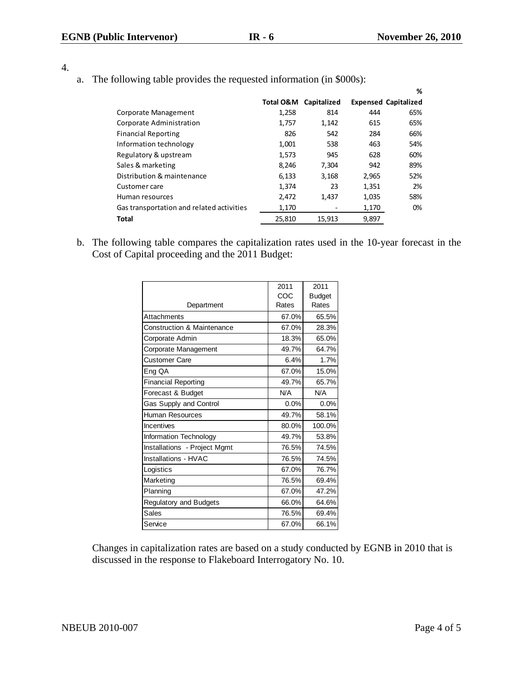| ۰<br>× |  |
|--------|--|

a. The following table provides the requested information (in \$000s):

|        |             |       | %                           |
|--------|-------------|-------|-----------------------------|
|        | Capitalized |       | <b>Expensed Capitalized</b> |
| 1,258  | 814         | 444   | 65%                         |
| 1,757  | 1,142       | 615   | 65%                         |
| 826    | 542         | 284   | 66%                         |
| 1,001  | 538         | 463   | 54%                         |
| 1,573  | 945         | 628   | 60%                         |
| 8,246  | 7,304       | 942   | 89%                         |
| 6,133  | 3,168       | 2,965 | 52%                         |
| 1,374  | 23          | 1,351 | 2%                          |
| 2,472  | 1,437       | 1,035 | 58%                         |
| 1,170  |             | 1,170 | 0%                          |
| 25,810 | 15,913      | 9,897 |                             |
|        | Total O&M   |       |                             |

b. The following table compares the capitalization rates used in the 10-year forecast in the Cost of Capital proceeding and the 2011 Budget:

|                                       | 2011  | 2011          |
|---------------------------------------|-------|---------------|
|                                       | COC   | <b>Budget</b> |
| Department                            | Rates | Rates         |
| Attachments                           | 67.0% | 65.5%         |
| <b>Construction &amp; Maintenance</b> | 67.0% | 28.3%         |
| Corporate Admin                       | 18.3% | 65.0%         |
| Corporate Management                  | 49.7% | 64.7%         |
| Customer Care                         | 6.4%  | 1.7%          |
| Eng QA                                | 67.0% | 15.0%         |
| <b>Financial Reporting</b>            | 49.7% | 65.7%         |
| Forecast & Budget                     | N/A   | N/A           |
| Gas Supply and Control                | 0.0%  | 0.0%          |
| Human Resources                       | 49.7% | 58.1%         |
| Incentives                            | 80.0% | 100.0%        |
| Information Technology                | 49.7% | 53.8%         |
| Installations - Project Mgmt          | 76.5% | 74.5%         |
| Installations - HVAC                  | 76.5% | 74.5%         |
| Logistics                             | 67.0% | 76.7%         |
| Marketing                             | 76.5% | 69.4%         |
| Planning                              | 67.0% | 47.2%         |
| Regulatory and Budgets                | 66.0% | 64.6%         |
| Sales                                 | 76.5% | 69.4%         |
| Service                               | 67.0% | 66.1%         |

Changes in capitalization rates are based on a study conducted by EGNB in 2010 that is discussed in the response to Flakeboard Interrogatory No. 10.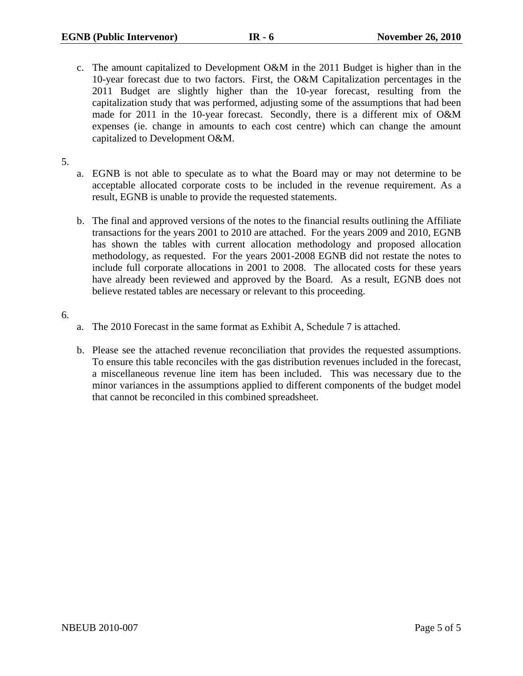- c. The amount capitalized to Development O&M in the 2011 Budget is higher than in the 10-year forecast due to two factors. First, the O&M Capitalization percentages in the 2011 Budget are slightly higher than the 10-year forecast, resulting from the capitalization study that was performed, adjusting some of the assumptions that had been made for 2011 in the 10-year forecast. Secondly, there is a different mix of O&M expenses (ie. change in amounts to each cost centre) which can change the amount capitalized to Development O&M.
- 5.
- a. EGNB is not able to speculate as to what the Board may or may not determine to be acceptable allocated corporate costs to be included in the revenue requirement. As a result, EGNB is unable to provide the requested statements.
- b. The final and approved versions of the notes to the financial results outlining the Affiliate transactions for the years 2001 to 2010 are attached. For the years 2009 and 2010, EGNB has shown the tables with current allocation methodology and proposed allocation methodology, as requested. For the years 2001-2008 EGNB did not restate the notes to include full corporate allocations in 2001 to 2008. The allocated costs for these years have already been reviewed and approved by the Board. As a result, EGNB does not believe restated tables are necessary or relevant to this proceeding.
- 6.
- a. The 2010 Forecast in the same format as Exhibit A, Schedule 7 is attached.
- b. Please see the attached revenue reconciliation that provides the requested assumptions. To ensure this table reconciles with the gas distribution revenues included in the forecast, a miscellaneous revenue line item has been included. This was necessary due to the minor variances in the assumptions applied to different components of the budget model that cannot be reconciled in this combined spreadsheet.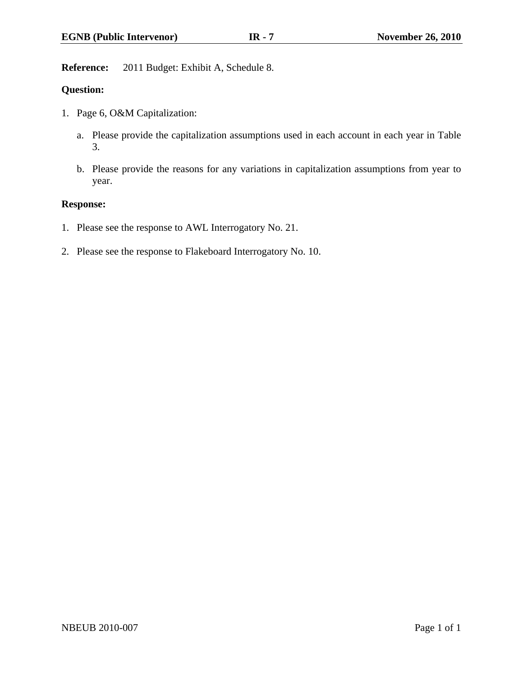**Reference:** 2011 Budget: Exhibit A, Schedule 8.

## **Question:**

- 1. Page 6, O&M Capitalization:
	- a. Please provide the capitalization assumptions used in each account in each year in Table 3.
	- b. Please provide the reasons for any variations in capitalization assumptions from year to year.

## **Response:**

- 1. Please see the response to AWL Interrogatory No. 21.
- 2. Please see the response to Flakeboard Interrogatory No. 10.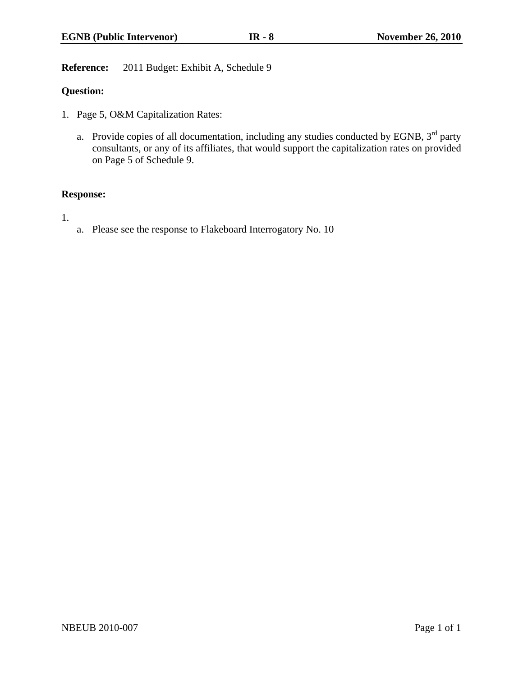**Reference:** 2011 Budget: Exhibit A, Schedule 9

## **Question:**

- 1. Page 5, O&M Capitalization Rates:
	- a. Provide copies of all documentation, including any studies conducted by EGNB,  $3^{rd}$  party consultants, or any of its affiliates, that would support the capitalization rates on provided on Page 5 of Schedule 9.

## **Response:**

1.

a. Please see the response to Flakeboard Interrogatory No. 10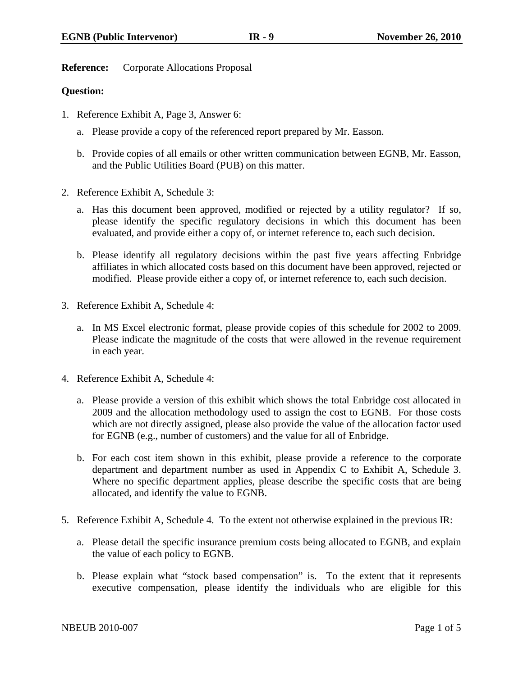**Reference:** Corporate Allocations Proposal

## **Question:**

- 1. Reference Exhibit A, Page 3, Answer 6:
	- a. Please provide a copy of the referenced report prepared by Mr. Easson.
	- b. Provide copies of all emails or other written communication between EGNB, Mr. Easson, and the Public Utilities Board (PUB) on this matter.
- 2. Reference Exhibit A, Schedule 3:
	- a. Has this document been approved, modified or rejected by a utility regulator? If so, please identify the specific regulatory decisions in which this document has been evaluated, and provide either a copy of, or internet reference to, each such decision.
	- b. Please identify all regulatory decisions within the past five years affecting Enbridge affiliates in which allocated costs based on this document have been approved, rejected or modified. Please provide either a copy of, or internet reference to, each such decision.
- 3. Reference Exhibit A, Schedule 4:
	- a. In MS Excel electronic format, please provide copies of this schedule for 2002 to 2009. Please indicate the magnitude of the costs that were allowed in the revenue requirement in each year.
- 4. Reference Exhibit A, Schedule 4:
	- a. Please provide a version of this exhibit which shows the total Enbridge cost allocated in 2009 and the allocation methodology used to assign the cost to EGNB. For those costs which are not directly assigned, please also provide the value of the allocation factor used for EGNB (e.g., number of customers) and the value for all of Enbridge.
	- b. For each cost item shown in this exhibit, please provide a reference to the corporate department and department number as used in Appendix C to Exhibit A, Schedule 3. Where no specific department applies, please describe the specific costs that are being allocated, and identify the value to EGNB.
- 5. Reference Exhibit A, Schedule 4. To the extent not otherwise explained in the previous IR:
	- a. Please detail the specific insurance premium costs being allocated to EGNB, and explain the value of each policy to EGNB.
	- b. Please explain what "stock based compensation" is. To the extent that it represents executive compensation, please identify the individuals who are eligible for this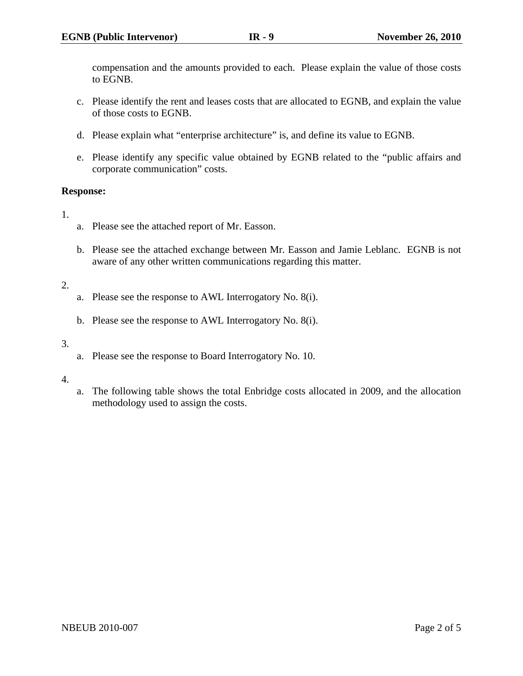compensation and the amounts provided to each. Please explain the value of those costs to EGNB.

- c. Please identify the rent and leases costs that are allocated to EGNB, and explain the value of those costs to EGNB.
- d. Please explain what "enterprise architecture" is, and define its value to EGNB.
- e. Please identify any specific value obtained by EGNB related to the "public affairs and corporate communication" costs.

## **Response:**

- 1.
- a. Please see the attached report of Mr. Easson.
- b. Please see the attached exchange between Mr. Easson and Jamie Leblanc. EGNB is not aware of any other written communications regarding this matter.

## 2.

- a. Please see the response to AWL Interrogatory No. 8(i).
- b. Please see the response to AWL Interrogatory No. 8(i).

#### 3.

a. Please see the response to Board Interrogatory No. 10.

#### 4.

a. The following table shows the total Enbridge costs allocated in 2009, and the allocation methodology used to assign the costs.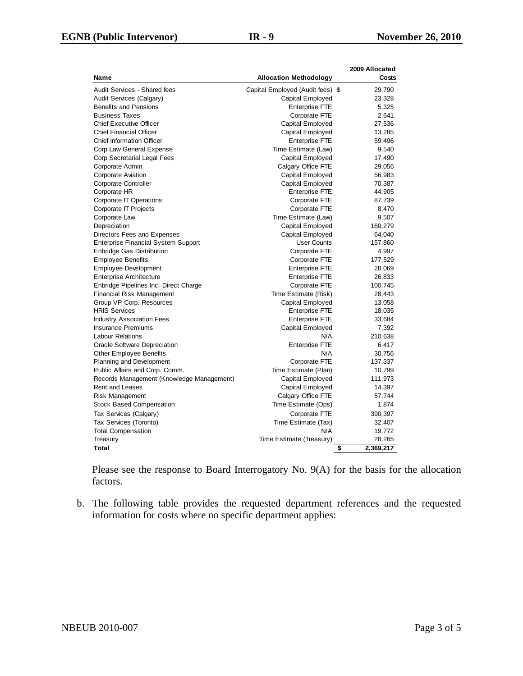|                                            |                                  | 2009 Allocated  |
|--------------------------------------------|----------------------------------|-----------------|
| Name                                       | <b>Allocation Methodology</b>    | Costs           |
| Audit Services - Shared fees               | Capital Employed (Audit fees) \$ | 29,790          |
| Audit Services (Calgary)                   | Capital Employed                 | 23,328          |
| <b>Benefits and Pensions</b>               | <b>Enterprise FTE</b>            | 5,325           |
| <b>Business Taxes</b>                      | Corporate FTE                    | 2,641           |
| <b>Chief Executive Officer</b>             | Capital Employed                 | 27,536          |
| <b>Chief Financial Officer</b>             | Capital Employed                 | 13,285          |
| <b>Chief Information Officer</b>           | <b>Enterprise FTE</b>            | 59,496          |
| Corp Law General Expense                   | Time Estimate (Law)              | 9,540           |
| Corp Secretarial Legal Fees                | Capital Employed                 | 17,490          |
| Corporate Admin.                           | Calgary Office FTE               | 29,056          |
| <b>Corporate Aviation</b>                  | Capital Employed                 | 56,983          |
| Corporate Controller                       | Capital Employed                 | 70,387          |
| Corporate HR                               | <b>Enterprise FTE</b>            | 44,905          |
| <b>Corporate IT Operations</b>             | Corporate FTE                    | 87,739          |
| Corporate IT Projects                      | Corporate FTE                    | 8,470           |
| Corporate Law                              | Time Estimate (Law)              | 9,507           |
| Depreciation                               | Capital Employed                 | 160,279         |
| Directors Fees and Expenses                | Capital Employed                 | 64,040          |
| <b>Enterprise Financial System Support</b> | <b>User Counts</b>               | 157,860         |
| <b>Enbridge Gas Distribution</b>           | Corporate FTE                    | 4,997           |
| <b>Employee Benefits</b>                   | Corporate FTE                    | 177,529         |
| <b>Employee Development</b>                | <b>Enterprise FTE</b>            | 28,069          |
| <b>Enterprise Architecture</b>             | <b>Enterprise FTE</b>            | 26,833          |
| Enbridge Pipelines Inc. Direct Charge      | Corporate FTE                    | 100,745         |
| <b>Financial Risk Management</b>           | Time Estimate (Risk)             | 28,443          |
| Group VP Corp. Resources                   | Capital Employed                 | 13,058          |
| <b>HRIS Services</b>                       | <b>Enterprise FTE</b>            | 18,035          |
| <b>Industry Association Fees</b>           | <b>Enterprise FTE</b>            | 33,684          |
| <b>Insurance Premiums</b>                  | Capital Employed                 | 7,392           |
| <b>Labour Relations</b>                    | N/A                              | 210,638         |
| Oracle Software Depreciation               | <b>Enterprise FTE</b>            | 6,417           |
| Other Employee Benefits                    | N/A                              | 30,756          |
| <b>Planning and Development</b>            | Corporate FTE                    | 137,337         |
| Public Affairs and Corp. Comm.             | Time Estimate (Plan)             | 10,799          |
| Records Management (Knowledge Management)  | Capital Employed                 | 111,973         |
| <b>Rent and Leases</b>                     | Capital Employed                 | 14,397          |
| Risk Management                            | Calgary Office FTE               | 57,744          |
| <b>Stock Based Compensation</b>            | Time Estimate (Ops)              | 1,874           |
| Tax Services (Calgary)                     | Corporate FTE                    | 390,397         |
| Tax Services (Toronto)                     | Time Estimate (Tax)              | 32,407          |
| <b>Total Compensation</b>                  | N/A                              | 19,772          |
| Treasury                                   | Time Estimate (Treasury)         | 28,265          |
| Total                                      |                                  | \$<br>2,369,217 |

Please see the response to Board Interrogatory No. 9(A) for the basis for the allocation factors.

b. The following table provides the requested department references and the requested information for costs where no specific department applies: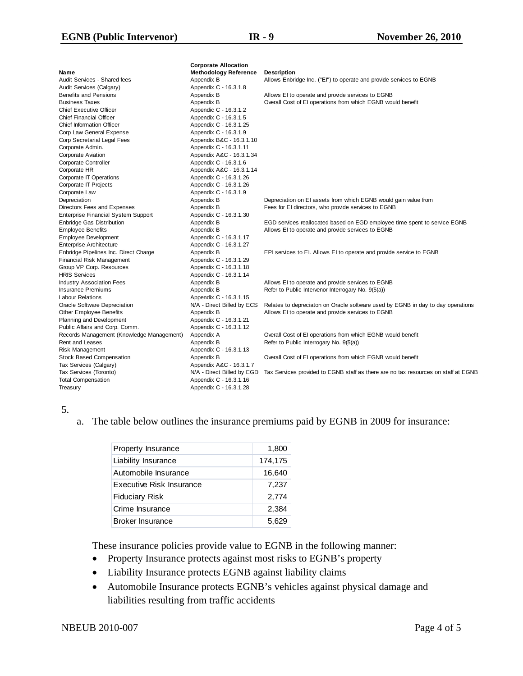|                                            | <b>Corporate Allocation</b>  |                                                                                    |
|--------------------------------------------|------------------------------|------------------------------------------------------------------------------------|
| Name                                       | <b>Methodology Reference</b> | Description                                                                        |
| Audit Services - Shared fees               | Appendix B                   | Allows Enbridge Inc. ("EI") to operate and provide services to EGNB                |
| Audit Services (Calgary)                   | Appendix C - 16.3.1.8        |                                                                                    |
| <b>Benefits and Pensions</b>               | Appendix B                   | Allows EI to operate and provide services to EGNB                                  |
| <b>Business Taxes</b>                      | Appendix B                   | Overall Cost of El operations from which EGNB would benefit                        |
| <b>Chief Executive Officer</b>             | Appendic C - 16.3.1.2        |                                                                                    |
| <b>Chief Financial Officer</b>             | Appendix C - 16.3.1.5        |                                                                                    |
| <b>Chief Information Officer</b>           | Appendix C - 16.3.1.25       |                                                                                    |
| Corp Law General Expense                   | Appendix C - 16.3.1.9        |                                                                                    |
| Corp Secretarial Legal Fees                | Appendix B&C - 16.3.1.10     |                                                                                    |
| Corporate Admin.                           | Appendix C - 16.3.1.11       |                                                                                    |
| <b>Corporate Aviation</b>                  | Appendix A&C - 16.3.1.34     |                                                                                    |
| Corporate Controller                       | Appendix C - 16.3.1.6        |                                                                                    |
| Corporate HR                               | Appendix A&C - 16.3.1.14     |                                                                                    |
| Corporate IT Operations                    | Appendix C - 16.3.1.26       |                                                                                    |
| Corporate IT Projects                      | Appendix C - 16.3.1.26       |                                                                                    |
| Corporate Law                              | Appendix C - 16.3.1.9        |                                                                                    |
| Depreciation                               | Appendix B                   | Depreciation on EI assets from which EGNB would gain value from                    |
| Directors Fees and Expenses                | Appendix B                   | Fees for El directors, who provide services to EGNB                                |
| <b>Enterprise Financial System Support</b> | Appendix C - 16.3.1.30       |                                                                                    |
| <b>Enbridge Gas Distribution</b>           | Appendix B                   | EGD services reallocated based on EGD employee time spent to service EGNB          |
| <b>Employee Benefits</b>                   | Appendix B                   | Allows EI to operate and provide services to EGNB                                  |
| <b>Employee Development</b>                | Appendix C - 16.3.1.17       |                                                                                    |
| <b>Enterprise Architecture</b>             | Appendix C - 16.3.1.27       |                                                                                    |
| Enbridge Pipelines Inc. Direct Charge      | Appendix B                   | EPI services to EI. Allows EI to operate and provide service to EGNB               |
| Financial Risk Management                  | Appendix C - 16.3.1.29       |                                                                                    |
| Group VP Corp. Resources                   | Appendix C - 16.3.1.18       |                                                                                    |
| <b>HRIS Services</b>                       | Appendix C - 16.3.1.14       |                                                                                    |
| <b>Industry Association Fees</b>           | Appendix B                   | Allows EI to operate and provide services to EGNB                                  |
| <b>Insurance Premiums</b>                  | Appendix B                   | Refer to Public Intervenor Interrogary No. 9(5(a))                                 |
| <b>Labour Relations</b>                    | Appendix C - 16.3.1.15       |                                                                                    |
| Oracle Software Depreciation               | N/A - Direct Billed by ECS   | Relates to depreciaton on Oracle software used by EGNB in day to day operations    |
| Other Employee Benefits                    | Appendix B                   | Allows EI to operate and provide services to EGNB                                  |
| Planning and Development                   | Appendix C - 16.3.1.21       |                                                                                    |
| Public Affairs and Corp. Comm.             | Appendix C - 16.3.1.12       |                                                                                    |
| Records Management (Knowledge Management)  | Appendix A                   | Overall Cost of El operations from which EGNB would benefit                        |
| Rent and Leases                            | Appendix B                   | Refer to Public Interrogary No. 9(5(a))                                            |
| Risk Management                            | Appendix C - 16.3.1.13       |                                                                                    |
| <b>Stock Based Compensation</b>            | Appendix B                   | Overall Cost of El operations from which EGNB would benefit                        |
| Tax Services (Calgary)                     | Appendix A&C - 16.3.1.7      |                                                                                    |
| Tax Services (Toronto)                     | N/A - Direct Billed by EGD   | Tax Services provided to EGNB staff as there are no tax resources on staff at EGNB |
| <b>Total Compensation</b>                  | Appendix C - 16.3.1.16       |                                                                                    |
| Treasury                                   | Appendix C - 16.3.1.28       |                                                                                    |
|                                            |                              |                                                                                    |

#### 5.

a. The table below outlines the insurance premiums paid by EGNB in 2009 for insurance:

| Property Insurance       | 1,800   |
|--------------------------|---------|
| Liability Insurance      | 174,175 |
| Automobile Insurance     | 16,640  |
| Executive Risk Insurance | 7,237   |
| <b>Fiduciary Risk</b>    | 2.774   |
| Crime Insurance          | 2,384   |
| Broker Insurance         | 5.629   |

These insurance policies provide value to EGNB in the following manner:

- Property Insurance protects against most risks to EGNB's property
- Liability Insurance protects EGNB against liability claims
- Automobile Insurance protects EGNB's vehicles against physical damage and liabilities resulting from traffic accidents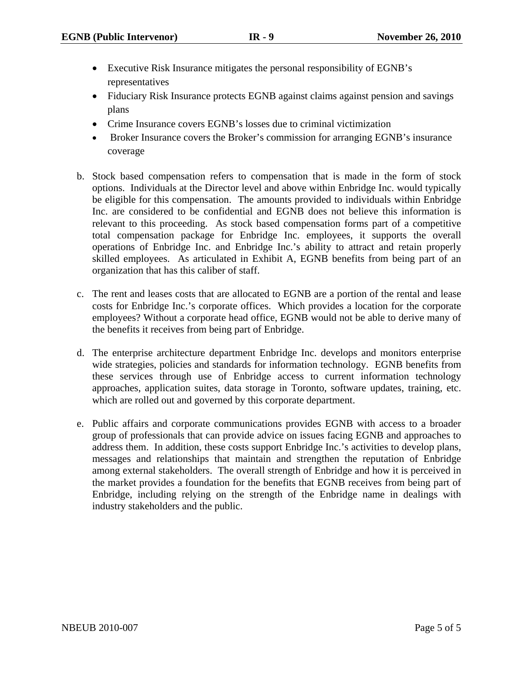- Executive Risk Insurance mitigates the personal responsibility of EGNB's representatives
- Fiduciary Risk Insurance protects EGNB against claims against pension and savings plans
- Crime Insurance covers EGNB's losses due to criminal victimization
- Broker Insurance covers the Broker's commission for arranging EGNB's insurance coverage
- b. Stock based compensation refers to compensation that is made in the form of stock options. Individuals at the Director level and above within Enbridge Inc. would typically be eligible for this compensation. The amounts provided to individuals within Enbridge Inc. are considered to be confidential and EGNB does not believe this information is relevant to this proceeding. As stock based compensation forms part of a competitive total compensation package for Enbridge Inc. employees, it supports the overall operations of Enbridge Inc. and Enbridge Inc.'s ability to attract and retain properly skilled employees. As articulated in Exhibit A, EGNB benefits from being part of an organization that has this caliber of staff.
- c. The rent and leases costs that are allocated to EGNB are a portion of the rental and lease costs for Enbridge Inc.'s corporate offices. Which provides a location for the corporate employees? Without a corporate head office, EGNB would not be able to derive many of the benefits it receives from being part of Enbridge.
- d. The enterprise architecture department Enbridge Inc. develops and monitors enterprise wide strategies, policies and standards for information technology. EGNB benefits from these services through use of Enbridge access to current information technology approaches, application suites, data storage in Toronto, software updates, training, etc. which are rolled out and governed by this corporate department.
- e. Public affairs and corporate communications provides EGNB with access to a broader group of professionals that can provide advice on issues facing EGNB and approaches to address them. In addition, these costs support Enbridge Inc.'s activities to develop plans, messages and relationships that maintain and strengthen the reputation of Enbridge among external stakeholders. The overall strength of Enbridge and how it is perceived in the market provides a foundation for the benefits that EGNB receives from being part of Enbridge, including relying on the strength of the Enbridge name in dealings with industry stakeholders and the public.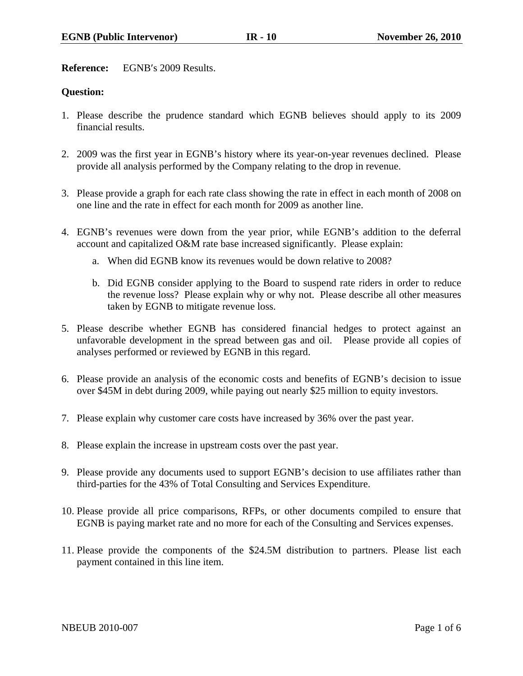**Reference:** EGNB′s 2009 Results.

## **Question:**

- 1. Please describe the prudence standard which EGNB believes should apply to its 2009 financial results.
- 2. 2009 was the first year in EGNB's history where its year-on-year revenues declined. Please provide all analysis performed by the Company relating to the drop in revenue.
- 3. Please provide a graph for each rate class showing the rate in effect in each month of 2008 on one line and the rate in effect for each month for 2009 as another line.
- 4. EGNB's revenues were down from the year prior, while EGNB's addition to the deferral account and capitalized O&M rate base increased significantly. Please explain:
	- a. When did EGNB know its revenues would be down relative to 2008?
	- b. Did EGNB consider applying to the Board to suspend rate riders in order to reduce the revenue loss? Please explain why or why not. Please describe all other measures taken by EGNB to mitigate revenue loss.
- 5. Please describe whether EGNB has considered financial hedges to protect against an unfavorable development in the spread between gas and oil. Please provide all copies of analyses performed or reviewed by EGNB in this regard.
- 6. Please provide an analysis of the economic costs and benefits of EGNB's decision to issue over \$45M in debt during 2009, while paying out nearly \$25 million to equity investors.
- 7. Please explain why customer care costs have increased by 36% over the past year.
- 8. Please explain the increase in upstream costs over the past year.
- 9. Please provide any documents used to support EGNB's decision to use affiliates rather than third-parties for the 43% of Total Consulting and Services Expenditure.
- 10. Please provide all price comparisons, RFPs, or other documents compiled to ensure that EGNB is paying market rate and no more for each of the Consulting and Services expenses.
- 11. Please provide the components of the \$24.5M distribution to partners. Please list each payment contained in this line item.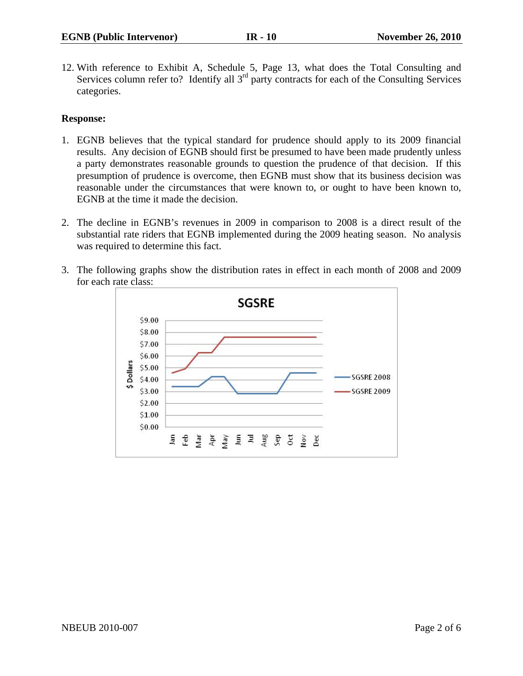12. With reference to Exhibit A, Schedule 5, Page 13, what does the Total Consulting and Services column refer to? Identify all 3<sup>rd</sup> party contracts for each of the Consulting Services categories.

## **Response:**

- 1. EGNB believes that the typical standard for prudence should apply to its 2009 financial results. Any decision of EGNB should first be presumed to have been made prudently unless a party demonstrates reasonable grounds to question the prudence of that decision. If this presumption of prudence is overcome, then EGNB must show that its business decision was reasonable under the circumstances that were known to, or ought to have been known to, EGNB at the time it made the decision.
- 2. The decline in EGNB's revenues in 2009 in comparison to 2008 is a direct result of the substantial rate riders that EGNB implemented during the 2009 heating season. No analysis was required to determine this fact.
- 3. The following graphs show the distribution rates in effect in each month of 2008 and 2009 for each rate class:

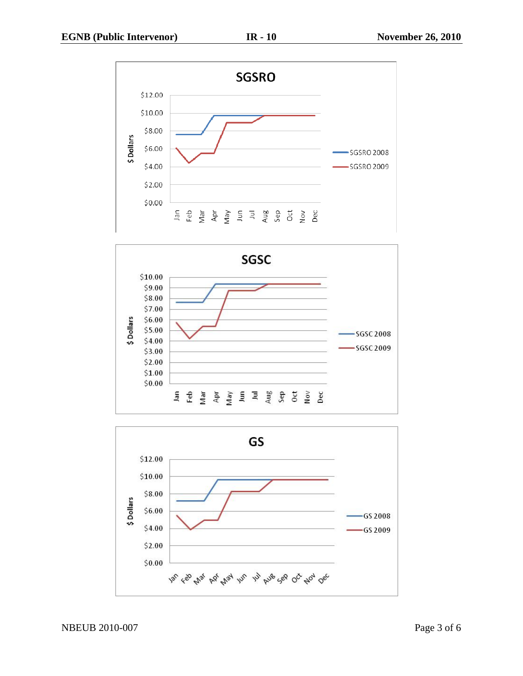



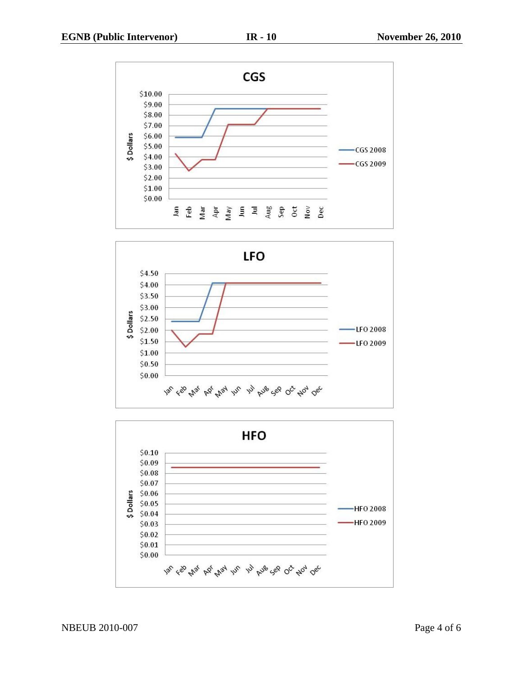



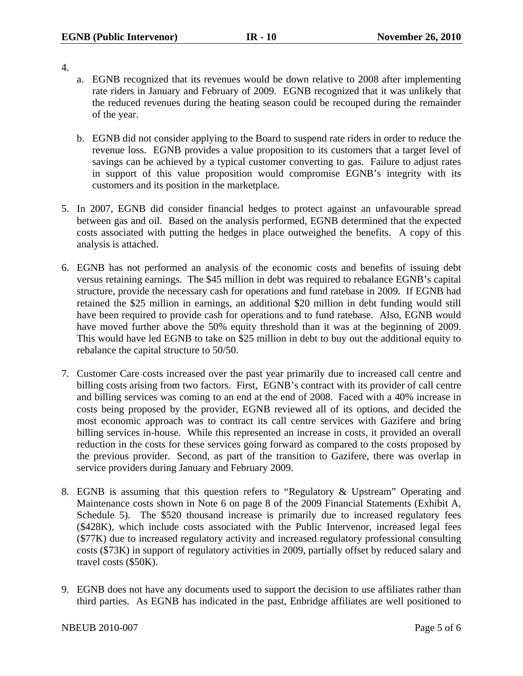- 4.
- a. EGNB recognized that its revenues would be down relative to 2008 after implementing rate riders in January and February of 2009. EGNB recognized that it was unlikely that the reduced revenues during the heating season could be recouped during the remainder of the year.
- b. EGNB did not consider applying to the Board to suspend rate riders in order to reduce the revenue loss. EGNB provides a value proposition to its customers that a target level of savings can be achieved by a typical customer converting to gas. Failure to adjust rates in support of this value proposition would compromise EGNB's integrity with its customers and its position in the marketplace.
- 5. In 2007, EGNB did consider financial hedges to protect against an unfavourable spread between gas and oil. Based on the analysis performed, EGNB determined that the expected costs associated with putting the hedges in place outweighed the benefits. A copy of this analysis is attached.
- 6. EGNB has not performed an analysis of the economic costs and benefits of issuing debt versus retaining earnings. The \$45 million in debt was required to rebalance EGNB's capital structure, provide the necessary cash for operations and fund ratebase in 2009. If EGNB had retained the \$25 million in earnings, an additional \$20 million in debt funding would still have been required to provide cash for operations and to fund ratebase. Also, EGNB would have moved further above the 50% equity threshold than it was at the beginning of 2009. This would have led EGNB to take on \$25 million in debt to buy out the additional equity to rebalance the capital structure to 50/50.
- 7. Customer Care costs increased over the past year primarily due to increased call centre and billing costs arising from two factors. First, EGNB's contract with its provider of call centre and billing services was coming to an end at the end of 2008. Faced with a 40% increase in costs being proposed by the provider, EGNB reviewed all of its options, and decided the most economic approach was to contract its call centre services with Gazifere and bring billing services in-house. While this represented an increase in costs, it provided an overall reduction in the costs for these services going forward as compared to the costs proposed by the previous provider. Second, as part of the transition to Gazifere, there was overlap in service providers during January and February 2009.
- 8. EGNB is assuming that this question refers to "Regulatory & Upstream" Operating and Maintenance costs shown in Note 6 on page 8 of the 2009 Financial Statements (Exhibit A, Schedule 5). The \$520 thousand increase is primarily due to increased regulatory fees (\$428K), which include costs associated with the Public Intervenor, increased legal fees (\$77K) due to increased regulatory activity and increased regulatory professional consulting costs (\$73K) in support of regulatory activities in 2009, partially offset by reduced salary and travel costs (\$50K).
- 9. EGNB does not have any documents used to support the decision to use affiliates rather than third parties. As EGNB has indicated in the past, Enbridge affiliates are well positioned to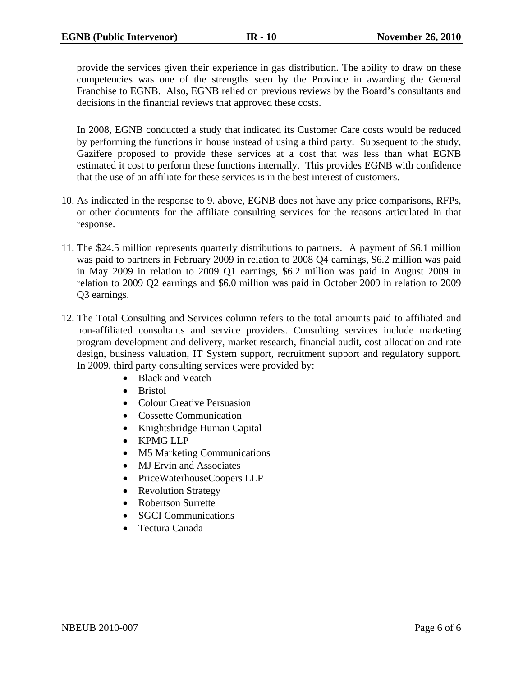provide the services given their experience in gas distribution. The ability to draw on these competencies was one of the strengths seen by the Province in awarding the General Franchise to EGNB. Also, EGNB relied on previous reviews by the Board's consultants and decisions in the financial reviews that approved these costs.

In 2008, EGNB conducted a study that indicated its Customer Care costs would be reduced by performing the functions in house instead of using a third party. Subsequent to the study, Gazifere proposed to provide these services at a cost that was less than what EGNB estimated it cost to perform these functions internally. This provides EGNB with confidence that the use of an affiliate for these services is in the best interest of customers.

- 10. As indicated in the response to 9. above, EGNB does not have any price comparisons, RFPs, or other documents for the affiliate consulting services for the reasons articulated in that response.
- 11. The \$24.5 million represents quarterly distributions to partners. A payment of \$6.1 million was paid to partners in February 2009 in relation to 2008 Q4 earnings, \$6.2 million was paid in May 2009 in relation to 2009 Q1 earnings, \$6.2 million was paid in August 2009 in relation to 2009 Q2 earnings and \$6.0 million was paid in October 2009 in relation to 2009 Q3 earnings.
- 12. The Total Consulting and Services column refers to the total amounts paid to affiliated and non-affiliated consultants and service providers. Consulting services include marketing program development and delivery, market research, financial audit, cost allocation and rate design, business valuation, IT System support, recruitment support and regulatory support. In 2009, third party consulting services were provided by:
	- Black and Veatch
	- Bristol
	- Colour Creative Persuasion
	- Cossette Communication
	- Knightsbridge Human Capital
	- KPMG LLP
	- M5 Marketing Communications
	- MJ Ervin and Associates
	- PriceWaterhouseCoopers LLP
	- Revolution Strategy
	- Robertson Surrette
	- **SGCI Communications**
	- Tectura Canada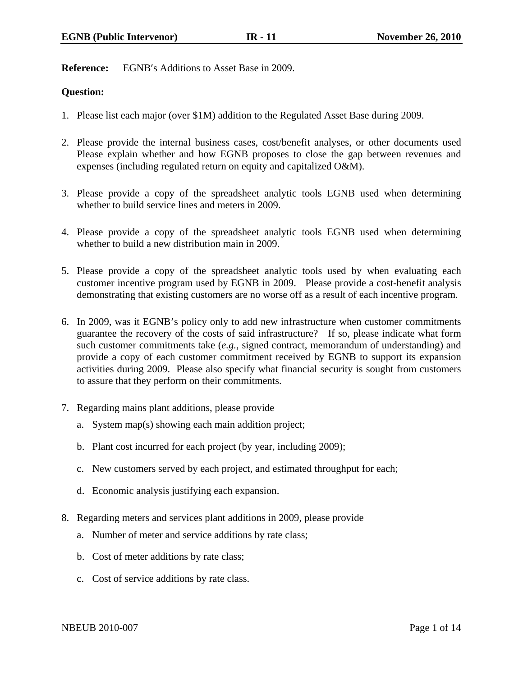**Reference:** EGNB′s Additions to Asset Base in 2009.

## **Question:**

- 1. Please list each major (over \$1M) addition to the Regulated Asset Base during 2009.
- 2. Please provide the internal business cases, cost/benefit analyses, or other documents used Please explain whether and how EGNB proposes to close the gap between revenues and expenses (including regulated return on equity and capitalized O&M).
- 3. Please provide a copy of the spreadsheet analytic tools EGNB used when determining whether to build service lines and meters in 2009.
- 4. Please provide a copy of the spreadsheet analytic tools EGNB used when determining whether to build a new distribution main in 2009.
- 5. Please provide a copy of the spreadsheet analytic tools used by when evaluating each customer incentive program used by EGNB in 2009. Please provide a cost-benefit analysis demonstrating that existing customers are no worse off as a result of each incentive program.
- 6. In 2009, was it EGNB's policy only to add new infrastructure when customer commitments guarantee the recovery of the costs of said infrastructure? If so, please indicate what form such customer commitments take (*e.g.*, signed contract, memorandum of understanding) and provide a copy of each customer commitment received by EGNB to support its expansion activities during 2009. Please also specify what financial security is sought from customers to assure that they perform on their commitments.
- 7. Regarding mains plant additions, please provide
	- a. System map(s) showing each main addition project;
	- b. Plant cost incurred for each project (by year, including 2009);
	- c. New customers served by each project, and estimated throughput for each;
	- d. Economic analysis justifying each expansion.
- 8. Regarding meters and services plant additions in 2009, please provide
	- a. Number of meter and service additions by rate class;
	- b. Cost of meter additions by rate class;
	- c. Cost of service additions by rate class.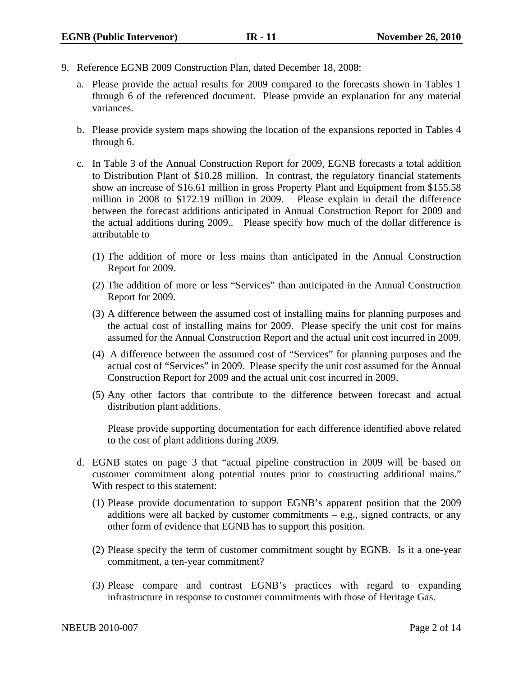- 9. Reference EGNB 2009 Construction Plan, dated December 18, 2008:
	- a. Please provide the actual results for 2009 compared to the forecasts shown in Tables 1 through 6 of the referenced document. Please provide an explanation for any material variances.
	- b. Please provide system maps showing the location of the expansions reported in Tables 4 through 6.
	- c. In Table 3 of the Annual Construction Report for 2009, EGNB forecasts a total addition to Distribution Plant of \$10.28 million. In contrast, the regulatory financial statements show an increase of \$16.61 million in gross Property Plant and Equipment from \$155.58 million in 2008 to \$172.19 million in 2009. Please explain in detail the difference between the forecast additions anticipated in Annual Construction Report for 2009 and the actual additions during 2009.. Please specify how much of the dollar difference is attributable to
		- (1) The addition of more or less mains than anticipated in the Annual Construction Report for 2009.
		- (2) The addition of more or less "Services" than anticipated in the Annual Construction Report for 2009.
		- (3) A difference between the assumed cost of installing mains for planning purposes and the actual cost of installing mains for 2009. Please specify the unit cost for mains assumed for the Annual Construction Report and the actual unit cost incurred in 2009.
		- (4) A difference between the assumed cost of "Services" for planning purposes and the actual cost of "Services" in 2009. Please specify the unit cost assumed for the Annual Construction Report for 2009 and the actual unit cost incurred in 2009.
		- (5) Any other factors that contribute to the difference between forecast and actual distribution plant additions.

Please provide supporting documentation for each difference identified above related to the cost of plant additions during 2009.

- d. EGNB states on page 3 that "actual pipeline construction in 2009 will be based on customer commitment along potential routes prior to constructing additional mains." With respect to this statement:
	- (1) Please provide documentation to support EGNB's apparent position that the 2009 additions were all backed by customer commitments  $-$  e.g., signed contracts, or any other form of evidence that EGNB has to support this position.
	- (2) Please specify the term of customer commitment sought by EGNB. Is it a one-year commitment, a ten-year commitment?
	- (3) Please compare and contrast EGNB's practices with regard to expanding infrastructure in response to customer commitments with those of Heritage Gas.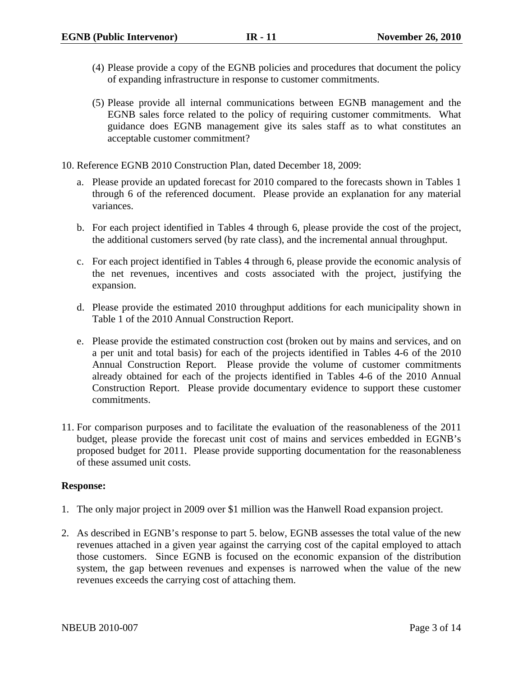- (4) Please provide a copy of the EGNB policies and procedures that document the policy of expanding infrastructure in response to customer commitments.
- (5) Please provide all internal communications between EGNB management and the EGNB sales force related to the policy of requiring customer commitments. What guidance does EGNB management give its sales staff as to what constitutes an acceptable customer commitment?
- 10. Reference EGNB 2010 Construction Plan, dated December 18, 2009:
	- a. Please provide an updated forecast for 2010 compared to the forecasts shown in Tables 1 through 6 of the referenced document. Please provide an explanation for any material variances.
	- b. For each project identified in Tables 4 through 6, please provide the cost of the project, the additional customers served (by rate class), and the incremental annual throughput.
	- c. For each project identified in Tables 4 through 6, please provide the economic analysis of the net revenues, incentives and costs associated with the project, justifying the expansion.
	- d. Please provide the estimated 2010 throughput additions for each municipality shown in Table 1 of the 2010 Annual Construction Report.
	- e. Please provide the estimated construction cost (broken out by mains and services, and on a per unit and total basis) for each of the projects identified in Tables 4-6 of the 2010 Annual Construction Report. Please provide the volume of customer commitments already obtained for each of the projects identified in Tables 4-6 of the 2010 Annual Construction Report. Please provide documentary evidence to support these customer commitments.
- 11. For comparison purposes and to facilitate the evaluation of the reasonableness of the 2011 budget, please provide the forecast unit cost of mains and services embedded in EGNB's proposed budget for 2011. Please provide supporting documentation for the reasonableness of these assumed unit costs.

## **Response:**

- 1. The only major project in 2009 over \$1 million was the Hanwell Road expansion project.
- 2. As described in EGNB's response to part 5. below, EGNB assesses the total value of the new revenues attached in a given year against the carrying cost of the capital employed to attach those customers. Since EGNB is focused on the economic expansion of the distribution system, the gap between revenues and expenses is narrowed when the value of the new revenues exceeds the carrying cost of attaching them.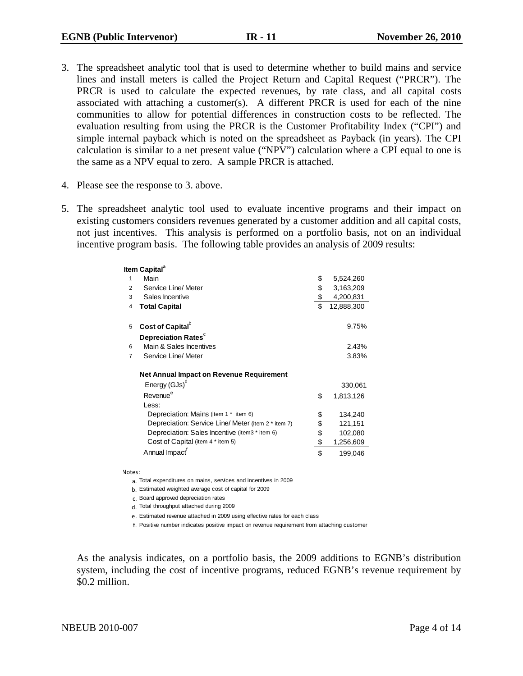- 3. The spreadsheet analytic tool that is used to determine whether to build mains and service lines and install meters is called the Project Return and Capital Request ("PRCR"). The PRCR is used to calculate the expected revenues, by rate class, and all capital costs associated with attaching a customer(s). A different PRCR is used for each of the nine communities to allow for potential differences in construction costs to be reflected. The evaluation resulting from using the PRCR is the Customer Profitability Index ("CPI") and simple internal payback which is noted on the spreadsheet as Payback (in years). The CPI calculation is similar to a net present value ("NPV") calculation where a CPI equal to one is the same as a NPV equal to zero. A sample PRCR is attached.
- 4. Please see the response to 3. above.
- 5. The spreadsheet analytic tool used to evaluate incentive programs and their impact on existing cus**t**omers considers revenues generated by a customer addition and all capital costs, not just incentives. This analysis is performed on a portfolio basis, not on an individual incentive program basis. The following table provides an analysis of 2009 results:

|                | ltem Capital <sup>a</sup>                           |                  |
|----------------|-----------------------------------------------------|------------------|
| 1              | Main                                                | \$<br>5,524,260  |
| $\overline{2}$ | Service Line/ Meter                                 | \$<br>3,163,209  |
| 3              | Sales Incentive                                     | \$<br>4,200,831  |
| 4              | <b>Total Capital</b>                                | \$<br>12,888,300 |
| 5              | Cost of Capital <sup>b</sup>                        | 9.75%            |
|                | Depreciation Rates <sup>c</sup>                     |                  |
| 6              | Main & Sales Incentives                             | 2.43%            |
| $\overline{7}$ | Service Line/ Meter                                 | 3.83%            |
|                | <b>Net Annual Impact on Revenue Requirement</b>     |                  |
|                | Energy (GJs) <sup>d</sup>                           | 330,061          |
|                | Revenue <sup>e</sup>                                | \$<br>1,813,126  |
|                | Less:                                               |                  |
|                | Depreciation: Mains (item 1 * item 6)               | \$<br>134,240    |
|                | Depreciation: Service Line/ Meter (item 2 * item 7) | \$<br>121,151    |
|                | Depreciation: Sales Incentive (item3 * item 6)      | \$<br>102,080    |
|                | Cost of Capital (item 4 * item 5)                   | \$<br>1,256,609  |
|                | Annual Impact <sup>f</sup>                          | \$<br>199,046    |
|                |                                                     |                  |

Notes:

a. Total expenditures on mains, services and incentives in 2009

b. Estimated weighted average cost of capital for 2009

c. Board approved depreciation rates

d. Total throughput attached during 2009

e. Estimated revenue attached in 2009 using effective rates for each class

f. Positive number indicates positive impact on revenue requirement from attaching customer

As the analysis indicates, on a portfolio basis, the 2009 additions to EGNB's distribution system, including the cost of incentive programs, reduced EGNB's revenue requirement by \$0.2 million.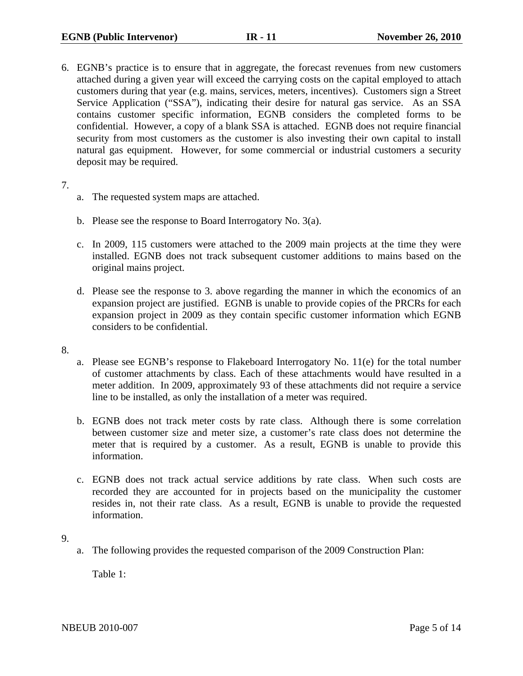6. EGNB's practice is to ensure that in aggregate, the forecast revenues from new customers attached during a given year will exceed the carrying costs on the capital employed to attach customers during that year (e.g. mains, services, meters, incentives). Customers sign a Street Service Application ("SSA"), indicating their desire for natural gas service. As an SSA contains customer specific information, EGNB considers the completed forms to be confidential. However, a copy of a blank SSA is attached. EGNB does not require financial security from most customers as the customer is also investing their own capital to install natural gas equipment. However, for some commercial or industrial customers a security deposit may be required.

7.

- a. The requested system maps are attached.
- b. Please see the response to Board Interrogatory No. 3(a).
- c. In 2009, 115 customers were attached to the 2009 main projects at the time they were installed. EGNB does not track subsequent customer additions to mains based on the original mains project.
- d. Please see the response to 3. above regarding the manner in which the economics of an expansion project are justified. EGNB is unable to provide copies of the PRCRs for each expansion project in 2009 as they contain specific customer information which EGNB considers to be confidential.
- 8.
- a. Please see EGNB's response to Flakeboard Interrogatory No. 11(e) for the total number of customer attachments by class. Each of these attachments would have resulted in a meter addition. In 2009, approximately 93 of these attachments did not require a service line to be installed, as only the installation of a meter was required.
- b. EGNB does not track meter costs by rate class. Although there is some correlation between customer size and meter size, a customer's rate class does not determine the meter that is required by a customer. As a result, EGNB is unable to provide this information.
- c. EGNB does not track actual service additions by rate class. When such costs are recorded they are accounted for in projects based on the municipality the customer resides in, not their rate class. As a result, EGNB is unable to provide the requested information.

9.

a. The following provides the requested comparison of the 2009 Construction Plan:

Table 1:

NBEUB 2010-007 Page 5 of 14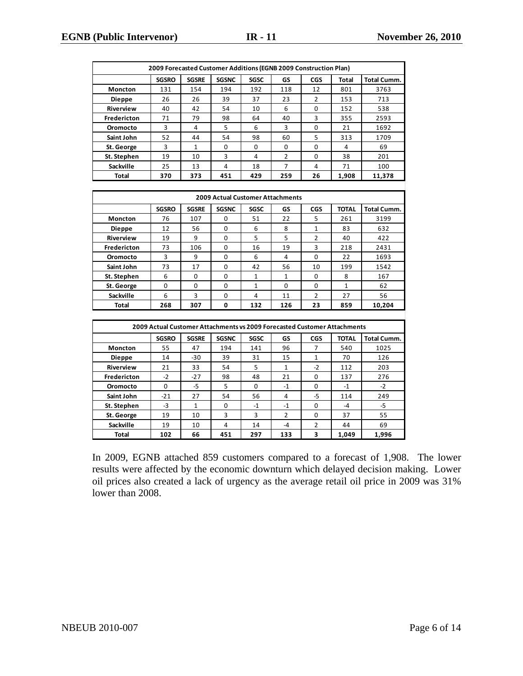| 2009 Forecasted Customer Additions (EGNB 2009 Construction Plan) |              |              |                                                                          |                |                |                |              |                    |  |
|------------------------------------------------------------------|--------------|--------------|--------------------------------------------------------------------------|----------------|----------------|----------------|--------------|--------------------|--|
|                                                                  | <b>SGSRO</b> | <b>SGSRE</b> | <b>SGSNC</b>                                                             | <b>SGSC</b>    | GS             | CGS            | Total        | Total Cumm.        |  |
| Moncton                                                          | 131          | 154          | 194                                                                      | 192            | 118            | 12             | 801          | 3763               |  |
| <b>Dieppe</b>                                                    | 26           | 26           | 39                                                                       | 37             | 23             | 2              | 153          | 713                |  |
| Riverview                                                        | 40           | 42           | 54                                                                       | 10             | 6              | 0              | 152          | 538                |  |
| Fredericton                                                      | 71           | 79           | 98                                                                       | 64             | 40             | 3              | 355          | 2593               |  |
| Oromocto                                                         | 3            | 4            | 5                                                                        | 6              | 3              | 0              | 21           | 1692               |  |
| Saint John                                                       | 52           | 44           | 54                                                                       | 98             | 60             | 5              | 313          | 1709               |  |
| St. George                                                       | 3            | $\mathbf{1}$ | 0                                                                        | 0              | 0              | 0              | 4            | 69                 |  |
| St. Stephen                                                      | 19           | 10           | 3                                                                        | $\overline{4}$ | $\overline{2}$ | 0              | 38           | 201                |  |
| Sackville                                                        | 25           | 13           | 4                                                                        | 18             | $\overline{7}$ | 4              | 71           | 100                |  |
| <b>Total</b>                                                     | 370          | 373          | 451                                                                      | 429            | 259            | 26             | 1,908        | 11,378             |  |
|                                                                  |              |              |                                                                          |                |                |                |              |                    |  |
| <b>2009 Actual Customer Attachments</b>                          |              |              |                                                                          |                |                |                |              |                    |  |
|                                                                  | <b>SGSRO</b> | <b>SGSRE</b> | <b>SGSNC</b>                                                             | SGSC           | GS             | <b>CGS</b>     | <b>TOTAL</b> | <b>Total Cumm.</b> |  |
| Moncton                                                          | 76           | 107          | 0                                                                        | 51             | 22             | 5              | 261          | 3199               |  |
| Dieppe                                                           | 12           | 56           | 0                                                                        | 6              | 8              | $\mathbf{1}$   | 83           | 632                |  |
| Riverview                                                        | 19           | 9            | 0                                                                        | 5              | 5              | $\overline{2}$ | 40           | 422                |  |
| Fredericton                                                      | 73           | 106          | 0                                                                        | 16             | 19             | 3              | 218          | 2431               |  |
| Oromocto                                                         | 3            | 9            | 0                                                                        | 6              | 4              | $\mathbf 0$    | 22           | 1693               |  |
| Saint John                                                       | 73           | 17           | $\mathbf 0$                                                              | 42             | 56             | 10             | 199          | 1542               |  |
| St. Stephen                                                      | 6            | 0            | $\mathbf 0$                                                              | 1              | 1              | 0              | 8            | 167                |  |
| St. George                                                       | 0            | $\mathbf 0$  | $\mathbf 0$                                                              | $\mathbf{1}$   | $\pmb{0}$      | 0              | $\mathbf{1}$ | 62                 |  |
| Sackville                                                        | 6            | 3            | 0                                                                        | 4              | 11             | 2              | 27           | 56                 |  |
| <b>Total</b>                                                     | 268          | 307          | 0                                                                        | 132            | 126            | 23             | 859          | 10,204             |  |
|                                                                  |              |              |                                                                          |                |                |                |              |                    |  |
|                                                                  |              |              | 2009 Actual Customer Attachments vs 2009 Forecasted Customer Attachments |                |                |                |              |                    |  |
|                                                                  | <b>SGSRO</b> | <b>SGSRE</b> | <b>SGSNC</b>                                                             | SGSC           | GS             | <b>CGS</b>     | <b>TOTAL</b> | Total Cumm.        |  |
| Moncton                                                          | 55           | 47           | 194                                                                      | 141            | 96             | $\overline{7}$ | 540          | 1025               |  |
| <b>Dieppe</b>                                                    | 14           | $-30$        | 39                                                                       | 31             | 15             | $\mathbf{1}$   | 70           | 126                |  |
| Riverview                                                        | 21           | 33           | 54                                                                       | 5              | 1              | $-2$           | 112          | 203                |  |
| Fredericton                                                      | $-2$         | $-27$        | 98                                                                       | 48             | 21             | 0              | 137          | 276                |  |
| Oromocto                                                         | 0            | $-5$         | 5                                                                        | 0              | $-1$           | 0              | $-1$         | $-2$               |  |
| Saint John                                                       | $-21$        | 27           | 54                                                                       | 56             | 4              | $-5$           | 114          | 249                |  |
| St. Stephen                                                      | $-3$         | $\mathbf{1}$ | 0                                                                        | $-1$           | $-1$           | 0              | $-4$         | $-5$               |  |
| St. George                                                       | 19           | 10           | 3                                                                        | 3              | $\overline{2}$ | 0              | 37           | 55                 |  |
| Sackville                                                        | 19           | 10           | 4                                                                        | 14             | $-4$           | $\overline{2}$ | 44           | 69                 |  |
| <b>Total</b>                                                     | 102          | 66           | 451                                                                      | 297            | 133            | 3              | 1,049        | 1,996              |  |

In 2009, EGNB attached 859 customers compared to a forecast of 1,908. The lower results were affected by the economic downturn which delayed decision making. Lower oil prices also created a lack of urgency as the average retail oil price in 2009 was 31% lower than 2008.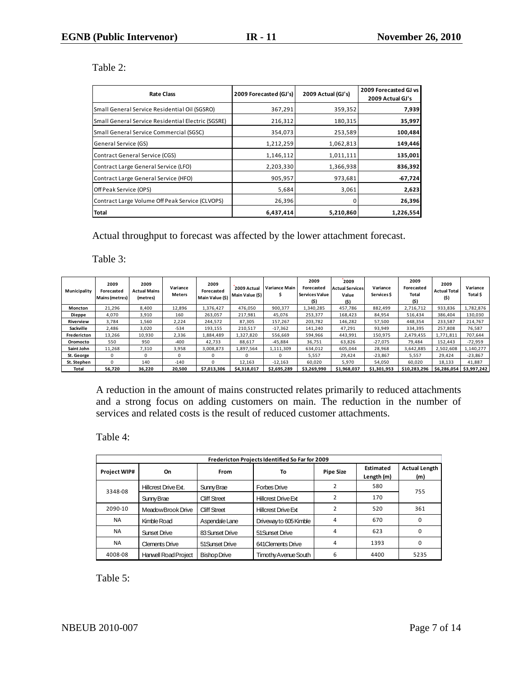## Table 2:

| <b>Rate Class</b>                                  | 2009 Forecasted (GJ's) | 2009 Actual (GJ's) | 2009 Forecasted GJ vs<br>2009 Actual GJ's |  |
|----------------------------------------------------|------------------------|--------------------|-------------------------------------------|--|
| Small General Service Residential Oil (SGSRO)      | 367,291                | 359,352            | 7,939                                     |  |
| Small General Service Residential Electric (SGSRE) | 216,312                | 180,315            | 35,997                                    |  |
| Small General Service Commercial (SGSC)            | 354,073                | 253,589            | 100,484                                   |  |
| General Service (GS)                               | 1,212,259              | 1,062,813          | 149,446                                   |  |
| <b>Contract General Service (CGS)</b>              | 1,146,112              | 1,011,111          | 135,001                                   |  |
| Contract Large General Service (LFO)               | 2,203,330              | 1,366,938          | 836,392                                   |  |
| <b>Contract Large General Service (HFO)</b>        | 905,957                | 973,681            | $-67,724$                                 |  |
| Off Peak Service (OPS)                             | 5,684                  | 3,061              | 2,623                                     |  |
| Contract Large Volume Off Peak Service (CLVOPS)    | 26,396                 |                    | 26,396                                    |  |
| Total                                              | 6,437,414              | 5,210,860          | 1,226,554                                 |  |

Actual throughput to forecast was affected by the lower attachment forecast.

Table 3:

| Municipality   | 2009<br>Forecasted<br><b>Mains (metres)</b> | 2009<br><b>Actual Mains</b><br>(metres) | Variance<br><b>Meters</b> | 2009<br>Forecasted<br>Main Value (\$) | 2009 Actual<br>Main Value (\$) | <b>Variance Main</b> | 2009<br>Forecasted<br>Services Value<br>(\$) | 2009<br><b>Actual Services</b><br>Value<br>(\$) | Variance<br>Services \$ | 2009<br>Forecasted<br><b>Total</b><br>(\$) | 2009<br><b>Actual Total</b><br>(5) | Variance<br>Total \$ |
|----------------|---------------------------------------------|-----------------------------------------|---------------------------|---------------------------------------|--------------------------------|----------------------|----------------------------------------------|-------------------------------------------------|-------------------------|--------------------------------------------|------------------------------------|----------------------|
| <b>Moncton</b> | 21.296                                      | 8.400                                   | 12.896                    | 1.376.427                             | 476.050                        | 900.377              | 1.340.285                                    | 457.786                                         | 882.499                 | 2,716,712                                  | 933.836                            | 1.782.876            |
| <b>Dieppe</b>  | 4,070                                       | 3,910                                   | 160                       | 263.057                               | 217.981                        | 45.076               | 253.377                                      | 168.423                                         | 84,954                  | 516.434                                    | 386,404                            | 130.030              |
| Riverview      | 3,784                                       | 1,560                                   | 2,224                     | 244.572                               | 87,305                         | 157,267              | 203.782                                      | 146,282                                         | 57,500                  | 448.354                                    | 233,587                            | 214,767              |
| Sackville      | 2.486                                       | 3.020                                   | $-534$                    | 193,155                               | 210.517                        | $-17.362$            | 141,240                                      | 47.291                                          | 93,949                  | 334,395                                    | 257,808                            | 76,587               |
| Fredericton    | 13,266                                      | 10,930                                  | 2,336                     | 1,884,489                             | 1.327.820                      | 556.669              | 594.966                                      | 443.991                                         | 150.975                 | 2,479,455                                  | 1.771.811                          | 707.644              |
| Oromocto       | 550                                         | 950                                     | $-400$                    | 42.733                                | 88,617                         | $-45.884$            | 36,751                                       | 63.826                                          | $-27,075$               | 79.484                                     | 152,443                            | $-72.959$            |
| Saint John     | 11,268                                      | 7,310                                   | 3,958                     | 3,008,873                             | 1,897,564                      | 1,111,309            | 634,012                                      | 605.044                                         | 28,968                  | 3,642,885                                  | 2,502,608                          | 1.140.277            |
| St. George     | 0                                           |                                         |                           |                                       |                                |                      | 5,557                                        | 29.424                                          | $-23.867$               | 5,557                                      | 29.424                             | $-23.867$            |
| St. Stephen    | 0                                           | 140                                     | $-140$                    | $\Omega$                              | 12,163                         | $-12,163$            | 60,020                                       | 5,970                                           | 54,050                  | 60,020                                     | 18,133                             | 41,887               |
| Total          | 56.720                                      | 36.220                                  | 20.500                    | \$7,013,306                           | \$4,318,017                    | \$2.695.289          | \$3.269.990                                  | \$1,968,037                                     | \$1,301,953             | \$10.283.296                               | \$6.286.054                        | \$3,997,242          |

A reduction in the amount of mains constructed relates primarily to reduced attachments and a strong focus on adding customers on main. The reduction in the number of services and related costs is the result of reduced customer attachments.

Table 4:

|                     | Fredericton Projects Identified So Far for 2009 |                     |                            |                  |                         |                             |  |  |  |  |  |
|---------------------|-------------------------------------------------|---------------------|----------------------------|------------------|-------------------------|-----------------------------|--|--|--|--|--|
| <b>Project WIP#</b> | On<br>From                                      |                     | To                         | <b>Pipe Size</b> | Estimated<br>Length (m) | <b>Actual Length</b><br>(m) |  |  |  |  |  |
| 3348-08             | Hillcrest Drive Ext.                            | Sunny Brae          | Forbes Drive               |                  | 580                     | 755                         |  |  |  |  |  |
|                     | Sunny Brae                                      | <b>Cliff Street</b> | <b>Hillcrest Drive Ext</b> |                  | 170                     |                             |  |  |  |  |  |
| 2090-10             | MeadowBrook Drive                               | <b>Cliff Street</b> | <b>Hillcrest Drive Ext</b> |                  | 520                     | 361                         |  |  |  |  |  |
| <b>NA</b>           | Kimble Road                                     | Aspendale Lane      | Driveway to 605 Kimble     | 4                | 670                     | 0                           |  |  |  |  |  |
| <b>NA</b>           | Sunset Drive                                    | 83 Sunset Drive     | 51 Sunset Drive            | 4                | 623                     | O                           |  |  |  |  |  |
| <b>NA</b>           | <b>Clements Drive</b>                           | 51Sunset Drive      | 641 Clements Drive         | 4                | 1393                    | 0                           |  |  |  |  |  |
| 4008-08             | Hanwell Road Project                            | <b>Bishop Drive</b> | Timothy Avenue South       | 6                | 4400                    | 5235                        |  |  |  |  |  |

Table 5: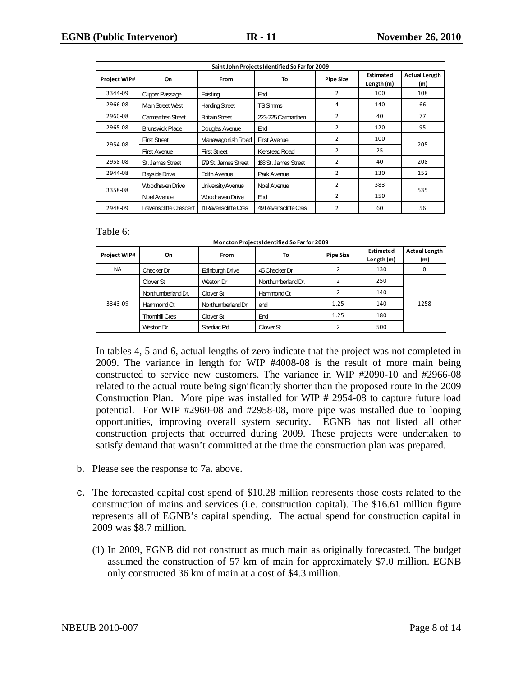|                     | Saint John Projects Identified So Far for 2009 |                       |                        |                |                         |                             |  |  |  |  |  |
|---------------------|------------------------------------------------|-----------------------|------------------------|----------------|-------------------------|-----------------------------|--|--|--|--|--|
| <b>Project WIP#</b> | On                                             | From                  | To<br><b>Pipe Size</b> |                | Estimated<br>Length (m) | <b>Actual Length</b><br>(m) |  |  |  |  |  |
| 3344-09             | Clipper Passage                                | Existing              | End                    | $\overline{2}$ | 100                     | 108                         |  |  |  |  |  |
| 2966-08             | Main Street West                               | <b>Harding Street</b> | <b>TSSimms</b>         | 4              | 140                     | 66                          |  |  |  |  |  |
| 2960-08             | Carmarthen Street                              | <b>Britain Street</b> | 223-225 Carmarthen     | 2              | 40                      | 77                          |  |  |  |  |  |
| 2965-08             | <b>Brunswick Place</b>                         | Douglas Avenue        | End                    | $\overline{2}$ | 120                     | 95                          |  |  |  |  |  |
| 2954-08             | <b>First Street</b>                            | Manawagonish Road     | <b>First Avenue</b>    | 2              | 100                     | 205                         |  |  |  |  |  |
|                     | <b>First Avenue</b>                            | <b>First Street</b>   | Kierstead Road         | 2              | 25                      |                             |  |  |  |  |  |
| 2958-08             | St. James Street                               | 179 St. James Street  | 168 St. James Street   | $\overline{2}$ | 40                      | 208                         |  |  |  |  |  |
| 2944-08             | <b>Bayside Drive</b>                           | Edith Avenue          | Park Avenue            | 2              | 130                     | 152                         |  |  |  |  |  |
| 3358-08             | Woodhaven Drive                                | University Avenue     | Noel Avenue            | $\overline{2}$ | 383                     | 535                         |  |  |  |  |  |
|                     | Noel Avenue                                    | Woodhaven Drive       | End                    | $\overline{2}$ | 150                     |                             |  |  |  |  |  |
| 2948-09             | Ravenscliffe Crescent                          | 11 Ravenscliffe Cres  | 49 Ravenscliffe Cres   | $\overline{2}$ | 60                      | 56                          |  |  |  |  |  |

#### Table 6:

| Moncton Projects Identified So Far for 2009 |                      |                      |                    |      |     |                  |                         |                             |  |  |
|---------------------------------------------|----------------------|----------------------|--------------------|------|-----|------------------|-------------------------|-----------------------------|--|--|
| <b>Project WIP#</b>                         | On                   | From                 |                    | To   |     | <b>Pipe Size</b> | Estimated<br>Length (m) | <b>Actual Length</b><br>(m) |  |  |
| <b>NA</b>                                   | Checker Dr           | Edinburgh Drive      | 45 Checker Dr      |      | 130 | 0                |                         |                             |  |  |
|                                             | Clover St            | Weston Dr            | Northumberland Dr. |      | 250 |                  |                         |                             |  |  |
|                                             | Northumberland Dr.   | Clover <sub>St</sub> | Hammond Ct         |      | 140 |                  |                         |                             |  |  |
| 3343-09                                     | Hammond Ct           | Northumberland Dr.   | end                | 1.25 | 140 | 1258             |                         |                             |  |  |
|                                             | <b>Thomhill Cres</b> | Clover <sub>St</sub> | End                | 1.25 | 180 |                  |                         |                             |  |  |
|                                             | Weston Dr            | Shediac Rd           | Clover St          |      | 500 |                  |                         |                             |  |  |

In tables 4, 5 and 6, actual lengths of zero indicate that the project was not completed in 2009. The variance in length for WIP #4008-08 is the result of more main being constructed to service new customers. The variance in WIP #2090-10 and #2966-08 related to the actual route being significantly shorter than the proposed route in the 2009 Construction Plan. More pipe was installed for WIP # 2954-08 to capture future load potential. For WIP #2960-08 and #2958-08, more pipe was installed due to looping opportunities, improving overall system security. EGNB has not listed all other construction projects that occurred during 2009. These projects were undertaken to satisfy demand that wasn't committed at the time the construction plan was prepared.

- b. Please see the response to 7a. above.
- c. The forecasted capital cost spend of \$10.28 million represents those costs related to the construction of mains and services (i.e. construction capital). The \$16.61 million figure represents all of EGNB's capital spending. The actual spend for construction capital in 2009 was \$8.7 million.
	- (1) In 2009, EGNB did not construct as much main as originally forecasted. The budget assumed the construction of 57 km of main for approximately \$7.0 million. EGNB only constructed 36 km of main at a cost of \$4.3 million.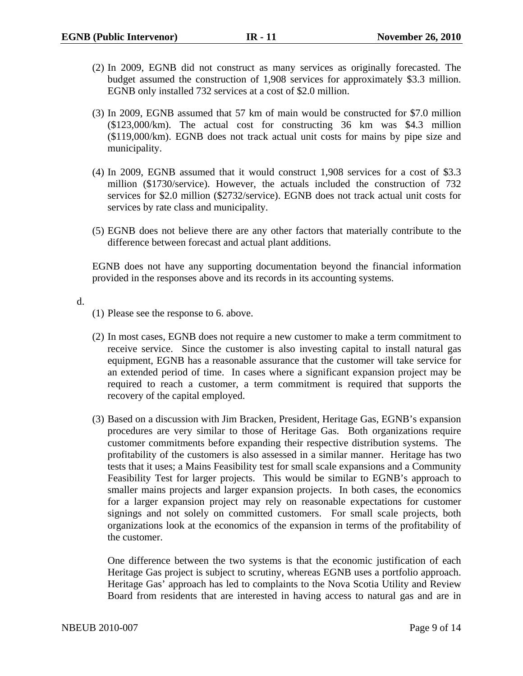- (2) In 2009, EGNB did not construct as many services as originally forecasted. The budget assumed the construction of 1,908 services for approximately \$3.3 million. EGNB only installed 732 services at a cost of \$2.0 million.
- (3) In 2009, EGNB assumed that 57 km of main would be constructed for \$7.0 million (\$123,000/km). The actual cost for constructing 36 km was \$4.3 million (\$119,000/km). EGNB does not track actual unit costs for mains by pipe size and municipality.
- (4) In 2009, EGNB assumed that it would construct 1,908 services for a cost of \$3.3 million (\$1730/service). However, the actuals included the construction of 732 services for \$2.0 million (\$2732/service). EGNB does not track actual unit costs for services by rate class and municipality.
- (5) EGNB does not believe there are any other factors that materially contribute to the difference between forecast and actual plant additions.

EGNB does not have any supporting documentation beyond the financial information provided in the responses above and its records in its accounting systems.

d.

- (1) Please see the response to 6. above.
- (2) In most cases, EGNB does not require a new customer to make a term commitment to receive service. Since the customer is also investing capital to install natural gas equipment, EGNB has a reasonable assurance that the customer will take service for an extended period of time. In cases where a significant expansion project may be required to reach a customer, a term commitment is required that supports the recovery of the capital employed.
- (3) Based on a discussion with Jim Bracken, President, Heritage Gas, EGNB's expansion procedures are very similar to those of Heritage Gas. Both organizations require customer commitments before expanding their respective distribution systems. The profitability of the customers is also assessed in a similar manner. Heritage has two tests that it uses; a Mains Feasibility test for small scale expansions and a Community Feasibility Test for larger projects. This would be similar to EGNB's approach to smaller mains projects and larger expansion projects. In both cases, the economics for a larger expansion project may rely on reasonable expectations for customer signings and not solely on committed customers. For small scale projects, both organizations look at the economics of the expansion in terms of the profitability of the customer.

One difference between the two systems is that the economic justification of each Heritage Gas project is subject to scrutiny, whereas EGNB uses a portfolio approach. Heritage Gas' approach has led to complaints to the Nova Scotia Utility and Review Board from residents that are interested in having access to natural gas and are in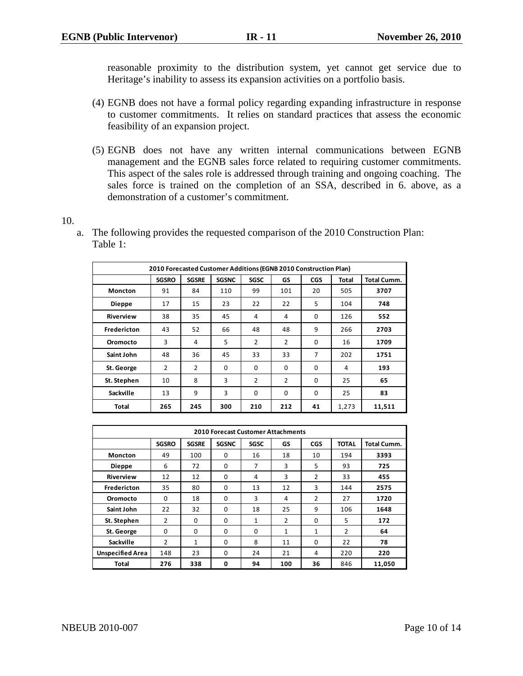reasonable proximity to the distribution system, yet cannot get service due to Heritage's inability to assess its expansion activities on a portfolio basis.

- (4) EGNB does not have a formal policy regarding expanding infrastructure in response to customer commitments. It relies on standard practices that assess the economic feasibility of an expansion project.
- (5) EGNB does not have any written internal communications between EGNB management and the EGNB sales force related to requiring customer commitments. This aspect of the sales role is addressed through training and ongoing coaching. The sales force is trained on the completion of an SSA, described in 6. above, as a demonstration of a customer's commitment.

10.

a. The following provides the requested comparison of the 2010 Construction Plan: Table 1:

| 2010 Forecasted Customer Additions (EGNB 2010 Construction Plan) |                |              |              |             |          |            |       |                    |  |  |
|------------------------------------------------------------------|----------------|--------------|--------------|-------------|----------|------------|-------|--------------------|--|--|
|                                                                  | <b>SGSRO</b>   | <b>SGSRE</b> | <b>SGSNC</b> | <b>SGSC</b> | GS       | <b>CGS</b> | Total | <b>Total Cumm.</b> |  |  |
| <b>Moncton</b>                                                   | 91             | 84           | 110          | 99          | 101      | 20         | 505   | 3707               |  |  |
| <b>Dieppe</b>                                                    | 17             | 15           | 23           | 22          | 22       | 5          | 104   | 748                |  |  |
| <b>Riverview</b>                                                 | 38             | 35           | 45           | 4           | 4        | 0          | 126   | 552                |  |  |
| <b>Fredericton</b>                                               | 43             | 52           | 66           | 48          | 48       | 9          | 266   | 2703               |  |  |
| Oromocto                                                         | 3              | 4            | 5            | 2           | 2        | $\Omega$   | 16    | 1709               |  |  |
| Saint John                                                       | 48             | 36           | 45           | 33          | 33       | 7          | 202   | 1751               |  |  |
| St. George                                                       | $\overline{2}$ | 2            | $\Omega$     | $\Omega$    | $\Omega$ | 0          | 4     | 193                |  |  |
| St. Stephen                                                      | 10             | 8            | 3            | 2           | 2        | $\Omega$   | 25    | 65                 |  |  |
| Sackville                                                        | 13             | 9            | 3            | 0           | 0        | 0          | 25    | 83                 |  |  |
| Total                                                            | 265            | 245          | 300          | 210         | 212      | 41         | 1,273 | 11,511             |  |  |

| <b>2010 Forecast Customer Attachments</b> |                |              |              |      |              |                |              |             |  |  |  |
|-------------------------------------------|----------------|--------------|--------------|------|--------------|----------------|--------------|-------------|--|--|--|
|                                           | <b>SGSRO</b>   | <b>SGSRE</b> | <b>SGSNC</b> | SGSC | GS           | <b>CGS</b>     | <b>TOTAL</b> | Total Cumm. |  |  |  |
| <b>Moncton</b>                            | 49             | 100          | $\Omega$     | 16   | 18           | 10             | 194          | 3393        |  |  |  |
| <b>Dieppe</b>                             | 6              | 72           | $\Omega$     | 7    | 3            | 5              | 93           | 725         |  |  |  |
| <b>Riverview</b>                          | 12             | 12           | 0            | 4    | 3            | $\overline{2}$ | 33           | 455         |  |  |  |
| Fredericton                               | 35             | 80           | $\Omega$     | 13   | 12           | 3              | 144          | 2575        |  |  |  |
| Oromocto                                  | $\Omega$       | 18           | 0            | 3    | 4            | $\overline{2}$ | 27           | 1720        |  |  |  |
| Saint John                                | 22             | 32           | 0            | 18   | 25           | 9              | 106          | 1648        |  |  |  |
| St. Stephen                               | 2              | $\Omega$     | $\Omega$     | 1    | 2            | $\Omega$       | 5            | 172         |  |  |  |
| St. George                                | 0              | 0            | 0            | 0    | $\mathbf{1}$ | $\mathbf{1}$   | 2            | 64          |  |  |  |
| Sackville                                 | $\overline{2}$ | $\mathbf{1}$ | $\Omega$     | 8    | 11           | $\Omega$       | 22           | 78          |  |  |  |
| <b>Unspecified Area</b>                   | 148            | 23           | $\Omega$     | 24   | 21           | 4              | 220          | 220         |  |  |  |
| <b>Total</b>                              | 276            | 338          | 0            | 94   | 100          | 36             | 846          | 11,050      |  |  |  |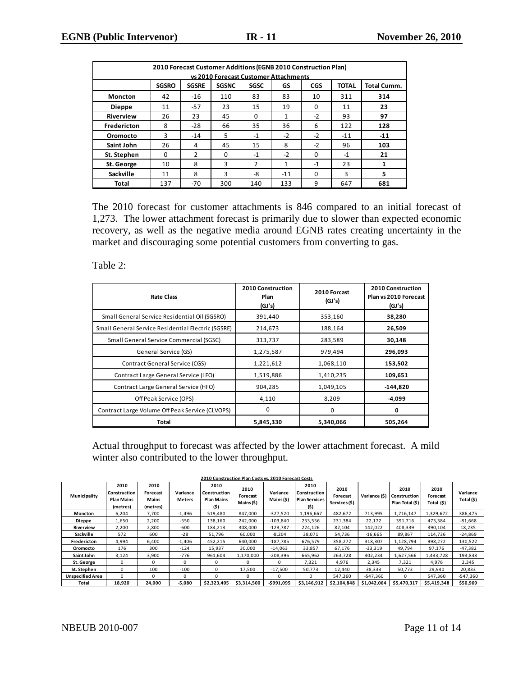|                |                                                                                                                       |       |     |               | 2010 Forecast Customer Additions (EGNB 2010 Construction Plan) |          |       |       |  |  |  |  |
|----------------|-----------------------------------------------------------------------------------------------------------------------|-------|-----|---------------|----------------------------------------------------------------|----------|-------|-------|--|--|--|--|
|                |                                                                                                                       |       |     |               | vs 2010 Forecast Customer Attachments                          |          |       |       |  |  |  |  |
|                | <b>SGSRO</b><br><b>TOTAL</b><br><b>Total Cumm.</b><br><b>SGSRE</b><br><b>SGSNC</b><br><b>SGSC</b><br>GS<br><b>CGS</b> |       |     |               |                                                                |          |       |       |  |  |  |  |
| <b>Moncton</b> | 42                                                                                                                    | $-16$ | 110 | 83            | 83                                                             | 10       | 311   | 314   |  |  |  |  |
| <b>Dieppe</b>  | 11                                                                                                                    | $-57$ | 23  | 15            | 19                                                             | $\Omega$ | 11    | 23    |  |  |  |  |
| Riverview      | 26                                                                                                                    | 23    | 45  | $\Omega$      | 1                                                              | $-2$     | 93    | 97    |  |  |  |  |
| Fredericton    | 8                                                                                                                     | $-28$ | 66  | 35            | 36                                                             | 6        | 122   | 128   |  |  |  |  |
| Oromocto       | 3                                                                                                                     | $-14$ | 5   | $-1$          | $-2$                                                           | $-2$     | $-11$ | $-11$ |  |  |  |  |
| Saint John     | 26                                                                                                                    | 4     | 45  | 15            | 8                                                              | $-2$     | 96    | 103   |  |  |  |  |
| St. Stephen    | $\Omega$                                                                                                              | 2     | 0   | $-1$          | $-2$                                                           | $\Omega$ | $-1$  | 21    |  |  |  |  |
| St. George     | 10                                                                                                                    | 8     | 3   | $\mathcal{P}$ | $\mathbf{1}$                                                   | $-1$     | 23    | 1     |  |  |  |  |
| Sackville      | 11                                                                                                                    | 8     | 3   | -8            | $-11$                                                          | $\Omega$ | 3     | 5     |  |  |  |  |
| <b>Total</b>   | 137                                                                                                                   | $-70$ | 300 | 140           | 133                                                            | 9        | 647   | 681   |  |  |  |  |

The 2010 forecast for customer attachments is 846 compared to an initial forecast of 1,273. The lower attachment forecast is primarily due to slower than expected economic recovery, as well as the negative media around EGNB rates creating uncertainty in the market and discouraging some potential customers from converting to gas.

Table 2:

| <b>Rate Class</b>                                  | 2010 Construction<br>Plan<br>(GJ's) | 2010 Forcast<br>(GJ's) | 2010 Construction<br>Plan vs 2010 Forecast<br>(GJ's) |
|----------------------------------------------------|-------------------------------------|------------------------|------------------------------------------------------|
| Small General Service Residential Oil (SGSRO)      | 391,440                             | 353,160                | 38,280                                               |
| Small General Service Residential Electric (SGSRE) | 214,673                             | 188,164                | 26,509                                               |
| Small General Service Commercial (SGSC)            | 313,737                             | 283,589                | 30,148                                               |
| General Service (GS)                               | 1,275,587                           | 979,494                | 296,093                                              |
| <b>Contract General Service (CGS)</b>              | 1,221,612                           | 1,068,110              | 153,502                                              |
| Contract Large General Service (LFO)               | 1,519,886                           | 1,410,235              | 109,651                                              |
| Contract Large General Service (HFO)               | 904,285                             | 1,049,105              | -144,820                                             |
| Off Peak Service (OPS)                             | 4,110                               | 8,209                  | -4,099                                               |
| Contract Large Volume Off Peak Service (CLVOPS)    | 0                                   | 0                      | 0                                                    |
| Total                                              | 5,845,330                           | 5,340,066              | 505,264                                              |

Actual throughput to forecast was affected by the lower attachment forecast. A mild winter also contributed to the lower throughput.

|                         | 2010 Construction Plan Costs vs. 2010 Forecast Costs  |                                       |                    |                                                   |                                |                        |                                                      |                                  |               |                                         |                                |                        |  |
|-------------------------|-------------------------------------------------------|---------------------------------------|--------------------|---------------------------------------------------|--------------------------------|------------------------|------------------------------------------------------|----------------------------------|---------------|-----------------------------------------|--------------------------------|------------------------|--|
| Municipality            | 2010<br>Construction<br><b>Plan Mains</b><br>(metres) | 2010<br>Forecast<br>Mains<br>(metres) | Variance<br>Meters | 2010<br>Construction<br><b>Plan Mains</b><br>(\$) | 2010<br>Forecast<br>Mains (\$) | Variance<br>Mains (\$) | 2010<br>Construction<br><b>Plan Services</b><br>(\$) | 2010<br>Forecast<br>Services(\$) | Variance (\$) | 2010<br>Construction<br>Plan Total (\$) | 2010<br>Forecast<br>Total (\$) | Variance<br>Total (\$) |  |
| <b>Moncton</b>          | 6,204                                                 | 7,700                                 | $-1,496$           | 519,480                                           | 847,000                        | $-327,520$             | 1,196,667                                            | 482,672                          | 713,995       | 1,716,147                               | 1,329,672                      | 386,475                |  |
| Dieppe                  | 1,650                                                 | 2,200                                 | -550               | 138,160                                           | 242,000                        | $-103,840$             | 253,556                                              | 231,384                          | 22,172        | 391,716                                 | 473,384                        | $-81,668$              |  |
| Riverview               | 2,200                                                 | 2.800                                 | $-600$             | 184,213                                           | 308,000                        | $-123.787$             | 224,126                                              | 82,104                           | 142,022       | 408.339                                 | 390,104                        | 18,235                 |  |
| Sackville               | 572                                                   | 600                                   | $-28$              | 51,796                                            | 60,000                         | $-8,204$               | 38,071                                               | 54,736                           | $-16,665$     | 89,867                                  | 114,736                        | $-24,869$              |  |
| Fredericton             | 4,994                                                 | 6,400                                 | $-1,406$           | 452,215                                           | 640,000                        | $-187,785$             | 676,579                                              | 358,272                          | 318,307       | 1,128,794                               | 998,272                        | 130,522                |  |
| Oromocto                | 176                                                   | 300                                   | $-124$             | 15,937                                            | 30,000                         | $-14,063$              | 33,857                                               | 67,176                           | $-33,319$     | 49,794                                  | 97,176                         | $-47,382$              |  |
| Saint John              | 3,124                                                 | 3,900                                 | $-776$             | 961,604                                           | 1,170,000                      | $-208,396$             | 665,962                                              | 263,728                          | 402,234       | 1,627,566                               | 1,433,728                      | 193,838                |  |
| St. George              | 0                                                     | 0                                     | $\Omega$           | 0                                                 |                                | 0                      | 7,321                                                | 4,976                            | 2,345         | 7,321                                   | 4,976                          | 2,345                  |  |
| St. Stephen             | $\Omega$                                              | 100                                   | $-100$             | 0                                                 | 17,500                         | $-17,500$              | 50,773                                               | 12,440                           | 38,333        | 50,773                                  | 29,940                         | 20,833                 |  |
| <b>Unspecified Area</b> | $\Omega$                                              | $\Omega$                              | $\Omega$           | 0                                                 |                                | 0                      | 0                                                    | 547,360                          | $-547.360$    | $\Omega$                                | 547.360                        | $-547,360$             |  |
| Total                   | 18,920                                                | 24,000                                | $-5,080$           | \$2,323,405                                       | \$3,314,500                    | $-$991,095$            | \$3,146,912                                          | \$2,104,848                      | \$1,042,064   | \$5,470,317                             | \$5,419,348                    | \$50,969               |  |

NBEUB 2010-007 Page 11 of 14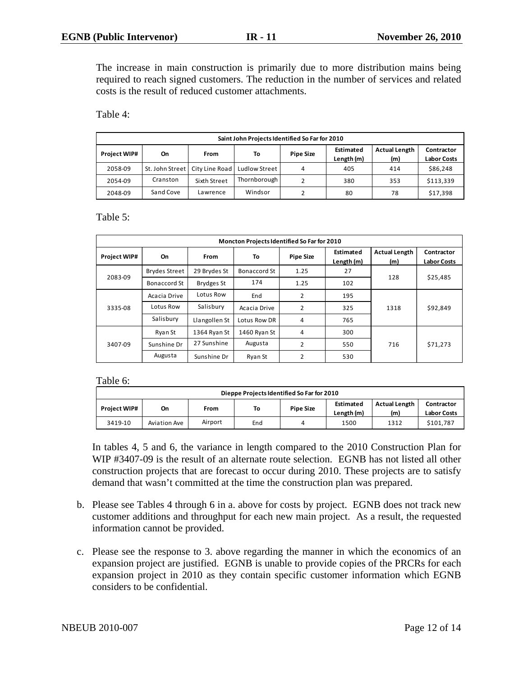The increase in main construction is primarily due to more distribution mains being required to reach signed customers. The reduction in the number of services and related costs is the result of reduced customer attachments.

Table 4:

|                     | Saint John Projects Identified So Far for 2010                                          |                                  |               |   |     |     |           |  |  |  |  |  |
|---------------------|-----------------------------------------------------------------------------------------|----------------------------------|---------------|---|-----|-----|-----------|--|--|--|--|--|
| <b>Project WIP#</b> | <b>Actual Length</b><br>Estimated<br><b>Pipe Size</b><br>To<br>From<br>On<br>Length (m) |                                  |               |   |     |     |           |  |  |  |  |  |
| 2058-09             |                                                                                         | St. John Street   City Line Road | Ludlow Street | 4 | 405 | 414 | \$86,248  |  |  |  |  |  |
| 2054-09             | Cranston                                                                                | Sixth Street                     | Thornborough  |   | 380 | 353 | \$113,339 |  |  |  |  |  |
| 2048-09             | Sand Cove                                                                               | Lawrence                         | Windsor       | າ | 80  | 78  | \$17,398  |  |  |  |  |  |
|                     |                                                                                         |                                  |               |   |     |     |           |  |  |  |  |  |

Table 5:

|              |               |               | Moncton Projects Identified So Far for 2010 |                  |                         |                             |                                  |
|--------------|---------------|---------------|---------------------------------------------|------------------|-------------------------|-----------------------------|----------------------------------|
| Project WIP# | On            | <b>From</b>   | To                                          | <b>Pipe Size</b> | Estimated<br>Length (m) | <b>Actual Length</b><br>(m) | Contractor<br><b>Labor Costs</b> |
|              | Brydes Street | 29 Brydes St  | Bonaccord St                                | 1.25             | 27                      | 128                         |                                  |
| 2083-09      | Bonaccord St  | Brydges St    | 174                                         | 1.25             | 102                     |                             | \$25,485                         |
|              | Acacia Drive  | Lotus Row     | End                                         | 2                | 195                     |                             | \$92,849                         |
| 3335-08      | Lotus Row     | Salisbury     | Acacia Drive                                | $\overline{2}$   | 325                     | 1318                        |                                  |
|              | Salisbury     | Llangollen St | Lotus Row DR                                | 4                | 765                     |                             |                                  |
|              | Ryan St       | 1364 Ryan St  | 1460 Ryan St                                | 4                | 300                     |                             |                                  |
| 3407-09      | Sunshine Dr   | 27 Sunshine   | Augusta                                     | 2                | 550                     | 716                         | \$71,273                         |
|              | Augusta       | Sunshine Dr   | Ryan St                                     | $\overline{2}$   | 530                     |                             |                                  |

Table 6:

| Dieppe Projects Identified So Far for 2010                                                                                                                |              |         |     |   |      |      |           |  |  |  |  |
|-----------------------------------------------------------------------------------------------------------------------------------------------------------|--------------|---------|-----|---|------|------|-----------|--|--|--|--|
| <b>Actual Length</b><br>Estimated<br>Contractor<br>To<br><b>Project WIP#</b><br><b>Pipe Size</b><br>On<br>From<br>Length (m)<br>(m)<br><b>Labor Costs</b> |              |         |     |   |      |      |           |  |  |  |  |
| 3419-10                                                                                                                                                   | Aviation Ave | Airport | End | 4 | 1500 | 1312 | \$101.787 |  |  |  |  |
|                                                                                                                                                           |              |         |     |   |      |      |           |  |  |  |  |

In tables 4, 5 and 6, the variance in length compared to the 2010 Construction Plan for WIP #3407-09 is the result of an alternate route selection. EGNB has not listed all other construction projects that are forecast to occur during 2010. These projects are to satisfy demand that wasn't committed at the time the construction plan was prepared.

- b. Please see Tables 4 through 6 in a. above for costs by project. EGNB does not track new customer additions and throughput for each new main project. As a result, the requested information cannot be provided.
- c. Please see the response to 3. above regarding the manner in which the economics of an expansion project are justified. EGNB is unable to provide copies of the PRCRs for each expansion project in 2010 as they contain specific customer information which EGNB considers to be confidential.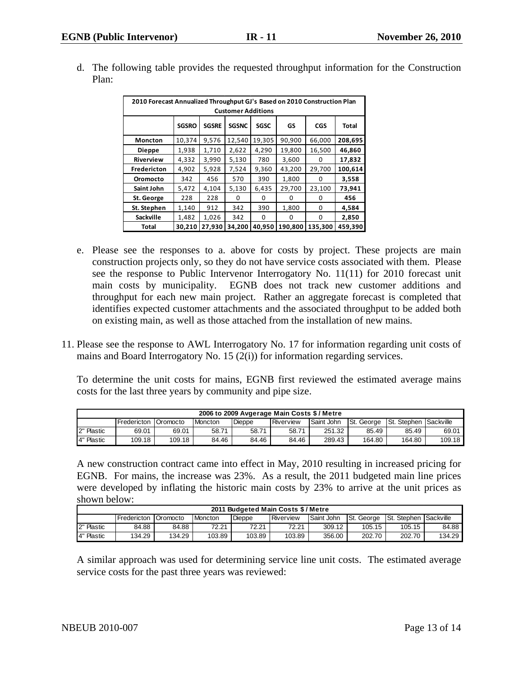| 2010 Forecast Annualized Throughput GJ's Based on 2010 Construction Plan<br><b>Customer Additions</b> |              |              |              |             |              |              |              |  |  |  |  |  |
|-------------------------------------------------------------------------------------------------------|--------------|--------------|--------------|-------------|--------------|--------------|--------------|--|--|--|--|--|
|                                                                                                       | <b>SGSRO</b> | <b>SGSRE</b> | <b>SGSNC</b> | <b>SGSC</b> | GS           | <b>CGS</b>   | <b>Total</b> |  |  |  |  |  |
| 19,305<br>90,900<br>208,695<br>10,374<br>9,576<br>12,540<br>66,000<br><b>Moncton</b>                  |              |              |              |             |              |              |              |  |  |  |  |  |
| 1,710<br>2,622<br>4,290<br>19,800<br>16,500<br>46,860<br>1,938<br><b>Dieppe</b>                       |              |              |              |             |              |              |              |  |  |  |  |  |
| <b>Riverview</b>                                                                                      | 4,332        | 3,990        | 5,130        | 780         | 3,600        | 0            | 17,832       |  |  |  |  |  |
| <b>Fredericton</b>                                                                                    | 4,902        | 5,928        | 7,524        | 9,360       | 43,200       | 29,700       | 100,614      |  |  |  |  |  |
| Oromocto                                                                                              | 342          | 456          | 570          | 390         | 1,800        | <sup>0</sup> | 3,558        |  |  |  |  |  |
| Saint John                                                                                            | 5,472        | 4,104        | 5,130        | 6,435       | 29,700       | 23,100       | 73,941       |  |  |  |  |  |
| St. George                                                                                            | 228          | 228          | <sup>0</sup> | O           | <sup>0</sup> | <sup>0</sup> | 456          |  |  |  |  |  |
| St. Stephen                                                                                           | 1,140        | 912          | 342          | 390         | 1,800        | 0            | 4,584        |  |  |  |  |  |
| <b>Sackville</b>                                                                                      | 1,482        | 1,026        | 342          | O           | 0            | 0            | 2,850        |  |  |  |  |  |
| Total                                                                                                 | 30.210       | 27.930       | 34.200       | 40.950      | 190,800      | 135.300      | 459,390      |  |  |  |  |  |

d. The following table provides the requested throughput information for the Construction Plan:

- e. Please see the responses to a. above for costs by project. These projects are main construction projects only, so they do not have service costs associated with them. Please see the response to Public Intervenor Interrogatory No. 11(11) for 2010 forecast unit main costs by municipality. EGNB does not track new customer additions and throughput for each new main project. Rather an aggregate forecast is completed that identifies expected customer attachments and the associated throughput to be added both on existing main, as well as those attached from the installation of new mains.
- 11. Please see the response to AWL Interrogatory No. 17 for information regarding unit costs of mains and Board Interrogatory No. 15 (2(i)) for information regarding services.

To determine the unit costs for mains, EGNB first reviewed the estimated average mains costs for the last three years by community and pipe size.

| 2006 to 2009 Avgerage Main Costs \$/Metre |                     |          |                |               |           |            |            |                                |        |  |  |
|-------------------------------------------|---------------------|----------|----------------|---------------|-----------|------------|------------|--------------------------------|--------|--|--|
|                                           | <b>IFredericton</b> | Oromocto | <b>Moncton</b> | <b>Dieppe</b> | Riverview | Saint John | St. George | <b>ISt. Stephen ISackville</b> |        |  |  |
| 2" Plastic                                | 69.01               | 69.01    | 58.71          | 58.71         | 58.71     | 251.32     | 85.49      | 85.49                          | 69.01  |  |  |
| 4" Plastic                                | 109.18              | 109.18   | 84.46          | 84.46         | 84.46     | 289.43     | 164.80     | 164.80                         | 109.18 |  |  |

A new construction contract came into effect in May, 2010 resulting in increased pricing for EGNB. For mains, the increase was 23%. As a result, the 2011 budgeted main line prices were developed by inflating the historic main costs by 23% to arrive at the unit prices as shown below:

|            | 2011 Budgeted Main Costs \$ / Metre |                 |           |               |           |            |                    |                                |        |  |  |  |
|------------|-------------------------------------|-----------------|-----------|---------------|-----------|------------|--------------------|--------------------------------|--------|--|--|--|
|            | <b>I</b> Fredericton                | <b>Oromocto</b> | l Moncton | <b>Dieppe</b> | Riverview | Saint John | <b>ISt. George</b> | <b>ISt. Stephen ISackville</b> |        |  |  |  |
| 2" Plastic | 84.88                               | 84.88           | 72.21     | 72.21         | 72.21     | 309.12     | 105.15             | 105.15                         | 84.88  |  |  |  |
| 4" Plastic | 134.29                              | 134.29          | 103.89    | 103.89        | 103.89    | 356.00     | 202.70             | 202.70                         | 134.29 |  |  |  |

A similar approach was used for determining service line unit costs. The estimated average service costs for the past three years was reviewed: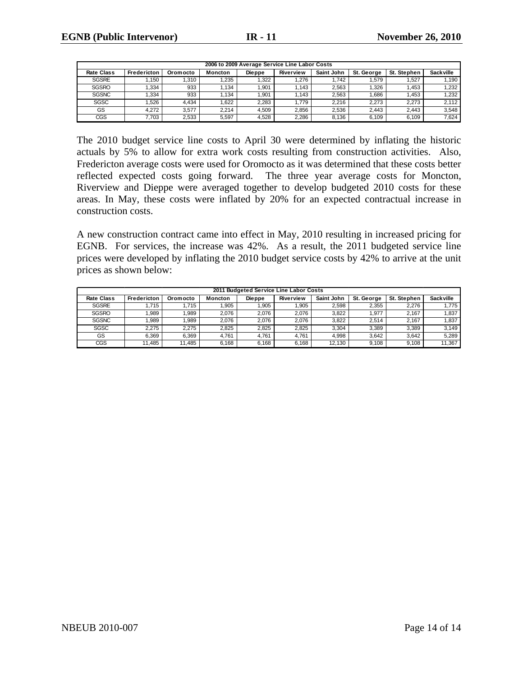|                   | 2006 to 2009 Average Service Line Labor Costs |                 |         |               |                  |            |            |             |                  |  |  |  |  |
|-------------------|-----------------------------------------------|-----------------|---------|---------------|------------------|------------|------------|-------------|------------------|--|--|--|--|
| <b>Rate Class</b> | Fredericton                                   | <b>Oromocto</b> | Moncton | <b>Dieppe</b> | <b>Riverview</b> | Saint John | St. George | St. Stephen | <b>Sackville</b> |  |  |  |  |
| <b>SGSRE</b>      | .150                                          | .310            | .235    | .322          | .276             | 1.742      | .579       | .527        | .190             |  |  |  |  |
| <b>SGSRO</b>      | .334                                          | 933             | .134    | .901          | 1.143            | 2.563      | .326       | .453        | 1,232            |  |  |  |  |
| <b>SGSNC</b>      | .334                                          | 933             | .134    | .901          | .143             | 2.563      | .686       | .453        | 1,232            |  |  |  |  |
| SGSC              | .526                                          | 4.434           | .622    | 2.283         | 1.779            | 2.216      | 2.273      | 2.273       | 2,112            |  |  |  |  |
| GS                | 4.272                                         | 3.577           | 2.214   | 4.509         | 2.856            | 2.536      | 2.443      | 2.443       | 3,548            |  |  |  |  |
| CGS               | 7.703                                         | 2,533           | 5,597   | 4.528         | 2.286            | 8.136      | 6.109      | 6.109       | 7.624            |  |  |  |  |

The 2010 budget service line costs to April 30 were determined by inflating the historic actuals by 5% to allow for extra work costs resulting from construction activities. Also, Fredericton average costs were used for Oromocto as it was determined that these costs better reflected expected costs going forward. The three year average costs for Moncton, Riverview and Dieppe were averaged together to develop budgeted 2010 costs for these areas. In May, these costs were inflated by 20% for an expected contractual increase in construction costs.

A new construction contract came into effect in May, 2010 resulting in increased pricing for EGNB. For services, the increase was 42%. As a result, the 2011 budgeted service line prices were developed by inflating the 2010 budget service costs by 42% to arrive at the unit prices as shown below:

|                   | 2011 Budgeted Service Line Labor Costs |          |                |               |                  |            |            |             |                  |  |  |  |  |
|-------------------|----------------------------------------|----------|----------------|---------------|------------------|------------|------------|-------------|------------------|--|--|--|--|
| <b>Rate Class</b> | Fredericton                            | Oromocto | <b>Moncton</b> | <b>Dieppe</b> | <b>Riverview</b> | Saint John | St. George | St. Stephen | <b>Sackville</b> |  |  |  |  |
| <b>SGSRE</b>      | .715                                   | 1.715    | .905           | .905          | .905             | 2,598      | 2,355      | 2.276       | 1.775            |  |  |  |  |
| <b>SGSRO</b>      | .989                                   | .989     | 2.076          | 2.076         | 2.076            | 3.822      | 1.977      | 2.167       | 1,837            |  |  |  |  |
| <b>SGSNC</b>      | .989                                   | .989     | 2.076          | 2.076         | 2.076            | 3.822      | 2.514      | 2.167       | 1,837            |  |  |  |  |
| <b>SGSC</b>       | 2.275                                  | 2.275    | 2.825          | 2.825         | 2.825            | 3.304      | 3,389      | 3.389       | 3,149            |  |  |  |  |
| GS                | 6.369                                  | 6.369    | 4.761          | 4.761         | 4.761            | 4.998      | 3.642      | 3.642       | 5,289            |  |  |  |  |
| CGS               | 11.485                                 | 11,485   | 6.168          | 6.168         | 6,168            | 12,130     | 9.108      | 9,108       | 11,367           |  |  |  |  |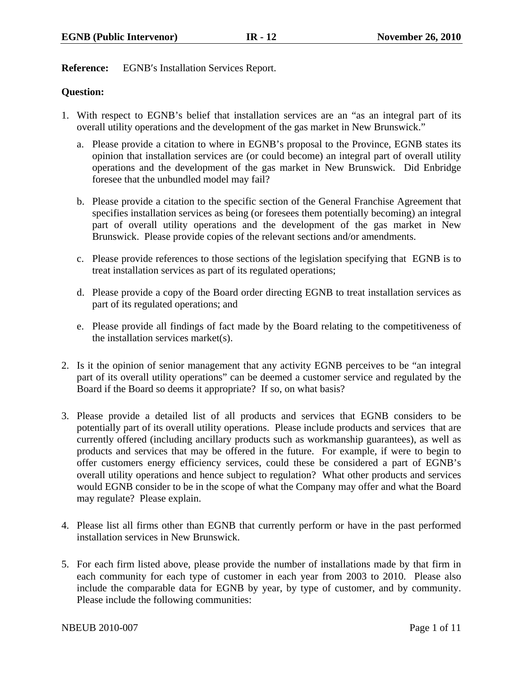**Reference:** EGNB′s Installation Services Report.

## **Question:**

- 1. With respect to EGNB's belief that installation services are an "as an integral part of its overall utility operations and the development of the gas market in New Brunswick."
	- a. Please provide a citation to where in EGNB's proposal to the Province, EGNB states its opinion that installation services are (or could become) an integral part of overall utility operations and the development of the gas market in New Brunswick. Did Enbridge foresee that the unbundled model may fail?
	- b. Please provide a citation to the specific section of the General Franchise Agreement that specifies installation services as being (or foresees them potentially becoming) an integral part of overall utility operations and the development of the gas market in New Brunswick. Please provide copies of the relevant sections and/or amendments.
	- c. Please provide references to those sections of the legislation specifying that EGNB is to treat installation services as part of its regulated operations;
	- d. Please provide a copy of the Board order directing EGNB to treat installation services as part of its regulated operations; and
	- e. Please provide all findings of fact made by the Board relating to the competitiveness of the installation services market(s).
- 2. Is it the opinion of senior management that any activity EGNB perceives to be "an integral part of its overall utility operations" can be deemed a customer service and regulated by the Board if the Board so deems it appropriate? If so, on what basis?
- 3. Please provide a detailed list of all products and services that EGNB considers to be potentially part of its overall utility operations. Please include products and services that are currently offered (including ancillary products such as workmanship guarantees), as well as products and services that may be offered in the future. For example, if were to begin to offer customers energy efficiency services, could these be considered a part of EGNB's overall utility operations and hence subject to regulation? What other products and services would EGNB consider to be in the scope of what the Company may offer and what the Board may regulate? Please explain.
- 4. Please list all firms other than EGNB that currently perform or have in the past performed installation services in New Brunswick.
- 5. For each firm listed above, please provide the number of installations made by that firm in each community for each type of customer in each year from 2003 to 2010. Please also include the comparable data for EGNB by year, by type of customer, and by community. Please include the following communities: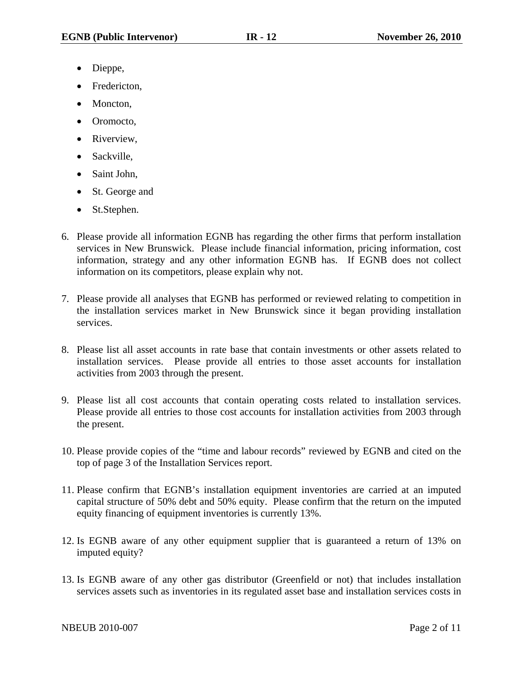- Dieppe,
- Fredericton.
- Moncton,
- Oromocto,
- Riverview,
- Sackville,
- Saint John,
- St. George and
- St.Stephen.
- 6. Please provide all information EGNB has regarding the other firms that perform installation services in New Brunswick. Please include financial information, pricing information, cost information, strategy and any other information EGNB has. If EGNB does not collect information on its competitors, please explain why not.
- 7. Please provide all analyses that EGNB has performed or reviewed relating to competition in the installation services market in New Brunswick since it began providing installation services.
- 8. Please list all asset accounts in rate base that contain investments or other assets related to installation services. Please provide all entries to those asset accounts for installation activities from 2003 through the present.
- 9. Please list all cost accounts that contain operating costs related to installation services. Please provide all entries to those cost accounts for installation activities from 2003 through the present.
- 10. Please provide copies of the "time and labour records" reviewed by EGNB and cited on the top of page 3 of the Installation Services report.
- 11. Please confirm that EGNB's installation equipment inventories are carried at an imputed capital structure of 50% debt and 50% equity. Please confirm that the return on the imputed equity financing of equipment inventories is currently 13%.
- 12. Is EGNB aware of any other equipment supplier that is guaranteed a return of 13% on imputed equity?
- 13. Is EGNB aware of any other gas distributor (Greenfield or not) that includes installation services assets such as inventories in its regulated asset base and installation services costs in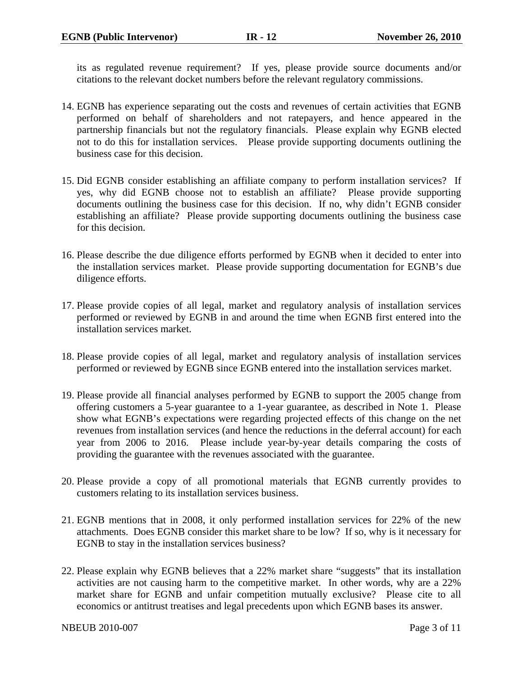its as regulated revenue requirement? If yes, please provide source documents and/or citations to the relevant docket numbers before the relevant regulatory commissions.

- 14. EGNB has experience separating out the costs and revenues of certain activities that EGNB performed on behalf of shareholders and not ratepayers, and hence appeared in the partnership financials but not the regulatory financials. Please explain why EGNB elected not to do this for installation services. Please provide supporting documents outlining the business case for this decision.
- 15. Did EGNB consider establishing an affiliate company to perform installation services? If yes, why did EGNB choose not to establish an affiliate? Please provide supporting documents outlining the business case for this decision. If no, why didn't EGNB consider establishing an affiliate? Please provide supporting documents outlining the business case for this decision.
- 16. Please describe the due diligence efforts performed by EGNB when it decided to enter into the installation services market. Please provide supporting documentation for EGNB's due diligence efforts.
- 17. Please provide copies of all legal, market and regulatory analysis of installation services performed or reviewed by EGNB in and around the time when EGNB first entered into the installation services market.
- 18. Please provide copies of all legal, market and regulatory analysis of installation services performed or reviewed by EGNB since EGNB entered into the installation services market.
- 19. Please provide all financial analyses performed by EGNB to support the 2005 change from offering customers a 5-year guarantee to a 1-year guarantee, as described in Note 1. Please show what EGNB's expectations were regarding projected effects of this change on the net revenues from installation services (and hence the reductions in the deferral account) for each year from 2006 to 2016. Please include year-by-year details comparing the costs of providing the guarantee with the revenues associated with the guarantee.
- 20. Please provide a copy of all promotional materials that EGNB currently provides to customers relating to its installation services business.
- 21. EGNB mentions that in 2008, it only performed installation services for 22% of the new attachments. Does EGNB consider this market share to be low? If so, why is it necessary for EGNB to stay in the installation services business?
- 22. Please explain why EGNB believes that a 22% market share "suggests" that its installation activities are not causing harm to the competitive market. In other words, why are a 22% market share for EGNB and unfair competition mutually exclusive? Please cite to all economics or antitrust treatises and legal precedents upon which EGNB bases its answer.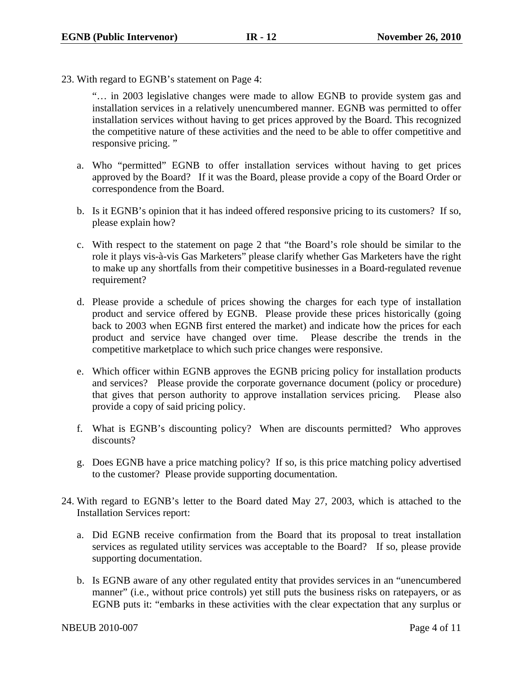23. With regard to EGNB's statement on Page 4:

"… in 2003 legislative changes were made to allow EGNB to provide system gas and installation services in a relatively unencumbered manner. EGNB was permitted to offer installation services without having to get prices approved by the Board. This recognized the competitive nature of these activities and the need to be able to offer competitive and responsive pricing. "

- a. Who "permitted" EGNB to offer installation services without having to get prices approved by the Board? If it was the Board, please provide a copy of the Board Order or correspondence from the Board.
- b. Is it EGNB's opinion that it has indeed offered responsive pricing to its customers? If so, please explain how?
- c. With respect to the statement on page 2 that "the Board's role should be similar to the role it plays vis-à-vis Gas Marketers" please clarify whether Gas Marketers have the right to make up any shortfalls from their competitive businesses in a Board-regulated revenue requirement?
- d. Please provide a schedule of prices showing the charges for each type of installation product and service offered by EGNB. Please provide these prices historically (going back to 2003 when EGNB first entered the market) and indicate how the prices for each product and service have changed over time. Please describe the trends in the competitive marketplace to which such price changes were responsive.
- e. Which officer within EGNB approves the EGNB pricing policy for installation products and services? Please provide the corporate governance document (policy or procedure) that gives that person authority to approve installation services pricing. Please also provide a copy of said pricing policy.
- f. What is EGNB's discounting policy? When are discounts permitted? Who approves discounts?
- g. Does EGNB have a price matching policy? If so, is this price matching policy advertised to the customer? Please provide supporting documentation.
- 24. With regard to EGNB's letter to the Board dated May 27, 2003, which is attached to the Installation Services report:
	- a. Did EGNB receive confirmation from the Board that its proposal to treat installation services as regulated utility services was acceptable to the Board? If so, please provide supporting documentation.
	- b. Is EGNB aware of any other regulated entity that provides services in an "unencumbered manner" (i.e., without price controls) yet still puts the business risks on ratepayers, or as EGNB puts it: "embarks in these activities with the clear expectation that any surplus or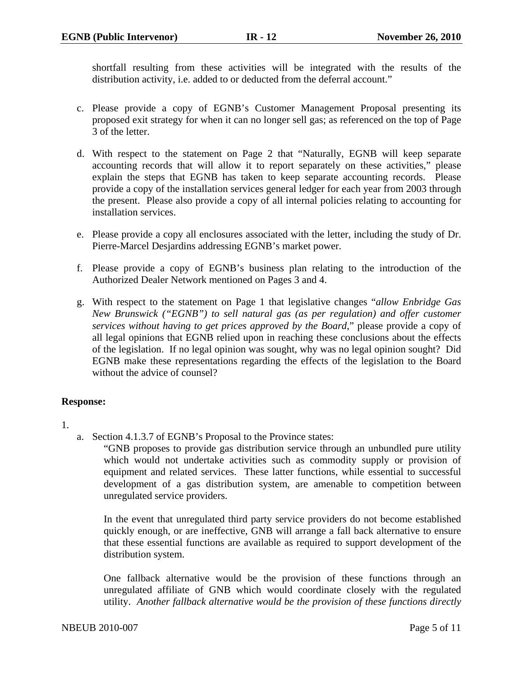shortfall resulting from these activities will be integrated with the results of the distribution activity, i.e. added to or deducted from the deferral account."

- c. Please provide a copy of EGNB's Customer Management Proposal presenting its proposed exit strategy for when it can no longer sell gas; as referenced on the top of Page 3 of the letter.
- d. With respect to the statement on Page 2 that "Naturally, EGNB will keep separate accounting records that will allow it to report separately on these activities," please explain the steps that EGNB has taken to keep separate accounting records. Please provide a copy of the installation services general ledger for each year from 2003 through the present. Please also provide a copy of all internal policies relating to accounting for installation services.
- e. Please provide a copy all enclosures associated with the letter, including the study of Dr. Pierre-Marcel Desjardins addressing EGNB's market power.
- f. Please provide a copy of EGNB's business plan relating to the introduction of the Authorized Dealer Network mentioned on Pages 3 and 4.
- g. With respect to the statement on Page 1 that legislative changes "*allow Enbridge Gas New Brunswick ("EGNB") to sell natural gas (as per regulation) and offer customer services without having to get prices approved by the Board*," please provide a copy of all legal opinions that EGNB relied upon in reaching these conclusions about the effects of the legislation. If no legal opinion was sought, why was no legal opinion sought? Did EGNB make these representations regarding the effects of the legislation to the Board without the advice of counsel?

# **Response:**

- 1.
- a. Section 4.1.3.7 of EGNB's Proposal to the Province states:

"GNB proposes to provide gas distribution service through an unbundled pure utility which would not undertake activities such as commodity supply or provision of equipment and related services. These latter functions, while essential to successful development of a gas distribution system, are amenable to competition between unregulated service providers.

In the event that unregulated third party service providers do not become established quickly enough, or are ineffective, GNB will arrange a fall back alternative to ensure that these essential functions are available as required to support development of the distribution system.

One fallback alternative would be the provision of these functions through an unregulated affiliate of GNB which would coordinate closely with the regulated utility. *Another fallback alternative would be the provision of these functions directly*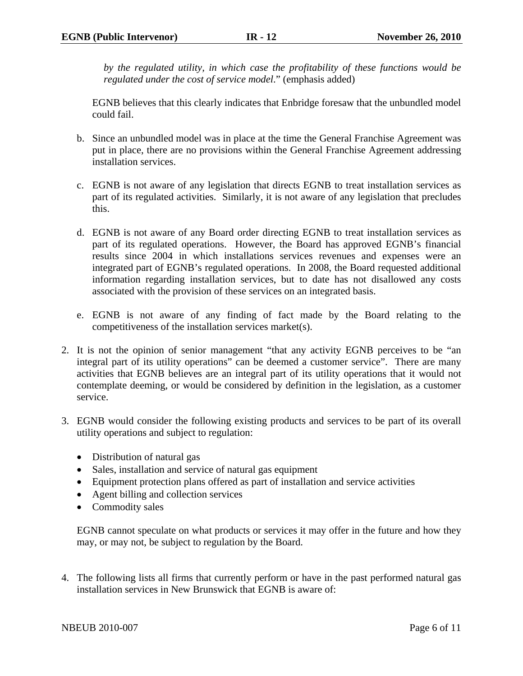*by the regulated utility, in which case the profitability of these functions would be regulated under the cost of service model*." (emphasis added)

EGNB believes that this clearly indicates that Enbridge foresaw that the unbundled model could fail.

- b. Since an unbundled model was in place at the time the General Franchise Agreement was put in place, there are no provisions within the General Franchise Agreement addressing installation services.
- c. EGNB is not aware of any legislation that directs EGNB to treat installation services as part of its regulated activities. Similarly, it is not aware of any legislation that precludes this.
- d. EGNB is not aware of any Board order directing EGNB to treat installation services as part of its regulated operations. However, the Board has approved EGNB's financial results since 2004 in which installations services revenues and expenses were an integrated part of EGNB's regulated operations. In 2008, the Board requested additional information regarding installation services, but to date has not disallowed any costs associated with the provision of these services on an integrated basis.
- e. EGNB is not aware of any finding of fact made by the Board relating to the competitiveness of the installation services market(s).
- 2. It is not the opinion of senior management "that any activity EGNB perceives to be "an integral part of its utility operations" can be deemed a customer service". There are many activities that EGNB believes are an integral part of its utility operations that it would not contemplate deeming, or would be considered by definition in the legislation, as a customer service.
- 3. EGNB would consider the following existing products and services to be part of its overall utility operations and subject to regulation:
	- Distribution of natural gas
	- Sales, installation and service of natural gas equipment
	- Equipment protection plans offered as part of installation and service activities
	- Agent billing and collection services
	- Commodity sales

EGNB cannot speculate on what products or services it may offer in the future and how they may, or may not, be subject to regulation by the Board.

4. The following lists all firms that currently perform or have in the past performed natural gas installation services in New Brunswick that EGNB is aware of: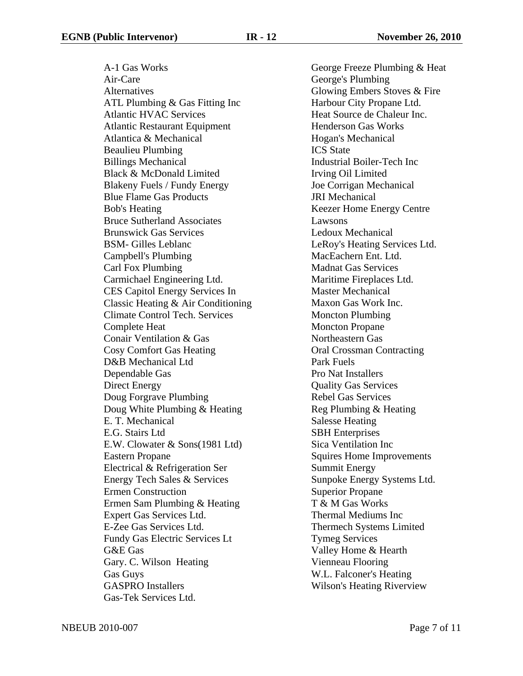A-1 Gas Works Air-Care Alternatives ATL Plumbing & Gas Fitting Inc Atlantic HVAC Services Atlantic Restaurant Equipment Atlantica & Mechanical Beaulieu Plumbing Billings Mechanical Black & McDonald Limited Blakeny Fuels / Fundy Energy Blue Flame Gas Products Bob's Heating Bruce Sutherland Associates Brunswick Gas Services BSM- Gilles Leblanc Campbell's Plumbing Carl Fox Plumbing Carmichael Engineering Ltd. CES Capitol Energy Services In Classic Heating & Air Conditioning Climate Control Tech. Services Complete Heat Conair Ventilation & Gas Cosy Comfort Gas Heating D&B Mechanical Ltd Dependable Gas Direct Energy Doug Forgrave Plumbing Doug White Plumbing & Heating E. T. Mechanical E.G. Stairs Ltd E.W. Clowater & Sons(1981 Ltd) Eastern Propane Electrical & Refrigeration Ser Energy Tech Sales & Services Ermen Construction Ermen Sam Plumbing & Heating Expert Gas Services Ltd. E-Zee Gas Services Ltd. Fundy Gas Electric Services Lt G&E Gas Gary. C. Wilson Heating Gas Guys GASPRO Installers Gas-Tek Services Ltd.

George Freeze Plumbing & Heat George's Plumbing Glowing Embers Stoves & Fire Harbour City Propane Ltd. Heat Source de Chaleur Inc. Henderson Gas Works Hogan's Mechanical ICS State Industrial Boiler-Tech Inc Irving Oil Limited Joe Corrigan Mechanical JRI Mechanical Keezer Home Energy Centre Lawsons Ledoux Mechanical LeRoy's Heating Services Ltd. MacEachern Ent. Ltd. Madnat Gas Services Maritime Fireplaces Ltd. Master Mechanical Maxon Gas Work Inc. Moncton Plumbing Moncton Propane Northeastern Gas Oral Crossman Contracting Park Fuels Pro Nat Installers Quality Gas Services Rebel Gas Services Reg Plumbing & Heating Salesse Heating SBH Enterprises Sica Ventilation Inc Squires Home Improvements Summit Energy Sunpoke Energy Systems Ltd. Superior Propane T & M Gas Works Thermal Mediums Inc Thermech Systems Limited Tymeg Services Valley Home & Hearth Vienneau Flooring W.L. Falconer's Heating Wilson's Heating Riverview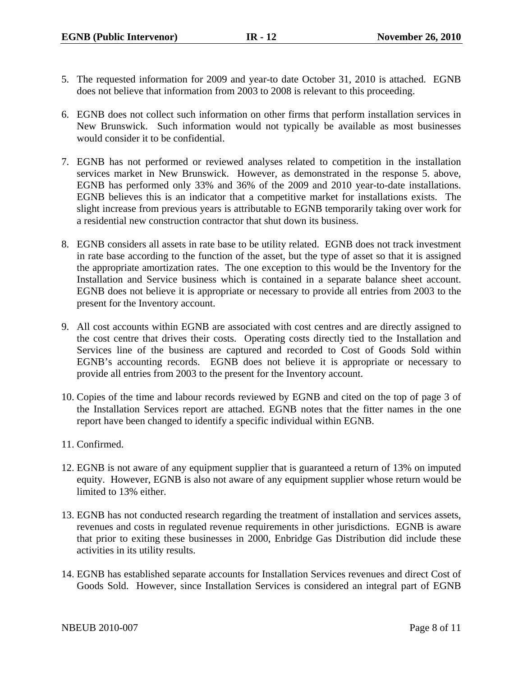- 5. The requested information for 2009 and year-to date October 31, 2010 is attached. EGNB does not believe that information from 2003 to 2008 is relevant to this proceeding.
- 6. EGNB does not collect such information on other firms that perform installation services in New Brunswick. Such information would not typically be available as most businesses would consider it to be confidential.
- 7. EGNB has not performed or reviewed analyses related to competition in the installation services market in New Brunswick. However, as demonstrated in the response 5. above, EGNB has performed only 33% and 36% of the 2009 and 2010 year-to-date installations. EGNB believes this is an indicator that a competitive market for installations exists. The slight increase from previous years is attributable to EGNB temporarily taking over work for a residential new construction contractor that shut down its business.
- 8. EGNB considers all assets in rate base to be utility related. EGNB does not track investment in rate base according to the function of the asset, but the type of asset so that it is assigned the appropriate amortization rates. The one exception to this would be the Inventory for the Installation and Service business which is contained in a separate balance sheet account. EGNB does not believe it is appropriate or necessary to provide all entries from 2003 to the present for the Inventory account.
- 9. All cost accounts within EGNB are associated with cost centres and are directly assigned to the cost centre that drives their costs. Operating costs directly tied to the Installation and Services line of the business are captured and recorded to Cost of Goods Sold within EGNB's accounting records. EGNB does not believe it is appropriate or necessary to provide all entries from 2003 to the present for the Inventory account.
- 10. Copies of the time and labour records reviewed by EGNB and cited on the top of page 3 of the Installation Services report are attached. EGNB notes that the fitter names in the one report have been changed to identify a specific individual within EGNB.
- 11. Confirmed.
- 12. EGNB is not aware of any equipment supplier that is guaranteed a return of 13% on imputed equity. However, EGNB is also not aware of any equipment supplier whose return would be limited to 13% either.
- 13. EGNB has not conducted research regarding the treatment of installation and services assets, revenues and costs in regulated revenue requirements in other jurisdictions. EGNB is aware that prior to exiting these businesses in 2000, Enbridge Gas Distribution did include these activities in its utility results.
- 14. EGNB has established separate accounts for Installation Services revenues and direct Cost of Goods Sold. However, since Installation Services is considered an integral part of EGNB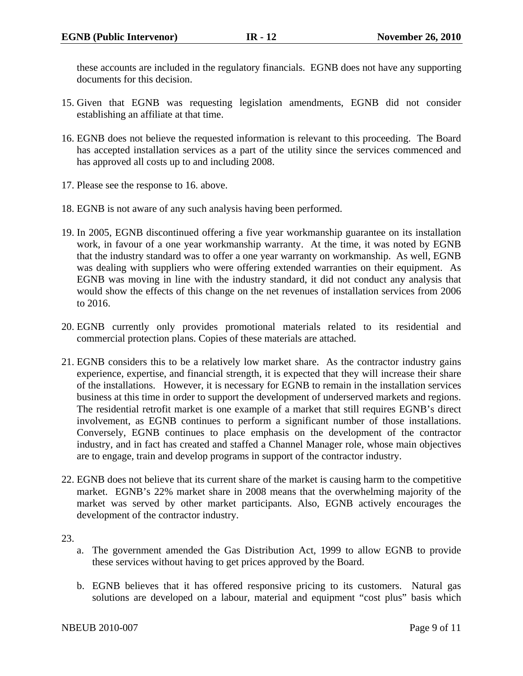these accounts are included in the regulatory financials. EGNB does not have any supporting documents for this decision.

- 15. Given that EGNB was requesting legislation amendments, EGNB did not consider establishing an affiliate at that time.
- 16. EGNB does not believe the requested information is relevant to this proceeding. The Board has accepted installation services as a part of the utility since the services commenced and has approved all costs up to and including 2008.
- 17. Please see the response to 16. above.
- 18. EGNB is not aware of any such analysis having been performed.
- 19. In 2005, EGNB discontinued offering a five year workmanship guarantee on its installation work, in favour of a one year workmanship warranty. At the time, it was noted by EGNB that the industry standard was to offer a one year warranty on workmanship. As well, EGNB was dealing with suppliers who were offering extended warranties on their equipment. As EGNB was moving in line with the industry standard, it did not conduct any analysis that would show the effects of this change on the net revenues of installation services from 2006 to 2016.
- 20. EGNB currently only provides promotional materials related to its residential and commercial protection plans. Copies of these materials are attached.
- 21. EGNB considers this to be a relatively low market share. As the contractor industry gains experience, expertise, and financial strength, it is expected that they will increase their share of the installations. However, it is necessary for EGNB to remain in the installation services business at this time in order to support the development of underserved markets and regions. The residential retrofit market is one example of a market that still requires EGNB's direct involvement, as EGNB continues to perform a significant number of those installations. Conversely, EGNB continues to place emphasis on the development of the contractor industry, and in fact has created and staffed a Channel Manager role, whose main objectives are to engage, train and develop programs in support of the contractor industry.
- 22. EGNB does not believe that its current share of the market is causing harm to the competitive market. EGNB's 22% market share in 2008 means that the overwhelming majority of the market was served by other market participants. Also, EGNB actively encourages the development of the contractor industry.

23.

- a. The government amended the Gas Distribution Act, 1999 to allow EGNB to provide these services without having to get prices approved by the Board.
- b. EGNB believes that it has offered responsive pricing to its customers. Natural gas solutions are developed on a labour, material and equipment "cost plus" basis which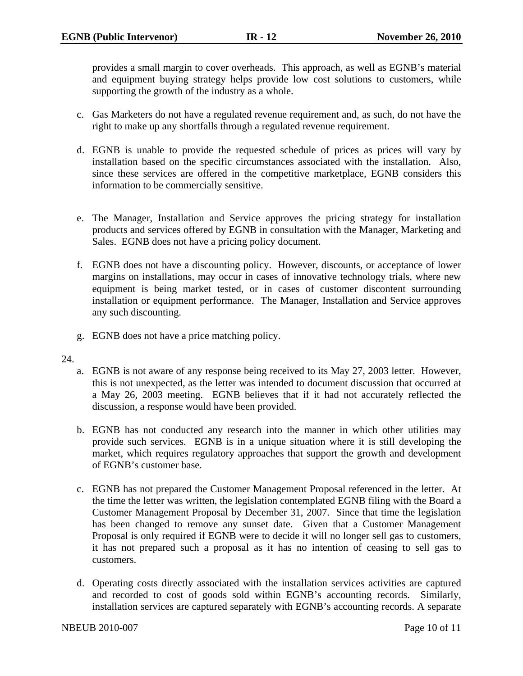provides a small margin to cover overheads. This approach, as well as EGNB's material and equipment buying strategy helps provide low cost solutions to customers, while supporting the growth of the industry as a whole.

- c. Gas Marketers do not have a regulated revenue requirement and, as such, do not have the right to make up any shortfalls through a regulated revenue requirement.
- d. EGNB is unable to provide the requested schedule of prices as prices will vary by installation based on the specific circumstances associated with the installation. Also, since these services are offered in the competitive marketplace, EGNB considers this information to be commercially sensitive.
- e. The Manager, Installation and Service approves the pricing strategy for installation products and services offered by EGNB in consultation with the Manager, Marketing and Sales. EGNB does not have a pricing policy document.
- f. EGNB does not have a discounting policy. However, discounts, or acceptance of lower margins on installations, may occur in cases of innovative technology trials, where new equipment is being market tested, or in cases of customer discontent surrounding installation or equipment performance. The Manager, Installation and Service approves any such discounting.
- g. EGNB does not have a price matching policy.

## 24.

- a. EGNB is not aware of any response being received to its May 27, 2003 letter. However, this is not unexpected, as the letter was intended to document discussion that occurred at a May 26, 2003 meeting. EGNB believes that if it had not accurately reflected the discussion, a response would have been provided.
- b. EGNB has not conducted any research into the manner in which other utilities may provide such services. EGNB is in a unique situation where it is still developing the market, which requires regulatory approaches that support the growth and development of EGNB's customer base.
- c. EGNB has not prepared the Customer Management Proposal referenced in the letter. At the time the letter was written, the legislation contemplated EGNB filing with the Board a Customer Management Proposal by December 31, 2007. Since that time the legislation has been changed to remove any sunset date. Given that a Customer Management Proposal is only required if EGNB were to decide it will no longer sell gas to customers, it has not prepared such a proposal as it has no intention of ceasing to sell gas to customers.
- d. Operating costs directly associated with the installation services activities are captured and recorded to cost of goods sold within EGNB's accounting records. Similarly, installation services are captured separately with EGNB's accounting records. A separate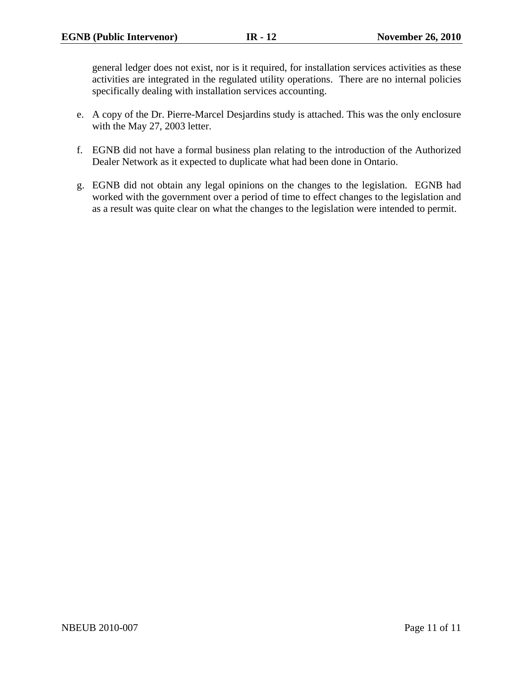general ledger does not exist, nor is it required, for installation services activities as these activities are integrated in the regulated utility operations. There are no internal policies specifically dealing with installation services accounting.

- e. A copy of the Dr. Pierre-Marcel Desjardins study is attached. This was the only enclosure with the May 27, 2003 letter.
- f. EGNB did not have a formal business plan relating to the introduction of the Authorized Dealer Network as it expected to duplicate what had been done in Ontario.
- g. EGNB did not obtain any legal opinions on the changes to the legislation. EGNB had worked with the government over a period of time to effect changes to the legislation and as a result was quite clear on what the changes to the legislation were intended to permit.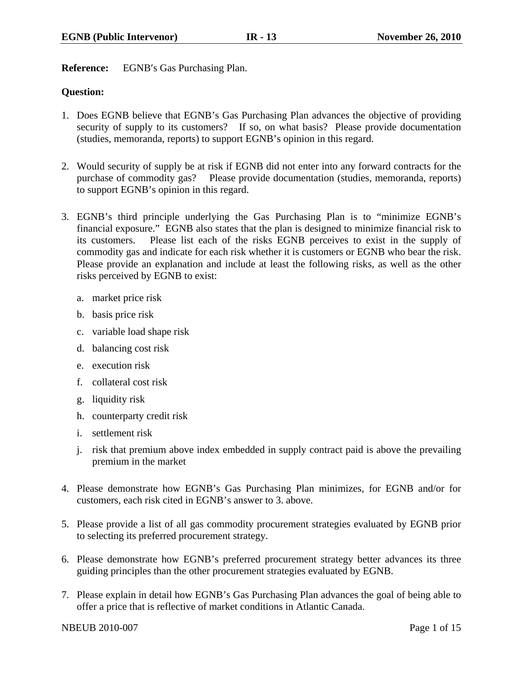**Reference:** EGNB′s Gas Purchasing Plan.

## **Question:**

- 1. Does EGNB believe that EGNB's Gas Purchasing Plan advances the objective of providing security of supply to its customers? If so, on what basis? Please provide documentation (studies, memoranda, reports) to support EGNB's opinion in this regard.
- 2. Would security of supply be at risk if EGNB did not enter into any forward contracts for the purchase of commodity gas? Please provide documentation (studies, memoranda, reports) to support EGNB's opinion in this regard.
- 3. EGNB's third principle underlying the Gas Purchasing Plan is to "minimize EGNB's financial exposure." EGNB also states that the plan is designed to minimize financial risk to its customers. Please list each of the risks EGNB perceives to exist in the supply of commodity gas and indicate for each risk whether it is customers or EGNB who bear the risk. Please provide an explanation and include at least the following risks, as well as the other risks perceived by EGNB to exist:
	- a. market price risk
	- b. basis price risk
	- c. variable load shape risk
	- d. balancing cost risk
	- e. execution risk
	- f. collateral cost risk
	- g. liquidity risk
	- h. counterparty credit risk
	- i. settlement risk
	- j. risk that premium above index embedded in supply contract paid is above the prevailing premium in the market
- 4. Please demonstrate how EGNB's Gas Purchasing Plan minimizes, for EGNB and/or for customers, each risk cited in EGNB's answer to 3. above.
- 5. Please provide a list of all gas commodity procurement strategies evaluated by EGNB prior to selecting its preferred procurement strategy.
- 6. Please demonstrate how EGNB's preferred procurement strategy better advances its three guiding principles than the other procurement strategies evaluated by EGNB.
- 7. Please explain in detail how EGNB's Gas Purchasing Plan advances the goal of being able to offer a price that is reflective of market conditions in Atlantic Canada.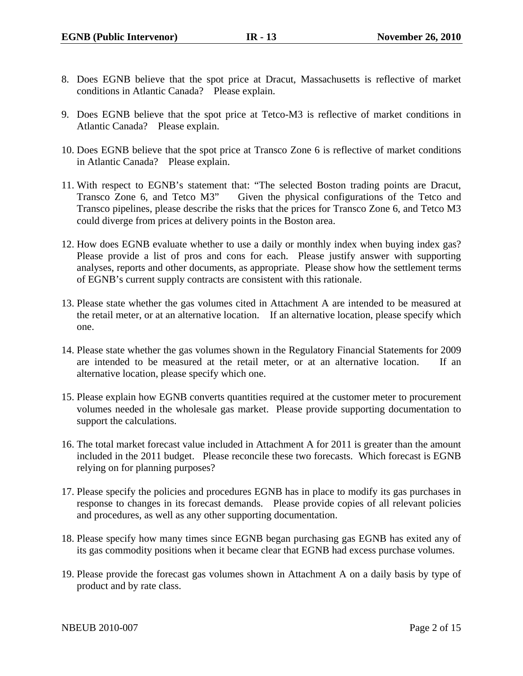- 8. Does EGNB believe that the spot price at Dracut, Massachusetts is reflective of market conditions in Atlantic Canada? Please explain.
- 9. Does EGNB believe that the spot price at Tetco-M3 is reflective of market conditions in Atlantic Canada? Please explain.
- 10. Does EGNB believe that the spot price at Transco Zone 6 is reflective of market conditions in Atlantic Canada? Please explain.
- 11. With respect to EGNB's statement that: "The selected Boston trading points are Dracut, Transco Zone 6, and Tetco M3" Given the physical configurations of the Tetco and Transco pipelines, please describe the risks that the prices for Transco Zone 6, and Tetco M3 could diverge from prices at delivery points in the Boston area.
- 12. How does EGNB evaluate whether to use a daily or monthly index when buying index gas? Please provide a list of pros and cons for each. Please justify answer with supporting analyses, reports and other documents, as appropriate. Please show how the settlement terms of EGNB's current supply contracts are consistent with this rationale.
- 13. Please state whether the gas volumes cited in Attachment A are intended to be measured at the retail meter, or at an alternative location. If an alternative location, please specify which one.
- 14. Please state whether the gas volumes shown in the Regulatory Financial Statements for 2009 are intended to be measured at the retail meter, or at an alternative location. If an alternative location, please specify which one.
- 15. Please explain how EGNB converts quantities required at the customer meter to procurement volumes needed in the wholesale gas market. Please provide supporting documentation to support the calculations.
- 16. The total market forecast value included in Attachment A for 2011 is greater than the amount included in the 2011 budget. Please reconcile these two forecasts. Which forecast is EGNB relying on for planning purposes?
- 17. Please specify the policies and procedures EGNB has in place to modify its gas purchases in response to changes in its forecast demands. Please provide copies of all relevant policies and procedures, as well as any other supporting documentation.
- 18. Please specify how many times since EGNB began purchasing gas EGNB has exited any of its gas commodity positions when it became clear that EGNB had excess purchase volumes.
- 19. Please provide the forecast gas volumes shown in Attachment A on a daily basis by type of product and by rate class.

NBEUB 2010-007 Page 2 of 15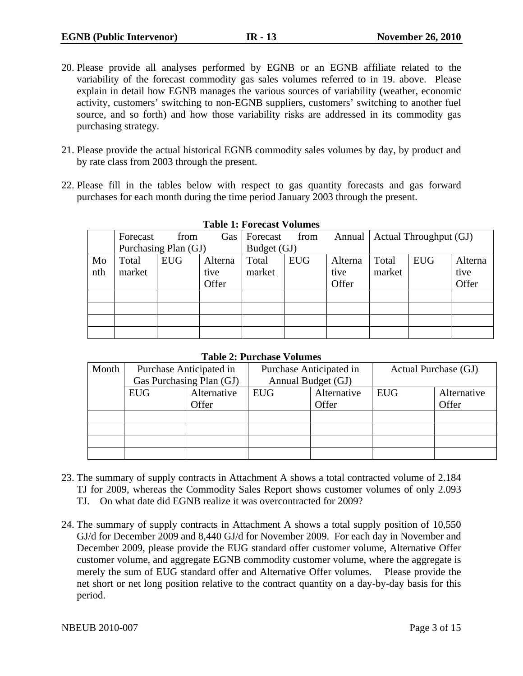- 20. Please provide all analyses performed by EGNB or an EGNB affiliate related to the variability of the forecast commodity gas sales volumes referred to in 19. above. Please explain in detail how EGNB manages the various sources of variability (weather, economic activity, customers' switching to non-EGNB suppliers, customers' switching to another fuel source, and so forth) and how those variability risks are addressed in its commodity gas purchasing strategy.
- 21. Please provide the actual historical EGNB commodity sales volumes by day, by product and by rate class from 2003 through the present.
- 22. Please fill in the tables below with respect to gas quantity forecasts and gas forward purchases for each month during the time period January 2003 through the present.

|     | Forecast             | from       | Gas     | Forecast    | from       | Annual  |        | Actual Throughput (GJ) |         |
|-----|----------------------|------------|---------|-------------|------------|---------|--------|------------------------|---------|
|     | Purchasing Plan (GJ) |            |         | Budget (GJ) |            |         |        |                        |         |
| Mo  | Total                | <b>EUG</b> | Alterna | Total       | <b>EUG</b> | Alterna | Total  | <b>EUG</b>             | Alterna |
| nth | market               |            | tive    | market      |            | tive    | market |                        | tive    |
|     |                      |            | Offer   |             |            | Offer   |        |                        | Offer   |
|     |                      |            |         |             |            |         |        |                        |         |
|     |                      |            |         |             |            |         |        |                        |         |
|     |                      |            |         |             |            |         |        |                        |         |
|     |                      |            |         |             |            |         |        |                        |         |

## **Table 1: Forecast Volumes**

## **Table 2: Purchase Volumes**

| Month | Purchase Anticipated in<br>Gas Purchasing Plan (GJ) |             | Purchase Anticipated in<br>Annual Budget (GJ) |             | Actual Purchase (GJ) |             |
|-------|-----------------------------------------------------|-------------|-----------------------------------------------|-------------|----------------------|-------------|
|       | <b>EUG</b>                                          | Alternative | EUG                                           | Alternative | <b>EUG</b>           | Alternative |
|       |                                                     | Offer       |                                               | Offer       |                      | Offer       |
|       |                                                     |             |                                               |             |                      |             |
|       |                                                     |             |                                               |             |                      |             |
|       |                                                     |             |                                               |             |                      |             |
|       |                                                     |             |                                               |             |                      |             |

- 23. The summary of supply contracts in Attachment A shows a total contracted volume of 2.184 TJ for 2009, whereas the Commodity Sales Report shows customer volumes of only 2.093 TJ. On what date did EGNB realize it was overcontracted for 2009?
- 24. The summary of supply contracts in Attachment A shows a total supply position of 10,550 GJ/d for December 2009 and 8,440 GJ/d for November 2009. For each day in November and December 2009, please provide the EUG standard offer customer volume, Alternative Offer customer volume, and aggregate EGNB commodity customer volume, where the aggregate is merely the sum of EUG standard offer and Alternative Offer volumes. Please provide the net short or net long position relative to the contract quantity on a day-by-day basis for this period.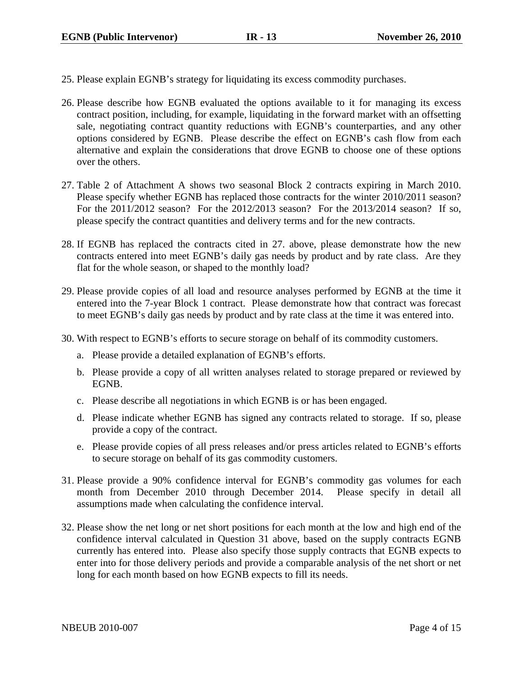- 25. Please explain EGNB's strategy for liquidating its excess commodity purchases.
- 26. Please describe how EGNB evaluated the options available to it for managing its excess contract position, including, for example, liquidating in the forward market with an offsetting sale, negotiating contract quantity reductions with EGNB's counterparties, and any other options considered by EGNB. Please describe the effect on EGNB's cash flow from each alternative and explain the considerations that drove EGNB to choose one of these options over the others.
- 27. Table 2 of Attachment A shows two seasonal Block 2 contracts expiring in March 2010. Please specify whether EGNB has replaced those contracts for the winter 2010/2011 season? For the 2011/2012 season? For the 2012/2013 season? For the 2013/2014 season? If so, please specify the contract quantities and delivery terms and for the new contracts.
- 28. If EGNB has replaced the contracts cited in 27. above, please demonstrate how the new contracts entered into meet EGNB's daily gas needs by product and by rate class. Are they flat for the whole season, or shaped to the monthly load?
- 29. Please provide copies of all load and resource analyses performed by EGNB at the time it entered into the 7-year Block 1 contract. Please demonstrate how that contract was forecast to meet EGNB's daily gas needs by product and by rate class at the time it was entered into.
- 30. With respect to EGNB's efforts to secure storage on behalf of its commodity customers.
	- a. Please provide a detailed explanation of EGNB's efforts.
	- b. Please provide a copy of all written analyses related to storage prepared or reviewed by EGNB.
	- c. Please describe all negotiations in which EGNB is or has been engaged.
	- d. Please indicate whether EGNB has signed any contracts related to storage. If so, please provide a copy of the contract.
	- e. Please provide copies of all press releases and/or press articles related to EGNB's efforts to secure storage on behalf of its gas commodity customers.
- 31. Please provide a 90% confidence interval for EGNB's commodity gas volumes for each month from December 2010 through December 2014. Please specify in detail all assumptions made when calculating the confidence interval.
- 32. Please show the net long or net short positions for each month at the low and high end of the confidence interval calculated in Question 31 above, based on the supply contracts EGNB currently has entered into. Please also specify those supply contracts that EGNB expects to enter into for those delivery periods and provide a comparable analysis of the net short or net long for each month based on how EGNB expects to fill its needs.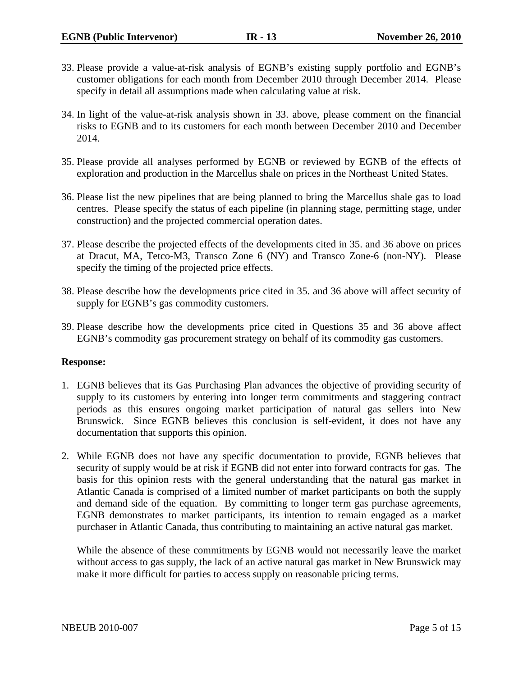- 33. Please provide a value-at-risk analysis of EGNB's existing supply portfolio and EGNB's customer obligations for each month from December 2010 through December 2014. Please specify in detail all assumptions made when calculating value at risk.
- 34. In light of the value-at-risk analysis shown in 33. above, please comment on the financial risks to EGNB and to its customers for each month between December 2010 and December 2014.
- 35. Please provide all analyses performed by EGNB or reviewed by EGNB of the effects of exploration and production in the Marcellus shale on prices in the Northeast United States.
- 36. Please list the new pipelines that are being planned to bring the Marcellus shale gas to load centres. Please specify the status of each pipeline (in planning stage, permitting stage, under construction) and the projected commercial operation dates.
- 37. Please describe the projected effects of the developments cited in 35. and 36 above on prices at Dracut, MA, Tetco-M3, Transco Zone 6 (NY) and Transco Zone-6 (non-NY). Please specify the timing of the projected price effects.
- 38. Please describe how the developments price cited in 35. and 36 above will affect security of supply for EGNB's gas commodity customers.
- 39. Please describe how the developments price cited in Questions 35 and 36 above affect EGNB's commodity gas procurement strategy on behalf of its commodity gas customers.

## **Response:**

- 1. EGNB believes that its Gas Purchasing Plan advances the objective of providing security of supply to its customers by entering into longer term commitments and staggering contract periods as this ensures ongoing market participation of natural gas sellers into New Brunswick. Since EGNB believes this conclusion is self-evident, it does not have any documentation that supports this opinion.
- 2. While EGNB does not have any specific documentation to provide, EGNB believes that security of supply would be at risk if EGNB did not enter into forward contracts for gas. The basis for this opinion rests with the general understanding that the natural gas market in Atlantic Canada is comprised of a limited number of market participants on both the supply and demand side of the equation. By committing to longer term gas purchase agreements, EGNB demonstrates to market participants, its intention to remain engaged as a market purchaser in Atlantic Canada, thus contributing to maintaining an active natural gas market.

While the absence of these commitments by EGNB would not necessarily leave the market without access to gas supply, the lack of an active natural gas market in New Brunswick may make it more difficult for parties to access supply on reasonable pricing terms.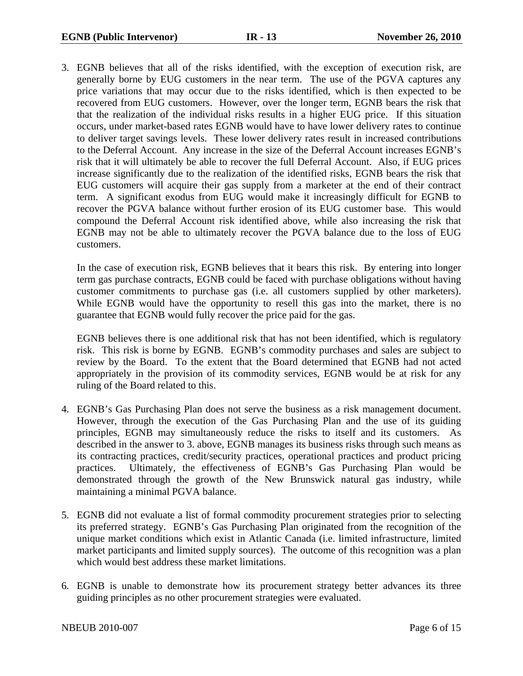3. EGNB believes that all of the risks identified, with the exception of execution risk, are generally borne by EUG customers in the near term. The use of the PGVA captures any price variations that may occur due to the risks identified, which is then expected to be recovered from EUG customers. However, over the longer term, EGNB bears the risk that that the realization of the individual risks results in a higher EUG price. If this situation occurs, under market-based rates EGNB would have to have lower delivery rates to continue to deliver target savings levels. These lower delivery rates result in increased contributions to the Deferral Account. Any increase in the size of the Deferral Account increases EGNB's risk that it will ultimately be able to recover the full Deferral Account. Also, if EUG prices increase significantly due to the realization of the identified risks, EGNB bears the risk that EUG customers will acquire their gas supply from a marketer at the end of their contract term. A significant exodus from EUG would make it increasingly difficult for EGNB to recover the PGVA balance without further erosion of its EUG customer base. This would compound the Deferral Account risk identified above, while also increasing the risk that EGNB may not be able to ultimately recover the PGVA balance due to the loss of EUG customers.

In the case of execution risk, EGNB believes that it bears this risk. By entering into longer term gas purchase contracts, EGNB could be faced with purchase obligations without having customer commitments to purchase gas (i.e. all customers supplied by other marketers). While EGNB would have the opportunity to resell this gas into the market, there is no guarantee that EGNB would fully recover the price paid for the gas.

EGNB believes there is one additional risk that has not been identified, which is regulatory risk. This risk is borne by EGNB. EGNB's commodity purchases and sales are subject to review by the Board. To the extent that the Board determined that EGNB had not acted appropriately in the provision of its commodity services, EGNB would be at risk for any ruling of the Board related to this.

- 4. EGNB's Gas Purchasing Plan does not serve the business as a risk management document. However, through the execution of the Gas Purchasing Plan and the use of its guiding principles, EGNB may simultaneously reduce the risks to itself and its customers. As described in the answer to 3. above, EGNB manages its business risks through such means as its contracting practices, credit/security practices, operational practices and product pricing practices. Ultimately, the effectiveness of EGNB's Gas Purchasing Plan would be demonstrated through the growth of the New Brunswick natural gas industry, while maintaining a minimal PGVA balance.
- 5. EGNB did not evaluate a list of formal commodity procurement strategies prior to selecting its preferred strategy. EGNB's Gas Purchasing Plan originated from the recognition of the unique market conditions which exist in Atlantic Canada (i.e. limited infrastructure, limited market participants and limited supply sources). The outcome of this recognition was a plan which would best address these market limitations.
- 6. EGNB is unable to demonstrate how its procurement strategy better advances its three guiding principles as no other procurement strategies were evaluated.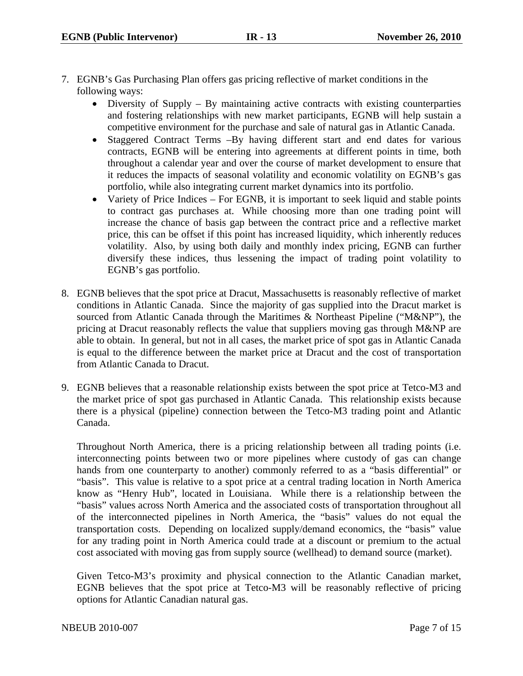- 7. EGNB's Gas Purchasing Plan offers gas pricing reflective of market conditions in the following ways:
	- Diversity of Supply By maintaining active contracts with existing counterparties and fostering relationships with new market participants, EGNB will help sustain a competitive environment for the purchase and sale of natural gas in Atlantic Canada.
	- Staggered Contract Terms –By having different start and end dates for various contracts, EGNB will be entering into agreements at different points in time, both throughout a calendar year and over the course of market development to ensure that it reduces the impacts of seasonal volatility and economic volatility on EGNB's gas portfolio, while also integrating current market dynamics into its portfolio.
	- Variety of Price Indices For EGNB, it is important to seek liquid and stable points to contract gas purchases at. While choosing more than one trading point will increase the chance of basis gap between the contract price and a reflective market price, this can be offset if this point has increased liquidity, which inherently reduces volatility. Also, by using both daily and monthly index pricing, EGNB can further diversify these indices, thus lessening the impact of trading point volatility to EGNB's gas portfolio.
- 8. EGNB believes that the spot price at Dracut, Massachusetts is reasonably reflective of market conditions in Atlantic Canada. Since the majority of gas supplied into the Dracut market is sourced from Atlantic Canada through the Maritimes & Northeast Pipeline ("M&NP"), the pricing at Dracut reasonably reflects the value that suppliers moving gas through M&NP are able to obtain. In general, but not in all cases, the market price of spot gas in Atlantic Canada is equal to the difference between the market price at Dracut and the cost of transportation from Atlantic Canada to Dracut.
- 9. EGNB believes that a reasonable relationship exists between the spot price at Tetco-M3 and the market price of spot gas purchased in Atlantic Canada. This relationship exists because there is a physical (pipeline) connection between the Tetco-M3 trading point and Atlantic Canada.

Throughout North America, there is a pricing relationship between all trading points (i.e. interconnecting points between two or more pipelines where custody of gas can change hands from one counterparty to another) commonly referred to as a "basis differential" or "basis". This value is relative to a spot price at a central trading location in North America know as "Henry Hub", located in Louisiana. While there is a relationship between the "basis" values across North America and the associated costs of transportation throughout all of the interconnected pipelines in North America, the "basis" values do not equal the transportation costs. Depending on localized supply/demand economics, the "basis" value for any trading point in North America could trade at a discount or premium to the actual cost associated with moving gas from supply source (wellhead) to demand source (market).

Given Tetco-M3's proximity and physical connection to the Atlantic Canadian market, EGNB believes that the spot price at Tetco-M3 will be reasonably reflective of pricing options for Atlantic Canadian natural gas.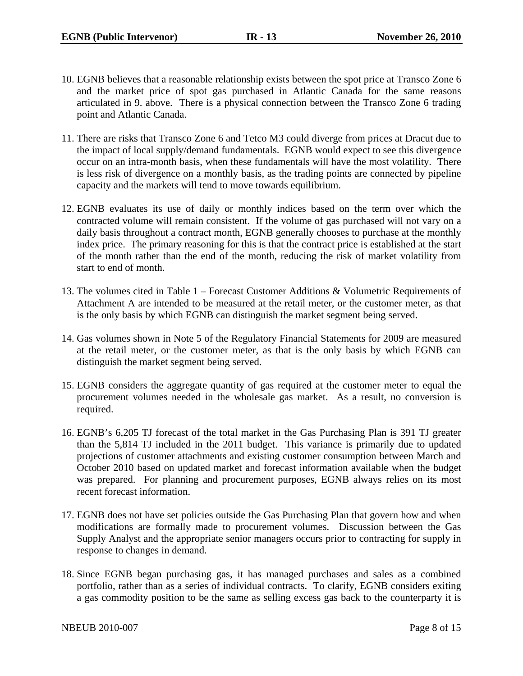- 10. EGNB believes that a reasonable relationship exists between the spot price at Transco Zone 6 and the market price of spot gas purchased in Atlantic Canada for the same reasons articulated in 9. above. There is a physical connection between the Transco Zone 6 trading point and Atlantic Canada.
- 11. There are risks that Transco Zone 6 and Tetco M3 could diverge from prices at Dracut due to the impact of local supply/demand fundamentals. EGNB would expect to see this divergence occur on an intra-month basis, when these fundamentals will have the most volatility. There is less risk of divergence on a monthly basis, as the trading points are connected by pipeline capacity and the markets will tend to move towards equilibrium.
- 12. EGNB evaluates its use of daily or monthly indices based on the term over which the contracted volume will remain consistent. If the volume of gas purchased will not vary on a daily basis throughout a contract month, EGNB generally chooses to purchase at the monthly index price. The primary reasoning for this is that the contract price is established at the start of the month rather than the end of the month, reducing the risk of market volatility from start to end of month.
- 13. The volumes cited in Table 1 Forecast Customer Additions & Volumetric Requirements of Attachment A are intended to be measured at the retail meter, or the customer meter, as that is the only basis by which EGNB can distinguish the market segment being served.
- 14. Gas volumes shown in Note 5 of the Regulatory Financial Statements for 2009 are measured at the retail meter, or the customer meter, as that is the only basis by which EGNB can distinguish the market segment being served.
- 15. EGNB considers the aggregate quantity of gas required at the customer meter to equal the procurement volumes needed in the wholesale gas market. As a result, no conversion is required.
- 16. EGNB's 6,205 TJ forecast of the total market in the Gas Purchasing Plan is 391 TJ greater than the 5,814 TJ included in the 2011 budget. This variance is primarily due to updated projections of customer attachments and existing customer consumption between March and October 2010 based on updated market and forecast information available when the budget was prepared. For planning and procurement purposes, EGNB always relies on its most recent forecast information.
- 17. EGNB does not have set policies outside the Gas Purchasing Plan that govern how and when modifications are formally made to procurement volumes. Discussion between the Gas Supply Analyst and the appropriate senior managers occurs prior to contracting for supply in response to changes in demand.
- 18. Since EGNB began purchasing gas, it has managed purchases and sales as a combined portfolio, rather than as a series of individual contracts. To clarify, EGNB considers exiting a gas commodity position to be the same as selling excess gas back to the counterparty it is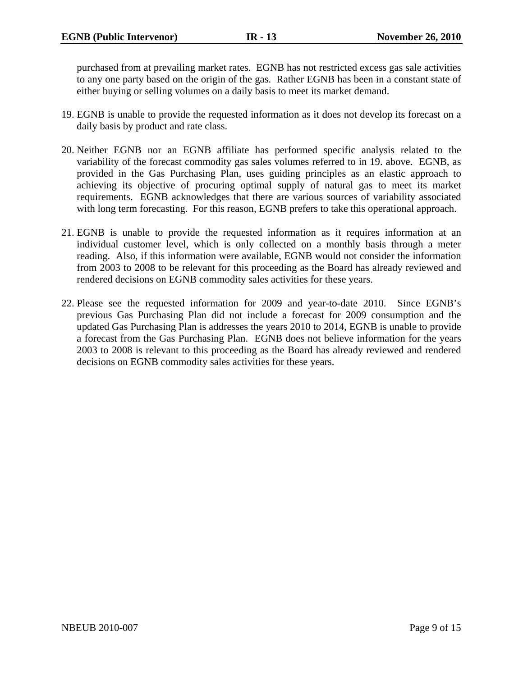purchased from at prevailing market rates. EGNB has not restricted excess gas sale activities to any one party based on the origin of the gas. Rather EGNB has been in a constant state of either buying or selling volumes on a daily basis to meet its market demand.

- 19. EGNB is unable to provide the requested information as it does not develop its forecast on a daily basis by product and rate class.
- 20. Neither EGNB nor an EGNB affiliate has performed specific analysis related to the variability of the forecast commodity gas sales volumes referred to in 19. above. EGNB, as provided in the Gas Purchasing Plan, uses guiding principles as an elastic approach to achieving its objective of procuring optimal supply of natural gas to meet its market requirements. EGNB acknowledges that there are various sources of variability associated with long term forecasting. For this reason, EGNB prefers to take this operational approach.
- 21. EGNB is unable to provide the requested information as it requires information at an individual customer level, which is only collected on a monthly basis through a meter reading. Also, if this information were available, EGNB would not consider the information from 2003 to 2008 to be relevant for this proceeding as the Board has already reviewed and rendered decisions on EGNB commodity sales activities for these years.
- 22. Please see the requested information for 2009 and year-to-date 2010. Since EGNB's previous Gas Purchasing Plan did not include a forecast for 2009 consumption and the updated Gas Purchasing Plan is addresses the years 2010 to 2014, EGNB is unable to provide a forecast from the Gas Purchasing Plan. EGNB does not believe information for the years 2003 to 2008 is relevant to this proceeding as the Board has already reviewed and rendered decisions on EGNB commodity sales activities for these years.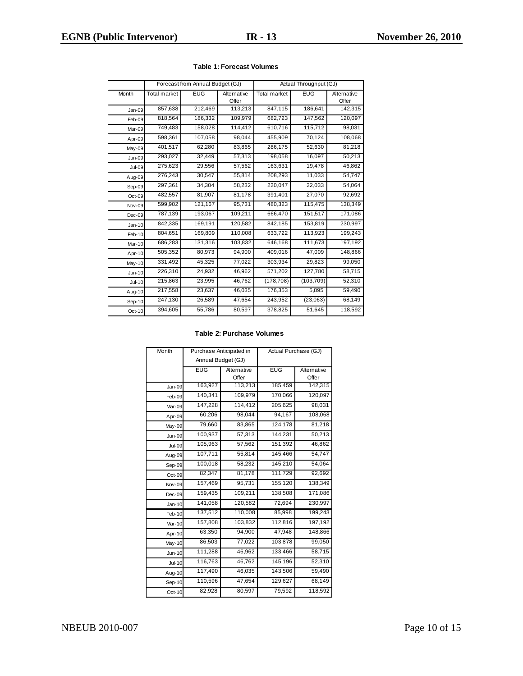|               | Forecast from Annual Budget (GJ) |            | Actual Throughput (GJ) |                     |            |                      |
|---------------|----------------------------------|------------|------------------------|---------------------|------------|----------------------|
| Month         | <b>Total market</b>              | <b>EUG</b> | Alternative<br>Offer   | <b>Total market</b> | <b>EUG</b> | Alternative<br>Offer |
| Jan-09        | 857,638                          | 212,469    | 113,213                | 847,115             | 186,641    | 142,315              |
| Feb-09        | 818,564                          | 186,332    | 109,979                | 682,723             | 147,562    | 120,097              |
| Mar-09        | 749,483                          | 158,028    | 114,412                | 610,716             | 115,712    | 98,031               |
| Apr-09        | 598,361                          | 107,058    | 98,044                 | 455,909             | 70,124     | 108,068              |
| May-09        | 401,517                          | 62,280     | 83,865                 | 286,175             | 52,630     | 81,218               |
| <b>Jun-09</b> | 293,027                          | 32,449     | 57,313                 | 198,058             | 16,097     | 50,213               |
| $Jul-09$      | 275,623                          | 29,556     | 57,562                 | 163,631             | 19,478     | 46,862               |
| Aug-09        | 276,243                          | 30,547     | 55,814                 | 208,293             | 11,033     | 54,747               |
| Sep-09        | 297,361                          | 34,304     | 58,232                 | 220,047             | 22,033     | 54,064               |
| Oct-09        | 482,557                          | 81,907     | 81,178                 | 391,401             | 27,070     | 92,692               |
| Nov-09        | 599,902                          | 121,167    | 95,731                 | 480,323             | 115,475    | 138,349              |
| $Dec-09$      | 787,139                          | 193,067    | 109,211                | 666,470             | 151,517    | 171,086              |
| $Jan-10$      | 842,335                          | 169,191    | 120,582                | 842,185             | 153,819    | 230,997              |
| Feb-10        | 804,651                          | 169,809    | 110,008                | 633,722             | 113,923    | 199,243              |
| <b>Mar-10</b> | 686,283                          | 131,316    | 103,832                | 646,168             | 111,673    | 197,192              |
| Apr-10        | 505,352                          | 80,973     | 94,900                 | 409,016             | 47,009     | 148,866              |
| May-10        | 331,492                          | 45,325     | 77,022                 | 303,934             | 29,823     | 99,050               |
| $Jun-10$      | 226,310                          | 24,932     | 46,962                 | 571,202             | 127,780    | 58,715               |
| $Jul-10$      | 215,863                          | 23,995     | 46,762                 | (178, 708)          | (103, 709) | 52,310               |
| Aug-10        | 217,558                          | 23,637     | 46,035                 | 176,353             | 5,895      | 59,490               |
| Sep-10        | 247,130                          | 26,589     | 47,654                 | 243,952             | (23,063)   | 68,149               |
| Oct-10        | 394,605                          | 55,786     | 80,597                 | 378,825             | 51,645     | 118,592              |

### **Table 1: Forecast Volumes**

### **Table 2: Purchase Volumes**

| Month         | Purchase Anticipated in |             | Actual Purchase (GJ) |             |  |
|---------------|-------------------------|-------------|----------------------|-------------|--|
|               | Annual Budget (GJ)      |             |                      |             |  |
|               | <b>EUG</b>              | Alternative | <b>EUG</b>           | Alternative |  |
|               |                         | Offer       |                      | Offer       |  |
| Jan-09        | 163,927                 | 113,213     | 185,459              | 142,315     |  |
| Feb-09        | 140,341                 | 109,979     | 170,066              | 120,097     |  |
| Mar-09        | 147,228                 | 114,412     | 205,625              | 98,031      |  |
| Apr-09        | 60,206                  | 98,044      | 94,167               | 108,068     |  |
| May-09        | 79,660                  | 83,865      | 124,178              | 81,218      |  |
| <b>Jun-09</b> | 100,937                 | 57,313      | 144,231              | 50,213      |  |
| <b>Jul-09</b> | 105,963                 | 57,562      | 151,392              | 46,862      |  |
| Aug-09        | 107,711                 | 55,814      | 145,466              | 54,747      |  |
| Sep-09        | 100,018                 | 58,232      | 145,210              | 54,064      |  |
| Oct-09        | 82,347                  | 81,178      | 111,729              | 92,692      |  |
| Nov-09        | 157,469                 | 95,731      | 155,120              | 138,349     |  |
| Dec-09        | 159,435                 | 109,211     | 138,508              | 171,086     |  |
| Jan-10        | 141,058                 | 120,582     | 72,694               | 230,997     |  |
| Feb-10        | 137,512                 | 110,008     | 85,998               | 199,243     |  |
| <b>Mar-10</b> | 157,808                 | 103,832     | 112,816              | 197,192     |  |
| Apr-10        | 63,350                  | 94,900      | 47,948               | 148,866     |  |
| <b>May-10</b> | 86,503                  | 77,022      | 103,878              | 99,050      |  |
| $Jun-10$      | 111,288                 | 46,962      | 133,466              | 58,715      |  |
| $Jul-10$      | 116,763                 | 46,762      | 145,196              | 52,310      |  |
| Aug-10        | 117,490                 | 46,035      | 143,506              | 59,490      |  |
| Sep-10        | 110,596                 | 47,654      | 129,627              | 68,149      |  |
| Oct-10        | 82,928                  | 80,597      | 79,592               | 118,592     |  |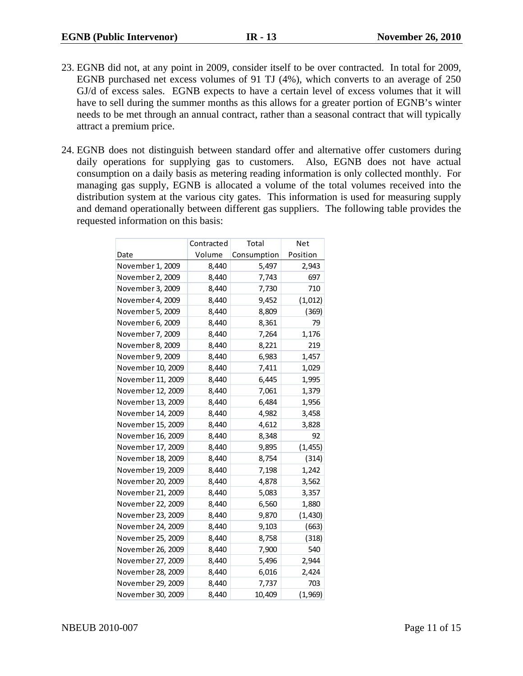- 23. EGNB did not, at any point in 2009, consider itself to be over contracted. In total for 2009, EGNB purchased net excess volumes of 91 TJ (4%), which converts to an average of 250 GJ/d of excess sales. EGNB expects to have a certain level of excess volumes that it will have to sell during the summer months as this allows for a greater portion of EGNB's winter needs to be met through an annual contract, rather than a seasonal contract that will typically attract a premium price.
- 24. EGNB does not distinguish between standard offer and alternative offer customers during daily operations for supplying gas to customers. Also, EGNB does not have actual consumption on a daily basis as metering reading information is only collected monthly. For managing gas supply, EGNB is allocated a volume of the total volumes received into the distribution system at the various city gates. This information is used for measuring supply and demand operationally between different gas suppliers. The following table provides the requested information on this basis:

|                   | Contracted | Total       | Net      |
|-------------------|------------|-------------|----------|
| Date              | Volume     | Consumption | Position |
| November 1, 2009  | 8,440      | 5,497       | 2,943    |
| November 2, 2009  | 8,440      | 7,743       | 697      |
| November 3, 2009  | 8,440      | 7,730       | 710      |
| November 4, 2009  | 8,440      | 9,452       | (1,012)  |
| November 5, 2009  | 8,440      | 8,809       | (369)    |
| November 6, 2009  | 8,440      | 8,361       | 79       |
| November 7, 2009  | 8,440      | 7,264       | 1,176    |
| November 8, 2009  | 8,440      | 8,221       | 219      |
| November 9, 2009  | 8,440      | 6,983       | 1,457    |
| November 10, 2009 | 8,440      | 7,411       | 1,029    |
| November 11, 2009 | 8,440      | 6,445       | 1,995    |
| November 12, 2009 | 8,440      | 7,061       | 1,379    |
| November 13, 2009 | 8,440      | 6,484       | 1,956    |
| November 14, 2009 | 8,440      | 4,982       | 3,458    |
| November 15, 2009 | 8,440      | 4,612       | 3,828    |
| November 16, 2009 | 8,440      | 8,348       | 92       |
| November 17, 2009 | 8,440      | 9,895       | (1, 455) |
| November 18, 2009 | 8,440      | 8,754       | (314)    |
| November 19, 2009 | 8,440      | 7,198       | 1,242    |
| November 20, 2009 | 8,440      | 4,878       | 3,562    |
| November 21, 2009 | 8,440      | 5,083       | 3,357    |
| November 22, 2009 | 8,440      | 6,560       | 1,880    |
| November 23, 2009 | 8,440      | 9,870       | (1, 430) |
| November 24, 2009 | 8,440      | 9,103       | (663)    |
| November 25, 2009 | 8,440      | 8,758       | (318)    |
| November 26, 2009 | 8,440      | 7,900       | 540      |
| November 27, 2009 | 8,440      | 5,496       | 2,944    |
| November 28, 2009 | 8,440      | 6,016       | 2,424    |
| November 29, 2009 | 8,440      | 7,737       | 703      |
| November 30, 2009 | 8,440      | 10,409      | (1,969)  |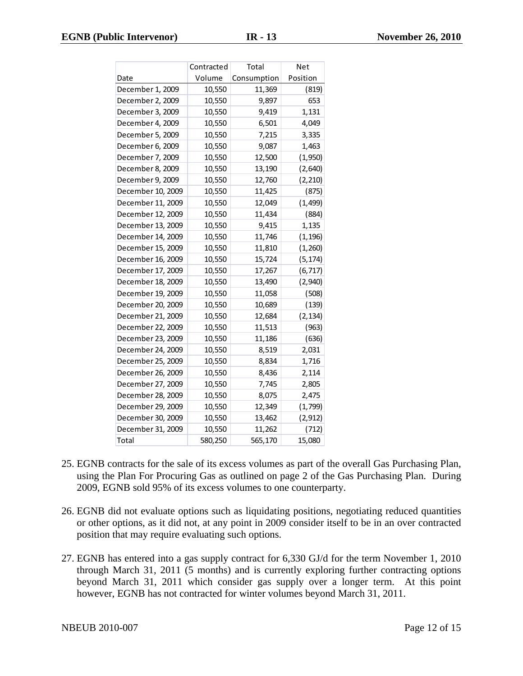|                   | Contracted | Total       | Net      |
|-------------------|------------|-------------|----------|
| Date              | Volume     | Consumption | Position |
| December 1, 2009  | 10,550     | 11,369      | (819)    |
| December 2, 2009  | 10,550     | 9,897       | 653      |
| December 3, 2009  | 10,550     | 9,419       | 1,131    |
| December 4, 2009  | 10,550     | 6,501       | 4,049    |
| December 5, 2009  | 10,550     | 7,215       | 3,335    |
| December 6, 2009  | 10,550     | 9,087       | 1,463    |
| December 7, 2009  | 10,550     | 12,500      | (1,950)  |
| December 8, 2009  | 10,550     | 13,190      | (2,640)  |
| December 9, 2009  | 10,550     | 12,760      | (2, 210) |
| December 10, 2009 | 10,550     | 11,425      | (875)    |
| December 11, 2009 | 10,550     | 12,049      | (1, 499) |
| December 12, 2009 | 10,550     | 11,434      | (884)    |
| December 13, 2009 | 10,550     | 9,415       | 1,135    |
| December 14, 2009 | 10,550     | 11,746      | (1, 196) |
| December 15, 2009 | 10,550     | 11,810      | (1,260)  |
| December 16, 2009 | 10,550     | 15,724      | (5, 174) |
| December 17, 2009 | 10,550     | 17,267      | (6, 717) |
| December 18, 2009 | 10,550     | 13,490      | (2,940)  |
| December 19, 2009 | 10,550     | 11,058      | (508)    |
| December 20, 2009 | 10,550     | 10,689      | (139)    |
| December 21, 2009 | 10,550     | 12,684      | (2, 134) |
| December 22, 2009 | 10,550     | 11,513      | (963)    |
| December 23, 2009 | 10,550     | 11,186      | (636)    |
| December 24, 2009 | 10,550     | 8,519       | 2,031    |
| December 25, 2009 | 10,550     | 8,834       | 1,716    |
| December 26, 2009 | 10,550     | 8,436       | 2,114    |
| December 27, 2009 | 10,550     | 7,745       | 2,805    |
| December 28, 2009 | 10,550     | 8,075       | 2,475    |
| December 29, 2009 | 10,550     | 12,349      | (1,799)  |
| December 30, 2009 | 10,550     | 13,462      | (2, 912) |
| December 31, 2009 | 10,550     | 11,262      | (712)    |
| Total             | 580,250    | 565,170     | 15,080   |

- 25. EGNB contracts for the sale of its excess volumes as part of the overall Gas Purchasing Plan, using the Plan For Procuring Gas as outlined on page 2 of the Gas Purchasing Plan. During 2009, EGNB sold 95% of its excess volumes to one counterparty.
- 26. EGNB did not evaluate options such as liquidating positions, negotiating reduced quantities or other options, as it did not, at any point in 2009 consider itself to be in an over contracted position that may require evaluating such options.
- 27. EGNB has entered into a gas supply contract for 6,330 GJ/d for the term November 1, 2010 through March 31, 2011 (5 months) and is currently exploring further contracting options beyond March 31, 2011 which consider gas supply over a longer term. At this point however, EGNB has not contracted for winter volumes beyond March 31, 2011.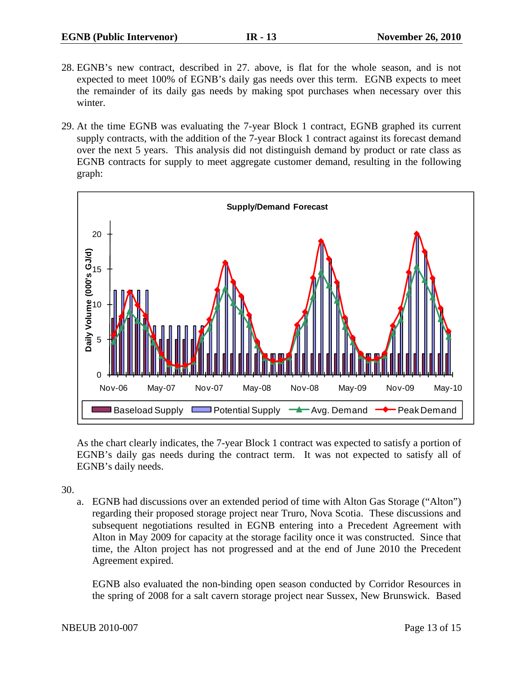- 28. EGNB's new contract, described in 27. above, is flat for the whole season, and is not expected to meet 100% of EGNB's daily gas needs over this term. EGNB expects to meet the remainder of its daily gas needs by making spot purchases when necessary over this winter.
- 29. At the time EGNB was evaluating the 7-year Block 1 contract, EGNB graphed its current supply contracts, with the addition of the 7-year Block 1 contract against its forecast demand over the next 5 years. This analysis did not distinguish demand by product or rate class as EGNB contracts for supply to meet aggregate customer demand, resulting in the following graph:



As the chart clearly indicates, the 7-year Block 1 contract was expected to satisfy a portion of EGNB's daily gas needs during the contract term. It was not expected to satisfy all of EGNB's daily needs.

30.

a. EGNB had discussions over an extended period of time with Alton Gas Storage ("Alton") regarding their proposed storage project near Truro, Nova Scotia. These discussions and subsequent negotiations resulted in EGNB entering into a Precedent Agreement with Alton in May 2009 for capacity at the storage facility once it was constructed. Since that time, the Alton project has not progressed and at the end of June 2010 the Precedent Agreement expired.

EGNB also evaluated the non-binding open season conducted by Corridor Resources in the spring of 2008 for a salt cavern storage project near Sussex, New Brunswick. Based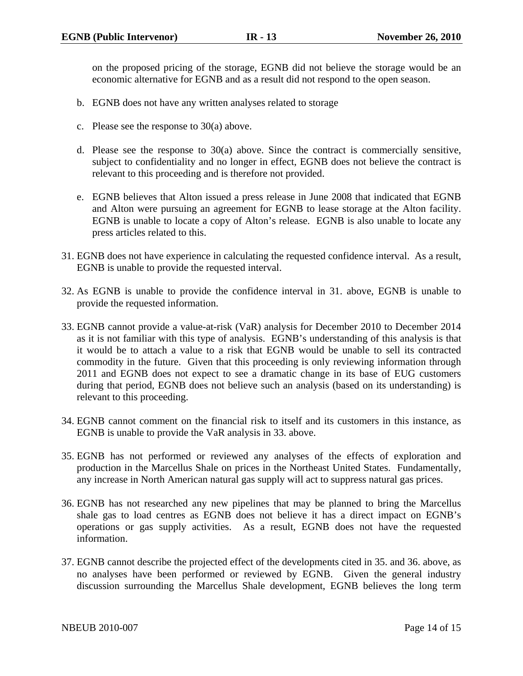on the proposed pricing of the storage, EGNB did not believe the storage would be an economic alternative for EGNB and as a result did not respond to the open season.

- b. EGNB does not have any written analyses related to storage
- c. Please see the response to 30(a) above.
- d. Please see the response to 30(a) above. Since the contract is commercially sensitive, subject to confidentiality and no longer in effect, EGNB does not believe the contract is relevant to this proceeding and is therefore not provided.
- e. EGNB believes that Alton issued a press release in June 2008 that indicated that EGNB and Alton were pursuing an agreement for EGNB to lease storage at the Alton facility. EGNB is unable to locate a copy of Alton's release. EGNB is also unable to locate any press articles related to this.
- 31. EGNB does not have experience in calculating the requested confidence interval. As a result, EGNB is unable to provide the requested interval.
- 32. As EGNB is unable to provide the confidence interval in 31. above, EGNB is unable to provide the requested information.
- 33. EGNB cannot provide a value-at-risk (VaR) analysis for December 2010 to December 2014 as it is not familiar with this type of analysis. EGNB's understanding of this analysis is that it would be to attach a value to a risk that EGNB would be unable to sell its contracted commodity in the future. Given that this proceeding is only reviewing information through 2011 and EGNB does not expect to see a dramatic change in its base of EUG customers during that period, EGNB does not believe such an analysis (based on its understanding) is relevant to this proceeding.
- 34. EGNB cannot comment on the financial risk to itself and its customers in this instance, as EGNB is unable to provide the VaR analysis in 33. above.
- 35. EGNB has not performed or reviewed any analyses of the effects of exploration and production in the Marcellus Shale on prices in the Northeast United States. Fundamentally, any increase in North American natural gas supply will act to suppress natural gas prices.
- 36. EGNB has not researched any new pipelines that may be planned to bring the Marcellus shale gas to load centres as EGNB does not believe it has a direct impact on EGNB's operations or gas supply activities. As a result, EGNB does not have the requested information.
- 37. EGNB cannot describe the projected effect of the developments cited in 35. and 36. above, as no analyses have been performed or reviewed by EGNB. Given the general industry discussion surrounding the Marcellus Shale development, EGNB believes the long term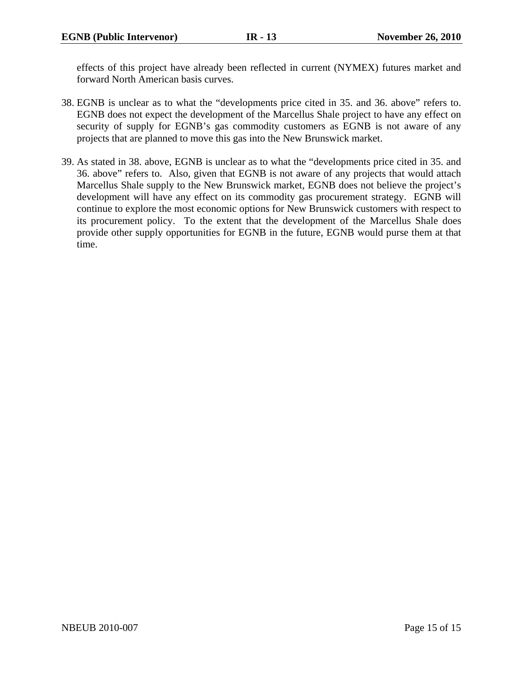effects of this project have already been reflected in current (NYMEX) futures market and forward North American basis curves.

- 38. EGNB is unclear as to what the "developments price cited in 35. and 36. above" refers to. EGNB does not expect the development of the Marcellus Shale project to have any effect on security of supply for EGNB's gas commodity customers as EGNB is not aware of any projects that are planned to move this gas into the New Brunswick market.
- 39. As stated in 38. above, EGNB is unclear as to what the "developments price cited in 35. and 36. above" refers to. Also, given that EGNB is not aware of any projects that would attach Marcellus Shale supply to the New Brunswick market, EGNB does not believe the project's development will have any effect on its commodity gas procurement strategy. EGNB will continue to explore the most economic options for New Brunswick customers with respect to its procurement policy. To the extent that the development of the Marcellus Shale does provide other supply opportunities for EGNB in the future, EGNB would purse them at that time.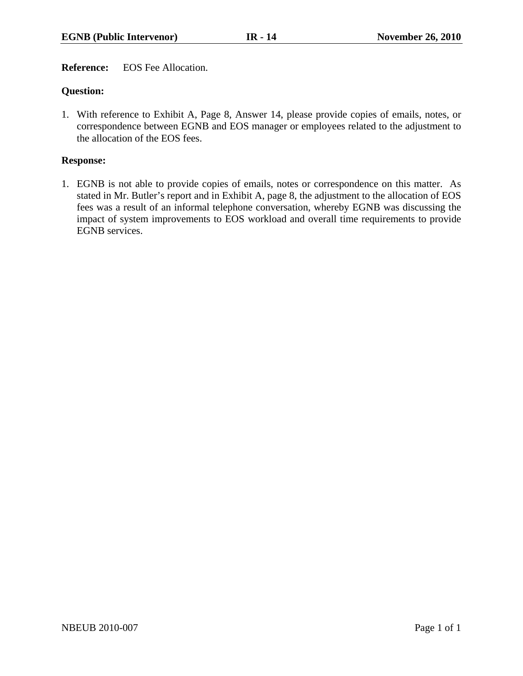**Reference:** EOS Fee Allocation.

# **Question:**

1. With reference to Exhibit A, Page 8, Answer 14, please provide copies of emails, notes, or correspondence between EGNB and EOS manager or employees related to the adjustment to the allocation of the EOS fees.

## **Response:**

1. EGNB is not able to provide copies of emails, notes or correspondence on this matter. As stated in Mr. Butler's report and in Exhibit A, page 8, the adjustment to the allocation of EOS fees was a result of an informal telephone conversation, whereby EGNB was discussing the impact of system improvements to EOS workload and overall time requirements to provide EGNB services.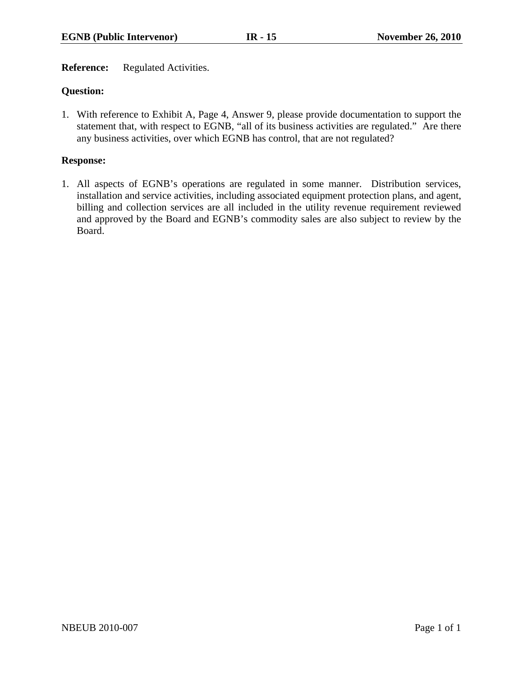**Reference:** Regulated Activities.

# **Question:**

1. With reference to Exhibit A, Page 4, Answer 9, please provide documentation to support the statement that, with respect to EGNB, "all of its business activities are regulated." Are there any business activities, over which EGNB has control, that are not regulated?

## **Response:**

1. All aspects of EGNB's operations are regulated in some manner. Distribution services, installation and service activities, including associated equipment protection plans, and agent, billing and collection services are all included in the utility revenue requirement reviewed and approved by the Board and EGNB's commodity sales are also subject to review by the Board.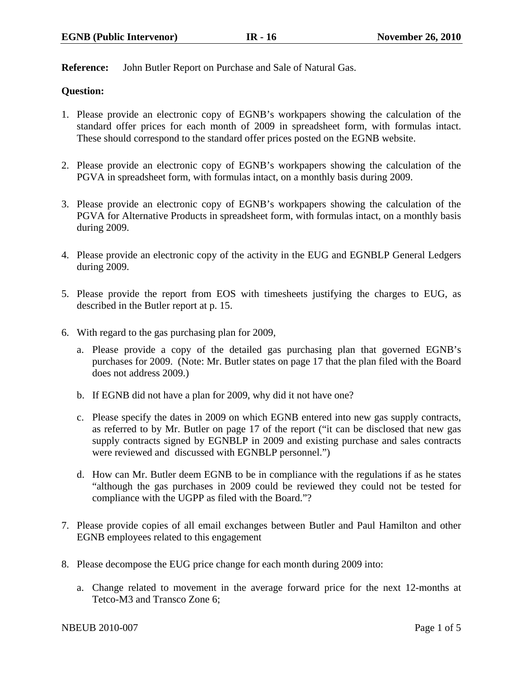**Reference:** John Butler Report on Purchase and Sale of Natural Gas.

## **Question:**

- 1. Please provide an electronic copy of EGNB's workpapers showing the calculation of the standard offer prices for each month of 2009 in spreadsheet form, with formulas intact. These should correspond to the standard offer prices posted on the EGNB website.
- 2. Please provide an electronic copy of EGNB's workpapers showing the calculation of the PGVA in spreadsheet form, with formulas intact, on a monthly basis during 2009.
- 3. Please provide an electronic copy of EGNB's workpapers showing the calculation of the PGVA for Alternative Products in spreadsheet form, with formulas intact, on a monthly basis during 2009.
- 4. Please provide an electronic copy of the activity in the EUG and EGNBLP General Ledgers during 2009.
- 5. Please provide the report from EOS with timesheets justifying the charges to EUG, as described in the Butler report at p. 15.
- 6. With regard to the gas purchasing plan for 2009,
	- a. Please provide a copy of the detailed gas purchasing plan that governed EGNB's purchases for 2009. (Note: Mr. Butler states on page 17 that the plan filed with the Board does not address 2009.)
	- b. If EGNB did not have a plan for 2009, why did it not have one?
	- c. Please specify the dates in 2009 on which EGNB entered into new gas supply contracts, as referred to by Mr. Butler on page 17 of the report ("it can be disclosed that new gas supply contracts signed by EGNBLP in 2009 and existing purchase and sales contracts were reviewed and discussed with EGNBLP personnel.")
	- d. How can Mr. Butler deem EGNB to be in compliance with the regulations if as he states "although the gas purchases in 2009 could be reviewed they could not be tested for compliance with the UGPP as filed with the Board."?
- 7. Please provide copies of all email exchanges between Butler and Paul Hamilton and other EGNB employees related to this engagement
- 8. Please decompose the EUG price change for each month during 2009 into:
	- a. Change related to movement in the average forward price for the next 12-months at Tetco-M3 and Transco Zone 6;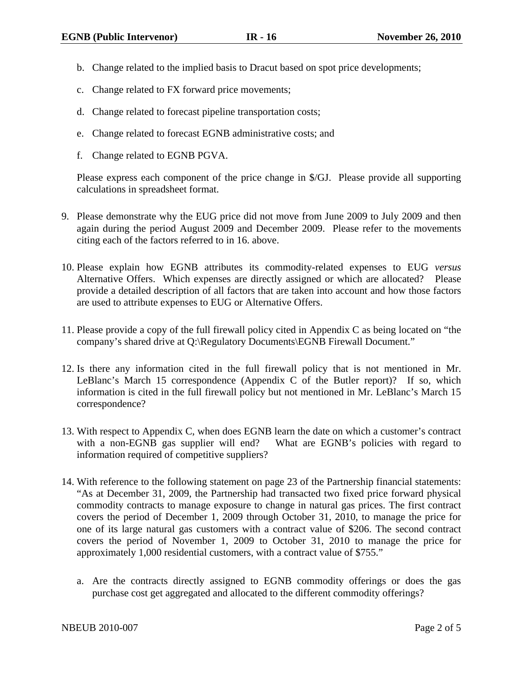- b. Change related to the implied basis to Dracut based on spot price developments;
- c. Change related to FX forward price movements;
- d. Change related to forecast pipeline transportation costs;
- e. Change related to forecast EGNB administrative costs; and
- f. Change related to EGNB PGVA.

Please express each component of the price change in \$/GJ. Please provide all supporting calculations in spreadsheet format.

- 9. Please demonstrate why the EUG price did not move from June 2009 to July 2009 and then again during the period August 2009 and December 2009. Please refer to the movements citing each of the factors referred to in 16. above.
- 10. Please explain how EGNB attributes its commodity-related expenses to EUG *versus* Alternative Offers. Which expenses are directly assigned or which are allocated? Please provide a detailed description of all factors that are taken into account and how those factors are used to attribute expenses to EUG or Alternative Offers.
- 11. Please provide a copy of the full firewall policy cited in Appendix C as being located on "the company's shared drive at Q:\Regulatory Documents\EGNB Firewall Document."
- 12. Is there any information cited in the full firewall policy that is not mentioned in Mr. LeBlanc's March 15 correspondence (Appendix C of the Butler report)? If so, which information is cited in the full firewall policy but not mentioned in Mr. LeBlanc's March 15 correspondence?
- 13. With respect to Appendix C, when does EGNB learn the date on which a customer's contract with a non-EGNB gas supplier will end? What are EGNB's policies with regard to information required of competitive suppliers?
- 14. With reference to the following statement on page 23 of the Partnership financial statements: "As at December 31, 2009, the Partnership had transacted two fixed price forward physical commodity contracts to manage exposure to change in natural gas prices. The first contract covers the period of December 1, 2009 through October 31, 2010, to manage the price for one of its large natural gas customers with a contract value of \$206. The second contract covers the period of November 1, 2009 to October 31, 2010 to manage the price for approximately 1,000 residential customers, with a contract value of \$755."
	- a. Are the contracts directly assigned to EGNB commodity offerings or does the gas purchase cost get aggregated and allocated to the different commodity offerings?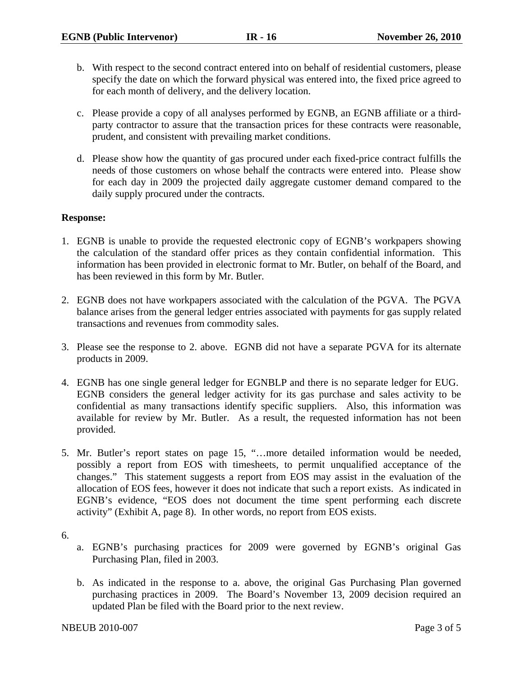- b. With respect to the second contract entered into on behalf of residential customers, please specify the date on which the forward physical was entered into, the fixed price agreed to for each month of delivery, and the delivery location.
- c. Please provide a copy of all analyses performed by EGNB, an EGNB affiliate or a thirdparty contractor to assure that the transaction prices for these contracts were reasonable, prudent, and consistent with prevailing market conditions.
- d. Please show how the quantity of gas procured under each fixed-price contract fulfills the needs of those customers on whose behalf the contracts were entered into. Please show for each day in 2009 the projected daily aggregate customer demand compared to the daily supply procured under the contracts.

## **Response:**

- 1. EGNB is unable to provide the requested electronic copy of EGNB's workpapers showing the calculation of the standard offer prices as they contain confidential information. This information has been provided in electronic format to Mr. Butler, on behalf of the Board, and has been reviewed in this form by Mr. Butler.
- 2. EGNB does not have workpapers associated with the calculation of the PGVA. The PGVA balance arises from the general ledger entries associated with payments for gas supply related transactions and revenues from commodity sales.
- 3. Please see the response to 2. above. EGNB did not have a separate PGVA for its alternate products in 2009.
- 4. EGNB has one single general ledger for EGNBLP and there is no separate ledger for EUG. EGNB considers the general ledger activity for its gas purchase and sales activity to be confidential as many transactions identify specific suppliers. Also, this information was available for review by Mr. Butler. As a result, the requested information has not been provided.
- 5. Mr. Butler's report states on page 15, "…more detailed information would be needed, possibly a report from EOS with timesheets, to permit unqualified acceptance of the changes." This statement suggests a report from EOS may assist in the evaluation of the allocation of EOS fees, however it does not indicate that such a report exists. As indicated in EGNB's evidence, "EOS does not document the time spent performing each discrete activity" (Exhibit A, page 8). In other words, no report from EOS exists.
- 6.
- a. EGNB's purchasing practices for 2009 were governed by EGNB's original Gas Purchasing Plan, filed in 2003.
- b. As indicated in the response to a. above, the original Gas Purchasing Plan governed purchasing practices in 2009. The Board's November 13, 2009 decision required an updated Plan be filed with the Board prior to the next review.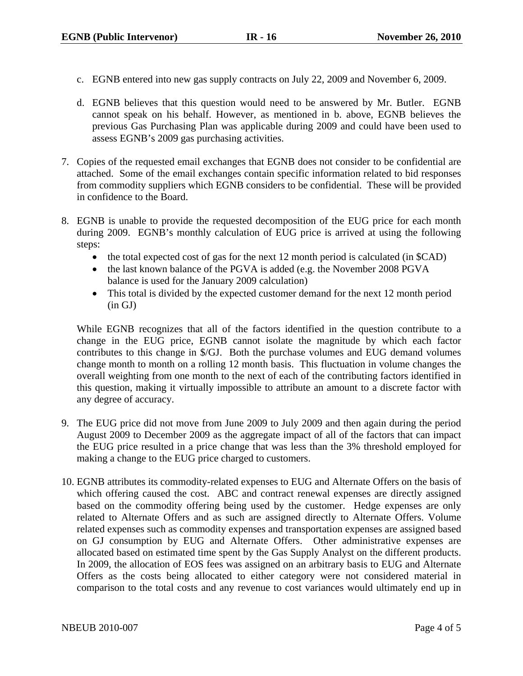- c. EGNB entered into new gas supply contracts on July 22, 2009 and November 6, 2009.
- d. EGNB believes that this question would need to be answered by Mr. Butler. EGNB cannot speak on his behalf. However, as mentioned in b. above, EGNB believes the previous Gas Purchasing Plan was applicable during 2009 and could have been used to assess EGNB's 2009 gas purchasing activities.
- 7. Copies of the requested email exchanges that EGNB does not consider to be confidential are attached. Some of the email exchanges contain specific information related to bid responses from commodity suppliers which EGNB considers to be confidential. These will be provided in confidence to the Board.
- 8. EGNB is unable to provide the requested decomposition of the EUG price for each month during 2009. EGNB's monthly calculation of EUG price is arrived at using the following steps:
	- the total expected cost of gas for the next 12 month period is calculated (in  $$CAD)$ )
	- the last known balance of the PGVA is added (e.g. the November 2008 PGVA balance is used for the January 2009 calculation)
	- This total is divided by the expected customer demand for the next 12 month period (in GJ)

While EGNB recognizes that all of the factors identified in the question contribute to a change in the EUG price, EGNB cannot isolate the magnitude by which each factor contributes to this change in \$/GJ. Both the purchase volumes and EUG demand volumes change month to month on a rolling 12 month basis. This fluctuation in volume changes the overall weighting from one month to the next of each of the contributing factors identified in this question, making it virtually impossible to attribute an amount to a discrete factor with any degree of accuracy.

- 9. The EUG price did not move from June 2009 to July 2009 and then again during the period August 2009 to December 2009 as the aggregate impact of all of the factors that can impact the EUG price resulted in a price change that was less than the 3% threshold employed for making a change to the EUG price charged to customers.
- 10. EGNB attributes its commodity-related expenses to EUG and Alternate Offers on the basis of which offering caused the cost. ABC and contract renewal expenses are directly assigned based on the commodity offering being used by the customer. Hedge expenses are only related to Alternate Offers and as such are assigned directly to Alternate Offers. Volume related expenses such as commodity expenses and transportation expenses are assigned based on GJ consumption by EUG and Alternate Offers. Other administrative expenses are allocated based on estimated time spent by the Gas Supply Analyst on the different products. In 2009, the allocation of EOS fees was assigned on an arbitrary basis to EUG and Alternate Offers as the costs being allocated to either category were not considered material in comparison to the total costs and any revenue to cost variances would ultimately end up in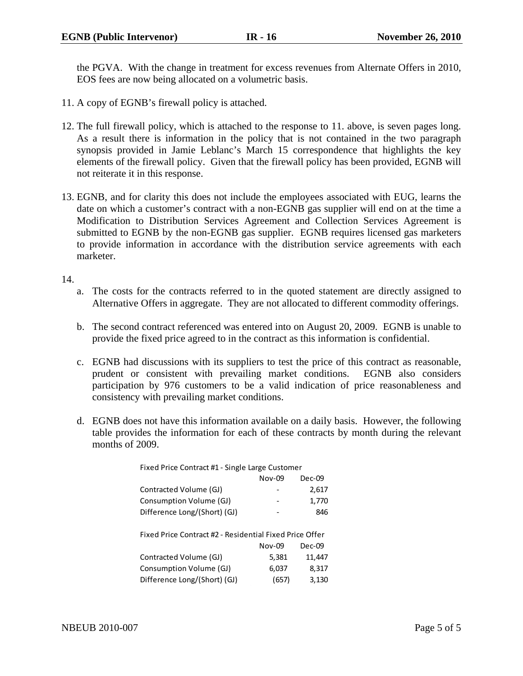the PGVA. With the change in treatment for excess revenues from Alternate Offers in 2010, EOS fees are now being allocated on a volumetric basis.

- 11. A copy of EGNB's firewall policy is attached.
- 12. The full firewall policy, which is attached to the response to 11. above, is seven pages long. As a result there is information in the policy that is not contained in the two paragraph synopsis provided in Jamie Leblanc's March 15 correspondence that highlights the key elements of the firewall policy. Given that the firewall policy has been provided, EGNB will not reiterate it in this response.
- 13. EGNB, and for clarity this does not include the employees associated with EUG, learns the date on which a customer's contract with a non-EGNB gas supplier will end on at the time a Modification to Distribution Services Agreement and Collection Services Agreement is submitted to EGNB by the non-EGNB gas supplier. EGNB requires licensed gas marketers to provide information in accordance with the distribution service agreements with each marketer.

14.

- a. The costs for the contracts referred to in the quoted statement are directly assigned to Alternative Offers in aggregate. They are not allocated to different commodity offerings.
- b. The second contract referenced was entered into on August 20, 2009. EGNB is unable to provide the fixed price agreed to in the contract as this information is confidential.
- c. EGNB had discussions with its suppliers to test the price of this contract as reasonable, prudent or consistent with prevailing market conditions. EGNB also considers participation by 976 customers to be a valid indication of price reasonableness and consistency with prevailing market conditions.
- d. EGNB does not have this information available on a daily basis. However, the following table provides the information for each of these contracts by month during the relevant months of 2009.

| Fixed Price Contract #1 - Single Large Customer         |          |          |
|---------------------------------------------------------|----------|----------|
|                                                         | Nov-09   | $Dec-09$ |
| Contracted Volume (GJ)                                  |          | 2,617    |
| Consumption Volume (GJ)                                 |          | 1,770    |
| Difference Long/(Short) (GJ)                            |          | 846      |
| Fixed Price Contract #2 - Residential Fixed Price Offer |          |          |
|                                                         | $Nov-09$ | Dec-09   |
| Contracted Volume (GJ)                                  | 5,381    | 11,447   |
| Consumption Volume (GJ)                                 | 6,037    | 8,317    |
| Difference Long/(Short) (GJ)                            | (657)    | 3,130    |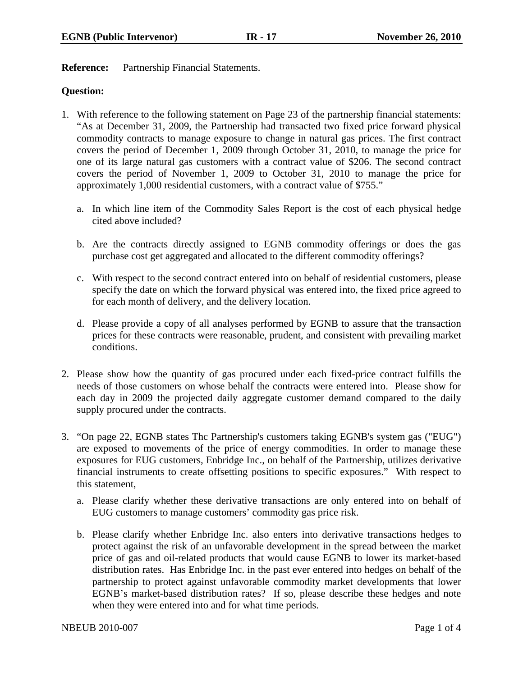**Reference:** Partnership Financial Statements.

## **Question:**

- 1. With reference to the following statement on Page 23 of the partnership financial statements: "As at December 31, 2009, the Partnership had transacted two fixed price forward physical commodity contracts to manage exposure to change in natural gas prices. The first contract covers the period of December 1, 2009 through October 31, 2010, to manage the price for one of its large natural gas customers with a contract value of \$206. The second contract covers the period of November 1, 2009 to October 31, 2010 to manage the price for approximately 1,000 residential customers, with a contract value of \$755."
	- a. In which line item of the Commodity Sales Report is the cost of each physical hedge cited above included?
	- b. Are the contracts directly assigned to EGNB commodity offerings or does the gas purchase cost get aggregated and allocated to the different commodity offerings?
	- c. With respect to the second contract entered into on behalf of residential customers, please specify the date on which the forward physical was entered into, the fixed price agreed to for each month of delivery, and the delivery location.
	- d. Please provide a copy of all analyses performed by EGNB to assure that the transaction prices for these contracts were reasonable, prudent, and consistent with prevailing market conditions.
- 2. Please show how the quantity of gas procured under each fixed-price contract fulfills the needs of those customers on whose behalf the contracts were entered into. Please show for each day in 2009 the projected daily aggregate customer demand compared to the daily supply procured under the contracts.
- 3. "On page 22, EGNB states Thc Partnership's customers taking EGNB's system gas ("EUG") are exposed to movements of the price of energy commodities. In order to manage these exposures for EUG customers, Enbridge Inc., on behalf of the Partnership, utilizes derivative financial instruments to create offsetting positions to specific exposures." With respect to this statement,
	- a. Please clarify whether these derivative transactions are only entered into on behalf of EUG customers to manage customers' commodity gas price risk.
	- b. Please clarify whether Enbridge Inc. also enters into derivative transactions hedges to protect against the risk of an unfavorable development in the spread between the market price of gas and oil-related products that would cause EGNB to lower its market-based distribution rates. Has Enbridge Inc. in the past ever entered into hedges on behalf of the partnership to protect against unfavorable commodity market developments that lower EGNB's market-based distribution rates? If so, please describe these hedges and note when they were entered into and for what time periods.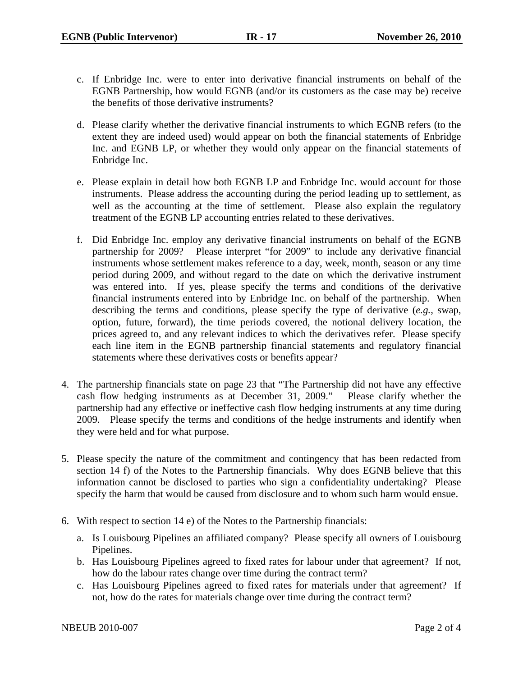- c. If Enbridge Inc. were to enter into derivative financial instruments on behalf of the EGNB Partnership, how would EGNB (and/or its customers as the case may be) receive the benefits of those derivative instruments?
- d. Please clarify whether the derivative financial instruments to which EGNB refers (to the extent they are indeed used) would appear on both the financial statements of Enbridge Inc. and EGNB LP, or whether they would only appear on the financial statements of Enbridge Inc.
- e. Please explain in detail how both EGNB LP and Enbridge Inc. would account for those instruments. Please address the accounting during the period leading up to settlement, as well as the accounting at the time of settlement. Please also explain the regulatory treatment of the EGNB LP accounting entries related to these derivatives.
- f. Did Enbridge Inc. employ any derivative financial instruments on behalf of the EGNB partnership for 2009? Please interpret "for 2009" to include any derivative financial instruments whose settlement makes reference to a day, week, month, season or any time period during 2009, and without regard to the date on which the derivative instrument was entered into. If yes, please specify the terms and conditions of the derivative financial instruments entered into by Enbridge Inc. on behalf of the partnership. When describing the terms and conditions, please specify the type of derivative (*e.g.*, swap, option, future, forward), the time periods covered, the notional delivery location, the prices agreed to, and any relevant indices to which the derivatives refer. Please specify each line item in the EGNB partnership financial statements and regulatory financial statements where these derivatives costs or benefits appear?
- 4. The partnership financials state on page 23 that "The Partnership did not have any effective cash flow hedging instruments as at December 31, 2009." Please clarify whether the partnership had any effective or ineffective cash flow hedging instruments at any time during 2009. Please specify the terms and conditions of the hedge instruments and identify when they were held and for what purpose.
- 5. Please specify the nature of the commitment and contingency that has been redacted from section 14 f) of the Notes to the Partnership financials. Why does EGNB believe that this information cannot be disclosed to parties who sign a confidentiality undertaking? Please specify the harm that would be caused from disclosure and to whom such harm would ensue.
- 6. With respect to section 14 e) of the Notes to the Partnership financials:
	- a. Is Louisbourg Pipelines an affiliated company? Please specify all owners of Louisbourg Pipelines.
	- b. Has Louisbourg Pipelines agreed to fixed rates for labour under that agreement? If not, how do the labour rates change over time during the contract term?
	- c. Has Louisbourg Pipelines agreed to fixed rates for materials under that agreement? If not, how do the rates for materials change over time during the contract term?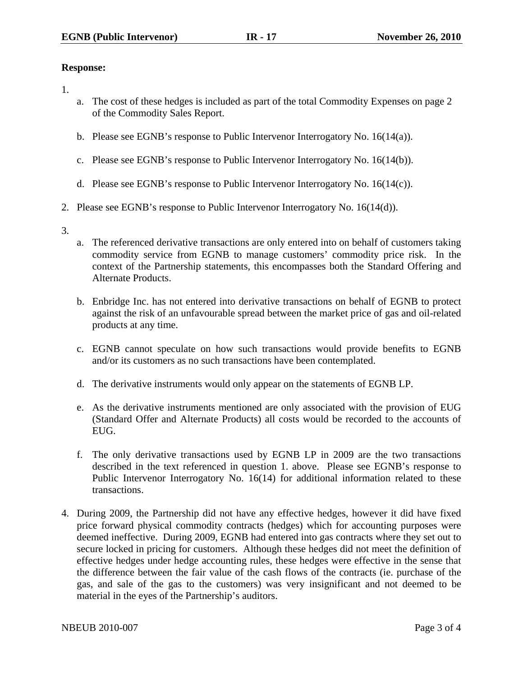## **Response:**

- 1.
- a. The cost of these hedges is included as part of the total Commodity Expenses on page 2 of the Commodity Sales Report.
- b. Please see EGNB's response to Public Intervenor Interrogatory No. 16(14(a)).
- c. Please see EGNB's response to Public Intervenor Interrogatory No. 16(14(b)).
- d. Please see EGNB's response to Public Intervenor Interrogatory No. 16(14(c)).
- 2. Please see EGNB's response to Public Intervenor Interrogatory No. 16(14(d)).
- 3.
- a. The referenced derivative transactions are only entered into on behalf of customers taking commodity service from EGNB to manage customers' commodity price risk. In the context of the Partnership statements, this encompasses both the Standard Offering and Alternate Products.
- b. Enbridge Inc. has not entered into derivative transactions on behalf of EGNB to protect against the risk of an unfavourable spread between the market price of gas and oil-related products at any time.
- c. EGNB cannot speculate on how such transactions would provide benefits to EGNB and/or its customers as no such transactions have been contemplated.
- d. The derivative instruments would only appear on the statements of EGNB LP.
- e. As the derivative instruments mentioned are only associated with the provision of EUG (Standard Offer and Alternate Products) all costs would be recorded to the accounts of EUG.
- f. The only derivative transactions used by EGNB LP in 2009 are the two transactions described in the text referenced in question 1. above. Please see EGNB's response to Public Intervenor Interrogatory No. 16(14) for additional information related to these transactions.
- 4. During 2009, the Partnership did not have any effective hedges, however it did have fixed price forward physical commodity contracts (hedges) which for accounting purposes were deemed ineffective. During 2009, EGNB had entered into gas contracts where they set out to secure locked in pricing for customers. Although these hedges did not meet the definition of effective hedges under hedge accounting rules, these hedges were effective in the sense that the difference between the fair value of the cash flows of the contracts (ie. purchase of the gas, and sale of the gas to the customers) was very insignificant and not deemed to be material in the eyes of the Partnership's auditors.